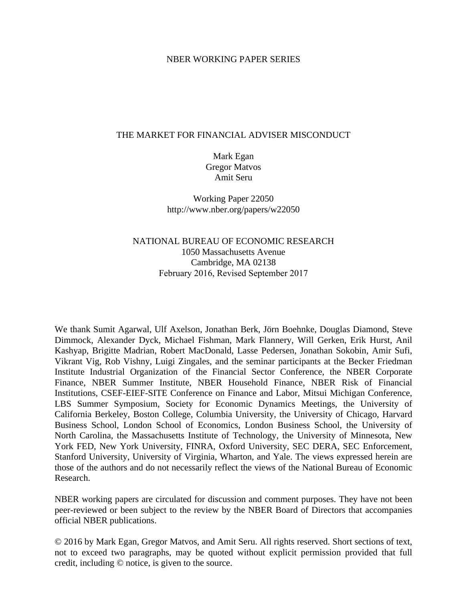# NBER WORKING PAPER SERIES

# THE MARKET FOR FINANCIAL ADVISER MISCONDUCT

Mark Egan Gregor Matvos Amit Seru

Working Paper 22050 http://www.nber.org/papers/w22050

# NATIONAL BUREAU OF ECONOMIC RESEARCH 1050 Massachusetts Avenue Cambridge, MA 02138 February 2016, Revised September 2017

We thank Sumit Agarwal, Ulf Axelson, Jonathan Berk, Jörn Boehnke, Douglas Diamond, Steve Dimmock, Alexander Dyck, Michael Fishman, Mark Flannery, Will Gerken, Erik Hurst, Anil Kashyap, Brigitte Madrian, Robert MacDonald, Lasse Pedersen, Jonathan Sokobin, Amir Sufi, Vikrant Vig, Rob Vishny, Luigi Zingales, and the seminar participants at the Becker Friedman Institute Industrial Organization of the Financial Sector Conference, the NBER Corporate Finance, NBER Summer Institute, NBER Household Finance, NBER Risk of Financial Institutions, CSEF-EIEF-SITE Conference on Finance and Labor, Mitsui Michigan Conference, LBS Summer Symposium, Society for Economic Dynamics Meetings, the University of California Berkeley, Boston College, Columbia University, the University of Chicago, Harvard Business School, London School of Economics, London Business School, the University of North Carolina, the Massachusetts Institute of Technology, the University of Minnesota, New York FED, New York University, FINRA, Oxford University, SEC DERA, SEC Enforcement, Stanford University, University of Virginia, Wharton, and Yale. The views expressed herein are those of the authors and do not necessarily reflect the views of the National Bureau of Economic Research.

NBER working papers are circulated for discussion and comment purposes. They have not been peer-reviewed or been subject to the review by the NBER Board of Directors that accompanies official NBER publications.

© 2016 by Mark Egan, Gregor Matvos, and Amit Seru. All rights reserved. Short sections of text, not to exceed two paragraphs, may be quoted without explicit permission provided that full credit, including © notice, is given to the source.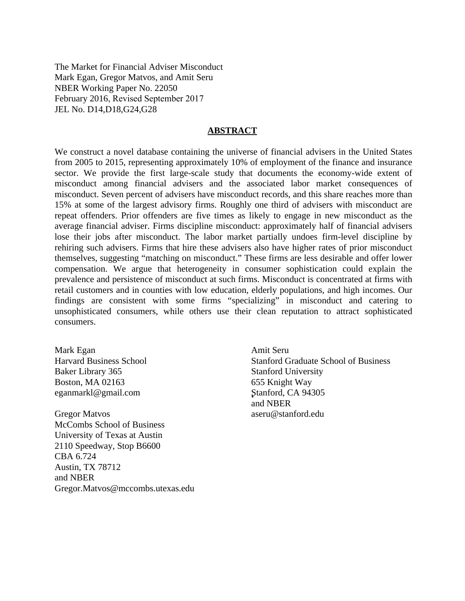The Market for Financial Adviser Misconduct Mark Egan, Gregor Matvos, and Amit Seru NBER Working Paper No. 22050 February 2016, Revised September 2017 JEL No. D14,D18,G24,G28

# **ABSTRACT**

We construct a novel database containing the universe of financial advisers in the United States from 2005 to 2015, representing approximately 10% of employment of the finance and insurance sector. We provide the first large-scale study that documents the economy-wide extent of misconduct among financial advisers and the associated labor market consequences of misconduct. Seven percent of advisers have misconduct records, and this share reaches more than 15% at some of the largest advisory firms. Roughly one third of advisers with misconduct are repeat offenders. Prior offenders are five times as likely to engage in new misconduct as the average financial adviser. Firms discipline misconduct: approximately half of financial advisers lose their jobs after misconduct. The labor market partially undoes firm-level discipline by rehiring such advisers. Firms that hire these advisers also have higher rates of prior misconduct themselves, suggesting "matching on misconduct." These firms are less desirable and offer lower compensation. We argue that heterogeneity in consumer sophistication could explain the prevalence and persistence of misconduct at such firms. Misconduct is concentrated at firms with retail customers and in counties with low education, elderly populations, and high incomes. Our findings are consistent with some firms "specializing" in misconduct and catering to unsophisticated consumers, while others use their clean reputation to attract sophisticated consumers.

Mark Egan Harvard Business School Baker Library 365 Boston, MA 02163 eganmarkl@gmail.com

Gregor Matvos McCombs School of Business University of Texas at Austin 2110 Speedway, Stop B6600 CBA 6.724 Austin, TX 78712 and NBER Gregor.Matvos@mccombs.utexas.edu Amit Seru Stanford Graduate School of Business Stanford University 655 Knight Way Stanford, CA 94305 and NBER aseru@stanford.edu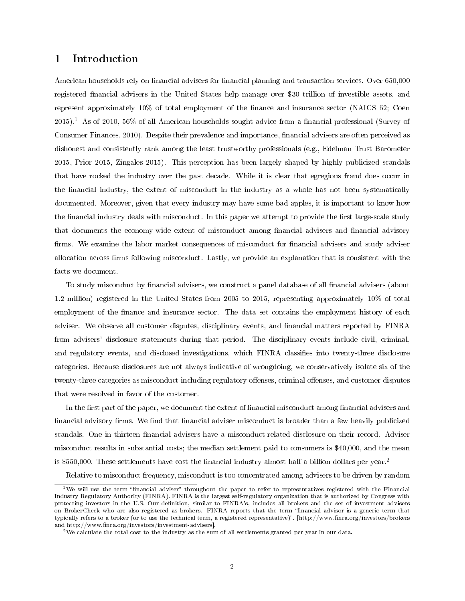# 1 Introduction

American households rely on financial advisers for financial planning and transaction services. Over 650,000 registered nancial advisers in the United States help manage over \$30 trillion of investible assets, and represent approximately 10% of total employment of the nance and insurance sector (NAICS 52; Coen  $2015$ .<sup>1</sup> As of 2010, 56% of all American households sought advice from a financial professional (Survey of Consumer Finances, 2010). Despite their prevalence and importance, financial advisers are often perceived as dishonest and consistently rank among the least trustworthy professionals (e.g., Edelman Trust Barometer 2015, Prior 2015, Zingales 2015). This perception has been largely shaped by highly publicized scandals that have rocked the industry over the past decade. While it is clear that egregious fraud does occur in the financial industry, the extent of misconduct in the industry as a whole has not been systematically documented. Moreover, given that every industry may have some bad apples, it is important to know how the financial industry deals with misconduct. In this paper we attempt to provide the first large-scale study that documents the economy-wide extent of misconduct among financial advisers and financial advisory firms. We examine the labor market consequences of misconduct for financial advisers and study adviser allocation across firms following misconduct. Lastly, we provide an explanation that is consistent with the facts we document.

To study misconduct by financial advisers, we construct a panel database of all financial advisers (about 1.2 million) registered in the United States from 2005 to 2015, representing approximately 10% of total employment of the finance and insurance sector. The data set contains the employment history of each adviser. We observe all customer disputes, disciplinary events, and financial matters reported by FINRA from advisers' disclosure statements during that period. The disciplinary events include civil, criminal, and regulatory events, and disclosed investigations, which FINRA classifies into twenty-three disclosure categories. Because disclosures are not always indicative of wrongdoing, we conservatively isolate six of the twenty-three categories as misconduct including regulatory offenses, criminal offenses, and customer disputes that were resolved in favor of the customer.

In the first part of the paper, we document the extent of financial misconduct among financial advisers and financial advisory firms. We find that financial adviser misconduct is broader than a few heavily publicized scandals. One in thirteen financial advisers have a misconduct-related disclosure on their record. Adviser misconduct results in substantial costs; the median settlement paid to consumers is \$40,000, and the mean is \$550,000. These settlements have cost the financial industry almost half a billion dollars per year.<sup>2</sup>

Relative to misconduct frequency, misconduct is too concentrated among advisers to be driven by random

<sup>&</sup>lt;sup>1</sup>We will use the term "financial adviser" throughout the paper to refer to representatives registered with the Financial Industry Regulatory Authority (FINRA). FINRA is the largest self-regulatory organization that is authorized by Congress with protecting investors in the U.S. Our definition, similar to FINRA's, includes all brokers and the set of investment advisers on BrokerCheck who are also registered as brokers. FINRA reports that the term "financial advisor is a generic term that typically refers to a broker (or to use the technical term, a registered representative)". [http://www.finra.org/investors/brokers and http://www.finra.org/investors/investment-advisers].

<sup>&</sup>lt;sup>2</sup>We calculate the total cost to the industry as the sum of all settlements granted per year in our data.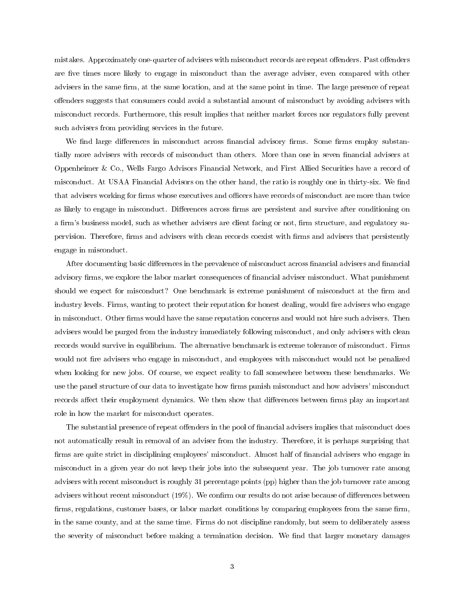mistakes. Approximately one-quarter of advisers with misconduct records are repeat offenders. Past offenders are five times more likely to engage in misconduct than the average adviser, even compared with other advisers in the same firm, at the same location, and at the same point in time. The large presence of repeat offenders suggests that consumers could avoid a substantial amount of misconduct by avoiding advisers with misconduct records. Furthermore, this result implies that neither market forces nor regulators fully prevent such advisers from providing services in the future.

We find large differences in misconduct across financial advisory firms. Some firms employ substantially more advisers with records of misconduct than others. More than one in seven financial advisers at Oppenheimer & Co., Wells Fargo Advisors Financial Network, and First Allied Securities have a record of misconduct. At USAA Financial Advisors on the other hand, the ratio is roughly one in thirty-six. We find that advisers working for firms whose executives and officers have records of misconduct are more than twice as likely to engage in misconduct. Differences across firms are persistent and survive after conditioning on a firm's business model, such as whether advisers are client facing or not, firm structure, and regulatory supervision. Therefore, firms and advisers with clean records coexist with firms and advisers that persistently engage in misconduct.

After documenting basic differences in the prevalence of misconduct across financial advisers and financial advisory firms, we explore the labor market consequences of financial adviser misconduct. What punishment should we expect for misconduct? One benchmark is extreme punishment of misconduct at the firm and industry levels. Firms, wanting to protect their reputation for honest dealing, would fire advisers who engage in misconduct. Other firms would have the same reputation concerns and would not hire such advisers. Then advisers would be purged from the industry immediately following misconduct, and only advisers with clean records would survive in equilibrium. The alternative benchmark is extreme tolerance of misconduct. Firms would not fire advisers who engage in misconduct, and employees with misconduct would not be penalized when looking for new jobs. Of course, we expect reality to fall somewhere between these benchmarks. We use the panel structure of our data to investigate how firms punish misconduct and how advisers' misconduct records affect their employment dynamics. We then show that differences between firms play an important role in how the market for misconduct operates.

The substantial presence of repeat offenders in the pool of financial advisers implies that misconduct does not automatically result in removal of an adviser from the industry. Therefore, it is perhaps surprising that firms are quite strict in disciplining employees' misconduct. Almost half of financial advisers who engage in misconduct in a given year do not keep their jobs into the subsequent year. The job turnover rate among advisers with recent misconduct is roughly 31 percentage points (pp) higher than the job turnover rate among advisers without recent misconduct (19%). We confirm our results do not arise because of differences between firms, regulations, customer bases, or labor market conditions by comparing employees from the same firm, in the same county, and at the same time. Firms do not discipline randomly, but seem to deliberately assess the severity of misconduct before making a termination decision. We find that larger monetary damages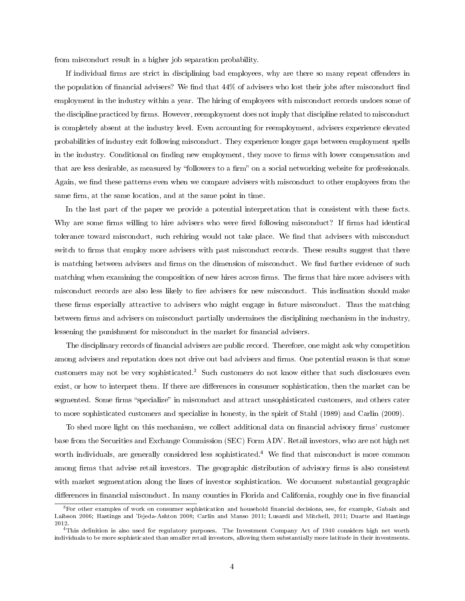from misconduct result in a higher job separation probability.

If individual firms are strict in disciplining bad employees, why are there so many repeat offenders in the population of financial advisers? We find that  $44\%$  of advisers who lost their jobs after misconduct find employment in the industry within a year. The hiring of employees with misconduct records undoes some of the discipline practiced by firms. However, reemployment does not imply that discipline related to misconduct is completely absent at the industry level. Even accounting for reemployment, advisers experience elevated probabilities of industry exit following misconduct. They experience longer gaps between employment spells in the industry. Conditional on finding new employment, they move to firms with lower compensation and that are less desirable, as measured by "followers to a firm" on a social networking website for professionals. Again, we find these patterns even when we compare advisers with misconduct to other employees from the same firm, at the same location, and at the same point in time.

In the last part of the paper we provide a potential interpretation that is consistent with these facts. Why are some firms willing to hire advisers who were fired following misconduct? If firms had identical tolerance toward misconduct, such rehiring would not take place. We find that advisers with misconduct switch to firms that employ more advisers with past misconduct records. These results suggest that there is matching between advisers and firms on the dimension of misconduct. We find further evidence of such matching when examining the composition of new hires across firms. The firms that hire more advisers with misconduct records are also less likely to fire advisers for new misconduct. This inclination should make these firms especially attractive to advisers who might engage in future misconduct. Thus the matching between firms and advisers on misconduct partially undermines the disciplining mechanism in the industry, lessening the punishment for misconduct in the market for financial advisers.

The disciplinary records of financial advisers are public record. Therefore, one might ask why competition among advisers and reputation does not drive out bad advisers and firms. One potential reason is that some customers may not be very sophisticated.<sup>3</sup> Such customers do not know either that such disclosures even exist, or how to interpret them. If there are differences in consumer sophistication, then the market can be segmented. Some firms "specialize" in misconduct and attract unsophisticated customers, and others cater to more sophisticated customers and specialize in honesty, in the spirit of Stahl (1989) and Carlin (2009).

To shed more light on this mechanism, we collect additional data on financial advisory firms' customer base from the Securities and Exchange Commission (SEC) Form ADV. Retail investors, who are not high net worth individuals, are generally considered less sophisticated.<sup>4</sup> We find that misconduct is more common among firms that advise retail investors. The geographic distribution of advisory firms is also consistent with market segmentation along the lines of investor sophistication. We document substantial geographic differences in financial misconduct. In many counties in Florida and California, roughly one in five financial

 $3$ For other examples of work on consumer sophistication and household financial decisions, see, for example, Gabaix and Laibson 2006; Hastings and Tejeda-Ashton 2008; Carlin and Manso 2011; Lusardi and Mitchell, 2011; Duarte and Hastings 2012.

<sup>&</sup>lt;sup>4</sup>This definition is also used for regulatory purposes. The Investment Company Act of 1940 considers high net worth individuals to be more sophisticated than smaller retail investors, allowing them substantially more latitude in their investments.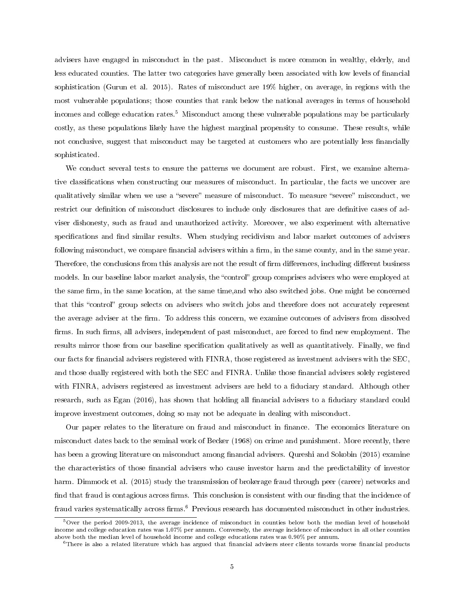advisers have engaged in misconduct in the past. Misconduct is more common in wealthy, elderly, and less educated counties. The latter two categories have generally been associated with low levels of nancial sophistication (Gurun et al. 2015). Rates of misconduct are 19% higher, on average, in regions with the most vulnerable populations; those counties that rank below the national averages in terms of household incomes and college education rates.<sup>5</sup> Misconduct among these vulnerable populations may be particularly costly, as these populations likely have the highest marginal propensity to consume. These results, while not conclusive, suggest that misconduct may be targeted at customers who are potentially less nancially sophisticated.

We conduct several tests to ensure the patterns we document are robust. First, we examine alternative classifications when constructing our measures of misconduct. In particular, the facts we uncover are qualitatively similar when we use a "severe" measure of misconduct. To measure "severe" misconduct, we restrict our definition of misconduct disclosures to include only disclosures that are definitive cases of adviser dishonesty, such as fraud and unauthorized activity. Moreover, we also experiment with alternative specifications and find similar results. When studying recidivism and labor market outcomes of advisers following misconduct, we compare financial advisers within a firm, in the same county, and in the same year. Therefore, the conclusions from this analysis are not the result of firm differences, including different business models. In our baseline labor market analysis, the "control" group comprises advisers who were employed at the same firm, in the same location, at the same time, and who also switched jobs. One might be concerned that this "control" group selects on advisers who switch jobs and therefore does not accurately represent the average adviser at the firm. To address this concern, we examine outcomes of advisers from dissolved firms. In such firms, all advisers, independent of past misconduct, are forced to find new employment. The results mirror those from our baseline specification qualitatively as well as quantitatively. Finally, we find our facts for financial advisers registered with FINRA, those registered as investment advisers with the SEC, and those dually registered with both the SEC and FINRA. Unlike those financial advisers solely registered with FINRA, advisers registered as investment advisers are held to a fiduciary standard. Although other research, such as Egan (2016), has shown that holding all financial advisers to a fiduciary standard could improve investment outcomes, doing so may not be adequate in dealing with misconduct.

Our paper relates to the literature on fraud and misconduct in finance. The economics literature on misconduct dates back to the seminal work of Becker (1968) on crime and punishment. More recently, there has been a growing literature on misconduct among financial advisers. Qureshi and Sokobin (2015) examine the characteristics of those financial advisers who cause investor harm and the predictability of investor harm. Dimmock et al. (2015) study the transmission of brokerage fraud through peer (career) networks and find that fraud is contagious across firms. This conclusion is consistent with our finding that the incidence of fraud varies systematically across firms.<sup>6</sup> Previous research has documented misconduct in other industries.

<sup>5</sup>Over the period 2009-2013, the average incidence of misconduct in counties below both the median level of household income and college education rates was 1.07% per annum. Conversely, the average incidence of misconduct in all other counties above both the median level of household income and college educations rates was 0.90% per annum.

 $6$ There is also a related literature which has argued that financial advisers steer clients towards worse financial products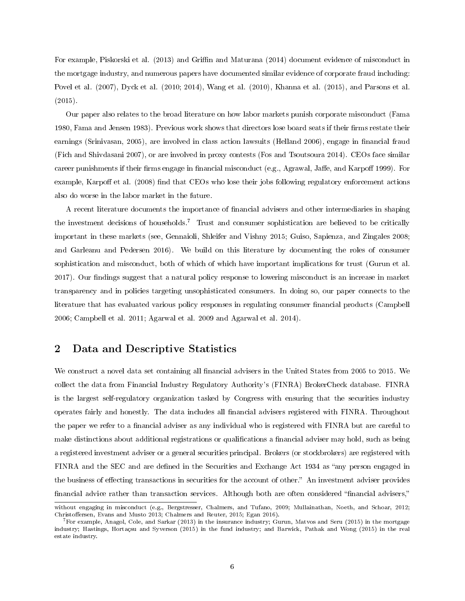For example, Piskorski et al. (2013) and Griffin and Maturana (2014) document evidence of misconduct in the mortgage industry, and numerous papers have documented similar evidence of corporate fraud including: Povel et al. (2007), Dyck et al. (2010; 2014), Wang et al. (2010), Khanna et al. (2015), and Parsons et al. (2015).

Our paper also relates to the broad literature on how labor markets punish corporate misconduct (Fama 1980, Fama and Jensen 1983). Previous work shows that directors lose board seats if their firms restate their earnings (Srinivasan, 2005), are involved in class action lawsuits (Helland 2006), engage in financial fraud (Fich and Shivdasani 2007), or are involved in proxy contests (Fos and Tsoutsoura 2014). CEOs face similar career punishments if their firms engage in financial misconduct (e.g., Agrawal, Jaffe, and Karpoff 1999). For example, Karpoff et al. (2008) find that CEOs who lose their jobs following regulatory enforcement actions also do worse in the labor market in the future.

A recent literature documents the importance of nancial advisers and other intermediaries in shaping the investment decisions of households.<sup>7</sup> Trust and consumer sophistication are believed to be critically important in these markets (see, Gennaioli, Shleifer and Vishny 2015; Guiso, Sapienza, and Zingales 2008; and Garleanu and Pedersen 2016). We build on this literature by documenting the roles of consumer sophistication and misconduct, both of which of which have important implications for trust (Gurun et al. 2017). Our findings suggest that a natural policy response to lowering misconduct is an increase in market transparency and in policies targeting unsophisticated consumers. In doing so, our paper connects to the literature that has evaluated various policy responses in regulating consumer financial products (Campbell 2006; Campbell et al. 2011; Agarwal et al. 2009 and Agarwal et al. 2014).

# 2 Data and Descriptive Statistics

We construct a novel data set containing all financial advisers in the United States from 2005 to 2015. We collect the data from Financial Industry Regulatory Authority's (FINRA) BrokerCheck database. FINRA is the largest self-regulatory organization tasked by Congress with ensuring that the securities industry operates fairly and honestly. The data includes all nancial advisers registered with FINRA. Throughout the paper we refer to a financial adviser as any individual who is registered with FINRA but are careful to make distinctions about additional registrations or qualifications a financial adviser may hold, such as being a registered investment adviser or a general securities principal. Brokers (or stockbrokers) are registered with FINRA and the SEC and are defined in the Securities and Exchange Act 1934 as "any person engaged in the business of effecting transactions in securities for the account of other." An investment adviser provides financial advice rather than transaction services. Although both are often considered "financial advisers,"

without engaging in misconduct (e.g., Bergstresser, Chalmers, and Tufano, 2009; Mullainathan, Noeth, and Schoar, 2012; Christoffersen, Evans and Musto 2013; Chalmers and Reuter, 2015; Egan 2016).

 $^7$  For example, Anagol, Cole, and Sarkar (2013) in the insurance industry; Gurun, Matvos and Seru (2015) in the mortgage industry; Hastings, Hortaçsu and Syverson (2015) in the fund industry; and Barwick, Pathak and Wong (2015) in the real estate industry.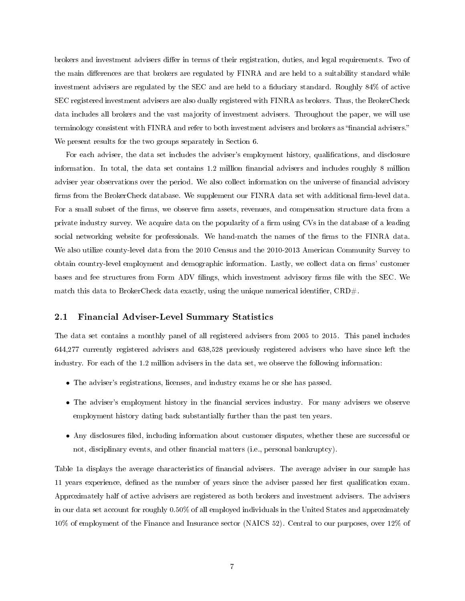brokers and investment advisers differ in terms of their registration, duties, and legal requirements. Two of the main differences are that brokers are regulated by FINRA and are held to a suitability standard while investment advisers are regulated by the SEC and are held to a fiduciary standard. Roughly 84% of active SEC registered investment advisers are also dually registered with FINRA as brokers. Thus, the BrokerCheck data includes all brokers and the vast majority of investment advisers. Throughout the paper, we will use terminology consistent with FINRA and refer to both investment advisers and brokers as "financial advisers." We present results for the two groups separately in Section 6.

For each adviser, the data set includes the adviser's employment history, qualifications, and disclosure information. In total, the data set contains 1.2 million financial advisers and includes roughly 8 million adviser year observations over the period. We also collect information on the universe of nancial advisory firms from the BrokerCheck database. We supplement our FINRA data set with additional firm-level data. For a small subset of the firms, we observe firm assets, revenues, and compensation structure data from a private industry survey. We acquire data on the popularity of a firm using CVs in the database of a leading social networking website for professionals. We hand-match the names of the firms to the FINRA data. We also utilize county-level data from the 2010 Census and the 2010-2013 American Community Survey to obtain country-level employment and demographic information. Lastly, we collect data on firms' customer bases and fee structures from Form ADV filings, which investment advisory firms file with the SEC. We match this data to BrokerCheck data exactly, using the unique numerical identifier,  $CRD#$ .

## 2.1 Financial Adviser-Level Summary Statistics

The data set contains a monthly panel of all registered advisers from 2005 to 2015. This panel includes 644,277 currently registered advisers and 638,528 previously registered advisers who have since left the industry. For each of the 1.2 million advisers in the data set, we observe the following information:

- The adviser's registrations, licenses, and industry exams he or she has passed.
- The adviser's employment history in the financial services industry. For many advisers we observe employment history dating back substantially further than the past ten years.
- Any disclosures filed, including information about customer disputes, whether these are successful or not, disciplinary events, and other financial matters (i.e., personal bankruptcy).

Table 1a displays the average characteristics of nancial advisers. The average adviser in our sample has 11 years experience, defined as the number of years since the adviser passed her first qualification exam. Approximately half of active advisers are registered as both brokers and investment advisers. The advisers in our data set account for roughly 0.50% of all employed individuals in the United States and approximately 10% of employment of the Finance and Insurance sector (NAICS 52). Central to our purposes, over 12% of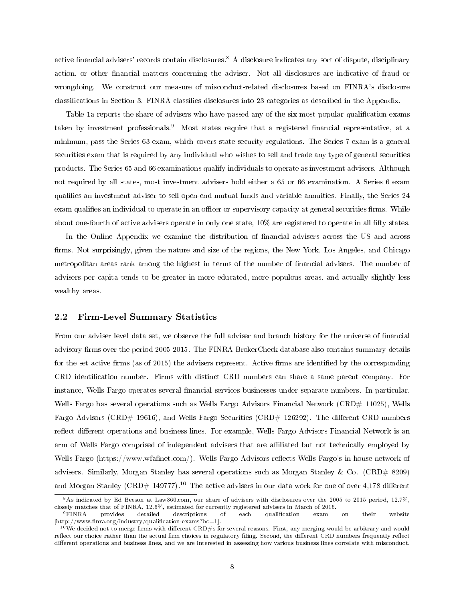active financial advisers' records contain disclosures.<sup>8</sup> A disclosure indicates any sort of dispute, disciplinary action, or other financial matters concerning the adviser. Not all disclosures are indicative of fraud or wrongdoing. We construct our measure of misconduct-related disclosures based on FINRA's disclosure classifications in Section 3. FINRA classifies disclosures into 23 categories as described in the Appendix.

Table 1a reports the share of advisers who have passed any of the six most popular qualification exams taken by investment professionals.<sup>9</sup> Most states require that a registered nancial representative, at a minimum, pass the Series 63 exam, which covers state security regulations. The Series 7 exam is a general securities exam that is required by any individual who wishes to sell and trade any type of general securities products. The Series 65 and 66 examinations qualify individuals to operate as investment advisers. Although not required by all states, most investment advisers hold either a 65 or 66 examination. A Series 6 exam qualifies an investment adviser to sell open-end mutual funds and variable annuities. Finally, the Series 24 exam qualifies an individual to operate in an officer or supervisory capacity at general securities firms. While about one-fourth of active advisers operate in only one state, 10% are registered to operate in all fty states.

In the Online Appendix we examine the distribution of financial advisers across the US and across firms. Not surprisingly, given the nature and size of the regions, the New York, Los Angeles, and Chicago metropolitan areas rank among the highest in terms of the number of nancial advisers. The number of advisers per capita tends to be greater in more educated, more populous areas, and actually slightly less wealthy areas.

## 2.2 Firm-Level Summary Statistics

From our adviser level data set, we observe the full adviser and branch history for the universe of nancial advisory firms over the period 2005-2015. The FINRA BrokerCheck database also contains summary details for the set active firms (as of 2015) the advisers represent. Active firms are identified by the corresponding CRD identication number. Firms with distinct CRD numbers can share a same parent company. For instance, Wells Fargo operates several financial services businesses under separate numbers. In particular, Wells Fargo has several operations such as Wells Fargo Advisors Financial Network ( $CRD# 11025$ ), Wells Fargo Advisors (CRD# 19616), and Wells Fargo Securities (CRD# 126292). The different CRD numbers reflect different operations and business lines. For example, Wells Fargo Advisors Financial Network is an arm of Wells Fargo comprised of independent advisers that are affiliated but not technically employed by Wells Fargo (https://www.wfafinet.com/). Wells Fargo Advisors reflects Wells Fargo's in-house network of advisers. Similarly, Morgan Stanley has several operations such as Morgan Stanley & Co. (CRD# 8209) and Morgan Stanley (CRD# 149777).<sup>10</sup> The active advisers in our data work for one of over 4,178 different

<sup>8</sup>As indicated by Ed Beeson at Law360.com, our share of advisers with disclosures over the 2005 to 2015 period, 12.7%, closely matches that of FINRA, 12.6%, estimated for currently registered advisers in March of 2016.

<sup>9</sup>FINRA provides detailed descriptions of each qualication exam on their website  $[http://www.finra.org/indextry/qualification-exams?bc=1].$ 

 $10$ We decided not to merge firms with different CRD#s for several reasons. First, any merging would be arbitrary and would reflect our choice rather than the actual firm choices in regulatory filing. Second, the different CRD numbers frequently reflect different operations and business lines, and we are interested in assessing how various business lines correlate with misconduct.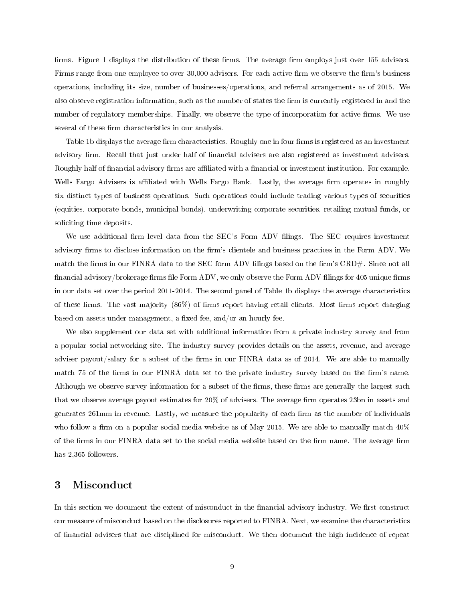firms. Figure 1 displays the distribution of these firms. The average firm employs just over 155 advisers. Firms range from one employee to over 30,000 advisers. For each active firm we observe the firm's business operations, including its size, number of businesses/operations, and referral arrangements as of 2015. We also observe registration information, such as the number of states the firm is currently registered in and the number of regulatory memberships. Finally, we observe the type of incorporation for active firms. We use several of these firm characteristics in our analysis.

Table 1b displays the average firm characteristics. Roughly one in four firms is registered as an investment advisory firm. Recall that just under half of financial advisers are also registered as investment advisers. Roughly half of financial advisory firms are affiliated with a financial or investment institution. For example, Wells Fargo Advisers is affiliated with Wells Fargo Bank. Lastly, the average firm operates in roughly six distinct types of business operations. Such operations could include trading various types of securities (equities, corporate bonds, municipal bonds), underwriting corporate securities, retailing mutual funds, or soliciting time deposits.

We use additional firm level data from the SEC's Form ADV filings. The SEC requires investment advisory firms to disclose information on the firm's clientele and business practices in the Form ADV. We match the firms in our FINRA data to the SEC form ADV filings based on the firm's  $CRD#$ . Since not all financial advisory/brokerage firms file Form ADV, we only observe the Form ADV filings for  $405$  unique firms in our data set over the period 2011-2014. The second panel of Table 1b displays the average characteristics of these firms. The vast majority (86%) of firms report having retail clients. Most firms report charging based on assets under management, a fixed fee, and/or an hourly fee.

We also supplement our data set with additional information from a private industry survey and from a popular social networking site. The industry survey provides details on the assets, revenue, and average adviser payout/salary for a subset of the firms in our FINRA data as of 2014. We are able to manually match 75 of the firms in our FINRA data set to the private industry survey based on the firm's name. Although we observe survey information for a subset of the firms, these firms are generally the largest such that we observe average payout estimates for 20% of advisers. The average firm operates 23bn in assets and generates 261mm in revenue. Lastly, we measure the popularity of each firm as the number of individuals who follow a firm on a popular social media website as of May 2015. We are able to manually match  $40\%$ of the firms in our FINRA data set to the social media website based on the firm name. The average firm has 2,365 followers.

# 3 Misconduct

In this section we document the extent of misconduct in the financial advisory industry. We first construct our measure of misconduct based on the disclosures reported to FINRA. Next, we examine the characteristics of nancial advisers that are disciplined for misconduct. We then document the high incidence of repeat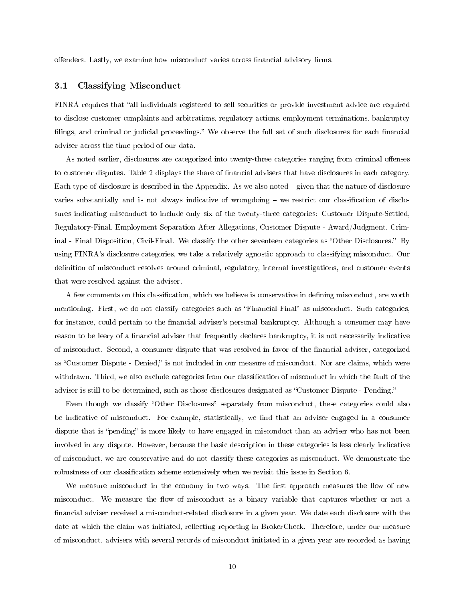offenders. Lastly, we examine how misconduct varies across financial advisory firms.

## 3.1 Classifying Misconduct

FINRA requires that "all individuals registered to sell securities or provide investment advice are required to disclose customer complaints and arbitrations, regulatory actions, employment terminations, bankruptcy filings, and criminal or judicial proceedings." We observe the full set of such disclosures for each financial adviser across the time period of our data.

As noted earlier, disclosures are categorized into twenty-three categories ranging from criminal offenses to customer disputes. Table 2 displays the share of nancial advisers that have disclosures in each category. Each type of disclosure is described in the Appendix. As we also noted – given that the nature of disclosure varies substantially and is not always indicative of wrongdoing – we restrict our classification of disclosures indicating misconduct to include only six of the twenty-three categories: Customer Dispute-Settled, Regulatory-Final, Employment Separation After Allegations, Customer Dispute - Award/Judgment, Criminal - Final Disposition, Civil-Final. We classify the other seventeen categories as "Other Disclosures." By using FINRA's disclosure categories, we take a relatively agnostic approach to classifying misconduct. Our definition of misconduct resolves around criminal, regulatory, internal investigations, and customer events that were resolved against the adviser.

A few comments on this classification, which we believe is conservative in defining misconduct, are worth mentioning. First, we do not classify categories such as "Financial-Final" as misconduct. Such categories, for instance, could pertain to the financial adviser's personal bankruptcy. Although a consumer may have reason to be leery of a financial adviser that frequently declares bankruptcy, it is not necessarily indicative of misconduct. Second, a consumer dispute that was resolved in favor of the financial adviser, categorized as "Customer Dispute - Denied," is not included in our measure of misconduct. Nor are claims, which were withdrawn. Third, we also exclude categories from our classification of misconduct in which the fault of the adviser is still to be determined, such as those disclosures designated as "Customer Dispute - Pending."

Even though we classify "Other Disclosures" separately from misconduct, these categories could also be indicative of misconduct. For example, statistically, we find that an adviser engaged in a consumer dispute that is "pending" is more likely to have engaged in misconduct than an adviser who has not been involved in any dispute. However, because the basic description in these categories is less clearly indicative of misconduct, we are conservative and do not classify these categories as misconduct. We demonstrate the robustness of our classication scheme extensively when we revisit this issue in Section 6.

We measure misconduct in the economy in two ways. The first approach measures the flow of new misconduct. We measure the flow of misconduct as a binary variable that captures whether or not a financial adviser received a misconduct-related disclosure in a given year. We date each disclosure with the date at which the claim was initiated, reflecting reporting in BrokerCheck. Therefore, under our measure of misconduct, advisers with several records of misconduct initiated in a given year are recorded as having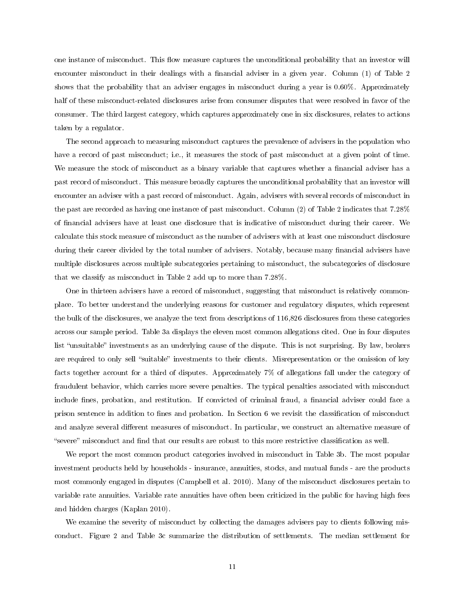one instance of misconduct. This flow measure captures the unconditional probability that an investor will encounter misconduct in their dealings with a financial adviser in a given year. Column  $(1)$  of Table 2 shows that the probability that an adviser engages in misconduct during a year is 0.60%. Approximately half of these misconduct-related disclosures arise from consumer disputes that were resolved in favor of the consumer. The third largest category, which captures approximately one in six disclosures, relates to actions taken by a regulator.

The second approach to measuring misconduct captures the prevalence of advisers in the population who have a record of past misconduct; i.e., it measures the stock of past misconduct at a given point of time. We measure the stock of misconduct as a binary variable that captures whether a financial adviser has a past record of misconduct. This measure broadly captures the unconditional probability that an investor will encounter an adviser with a past record of misconduct. Again, advisers with several records of misconduct in the past are recorded as having one instance of past misconduct. Column (2) of Table 2 indicates that 7.28% of nancial advisers have at least one disclosure that is indicative of misconduct during their career. We calculate this stock measure of misconduct as the number of advisers with at least one misconduct disclosure during their career divided by the total number of advisers. Notably, because many financial advisers have multiple disclosures across multiple subcategories pertaining to misconduct, the subcategories of disclosure that we classify as misconduct in Table 2 add up to more than 7.28%.

One in thirteen advisers have a record of misconduct, suggesting that misconduct is relatively commonplace. To better understand the underlying reasons for customer and regulatory disputes, which represent the bulk of the disclosures, we analyze the text from descriptions of 116,826 disclosures from these categories across our sample period. Table 3a displays the eleven most common allegations cited. One in four disputes list "unsuitable" investments as an underlying cause of the dispute. This is not surprising. By law, brokers are required to only sell "suitable" investments to their clients. Misrepresentation or the omission of key facts together account for a third of disputes. Approximately 7% of allegations fall under the category of fraudulent behavior, which carries more severe penalties. The typical penalties associated with misconduct include fines, probation, and restitution. If convicted of criminal fraud, a financial adviser could face a prison sentence in addition to fines and probation. In Section 6 we revisit the classification of misconduct and analyze several different measures of misconduct. In particular, we construct an alternative measure of "severe" misconduct and find that our results are robust to this more restrictive classification as well.

We report the most common product categories involved in misconduct in Table 3b. The most popular investment products held by households - insurance, annuities, stocks, and mutual funds - are the products most commonly engaged in disputes (Campbell et al. 2010). Many of the misconduct disclosures pertain to variable rate annuities. Variable rate annuities have often been criticized in the public for having high fees and hidden charges (Kaplan 2010).

We examine the severity of misconduct by collecting the damages advisers pay to clients following misconduct. Figure 2 and Table 3c summarize the distribution of settlements. The median settlement for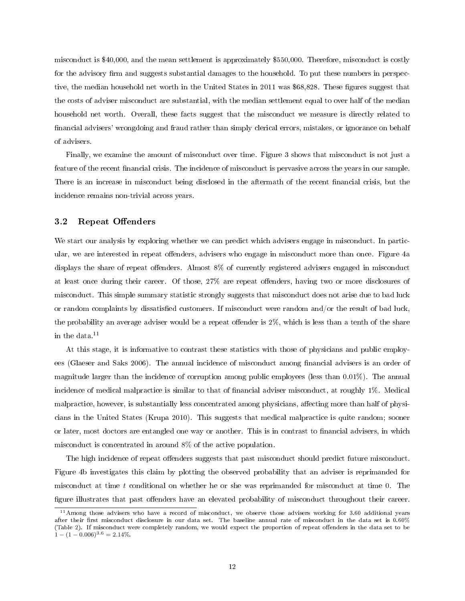misconduct is \$40,000, and the mean settlement is approximately \$550,000. Therefore, misconduct is costly for the advisory firm and suggests substantial damages to the household. To put these numbers in perspective, the median household net worth in the United States in 2011 was \$68,828. These figures suggest that the costs of adviser misconduct are substantial, with the median settlement equal to over half of the median household net worth. Overall, these facts suggest that the misconduct we measure is directly related to financial advisers' wrongdoing and fraud rather than simply clerical errors, mistakes, or ignorance on behalf of advisers.

Finally, we examine the amount of misconduct over time. Figure 3 shows that misconduct is not just a feature of the recent financial crisis. The incidence of misconduct is pervasive across the years in our sample. There is an increase in misconduct being disclosed in the aftermath of the recent financial crisis, but the incidence remains non-trivial across years.

### 3.2 Repeat Offenders

We start our analysis by exploring whether we can predict which advisers engage in misconduct. In particular, we are interested in repeat offenders, advisers who engage in misconduct more than once. Figure 4a displays the share of repeat of enders. Almost  $8\%$  of currently registered advisers engaged in misconduct at least once during their career. Of those,  $27\%$  are repeat offenders, having two or more disclosures of misconduct. This simple summary statistic strongly suggests that misconduct does not arise due to bad luck or random complaints by dissatisfied customers. If misconduct were random and/or the result of bad luck, the probability an average adviser would be a repeat offender is  $2\%$ , which is less than a tenth of the share in the data.<sup>11</sup>

At this stage, it is informative to contrast these statistics with those of physicians and public employees (Glaeser and Saks 2006). The annual incidence of misconduct among financial advisers is an order of magnitude larger than the incidence of corruption among public employees (less than 0.01%). The annual incidence of medical malpractice is similar to that of financial adviser misconduct, at roughly 1%. Medical malpractice, however, is substantially less concentrated among physicians, affecting more than half of physicians in the United States (Krupa 2010). This suggests that medical malpractice is quite random; sooner or later, most doctors are entangled one way or another. This is in contrast to financial advisers, in which misconduct is concentrated in around 8% of the active population.

The high incidence of repeat offenders suggests that past misconduct should predict future misconduct. Figure 4b investigates this claim by plotting the observed probability that an adviser is reprimanded for misconduct at time t conditional on whether he or she was reprimanded for misconduct at time 0. The figure illustrates that past offenders have an elevated probability of misconduct throughout their career.

 $11$  Among those advisers who have a record of misconduct, we observe those advisers working for 3.60 additional years after their first misconduct disclosure in our data set. The baseline annual rate of misconduct in the data set is 0.60% (Table 2). If misconduct were completely random, we would expect the proportion of repeat offenders in the data set to be  $1 - (1 - 0.006)^{3.6} = 2.14\%$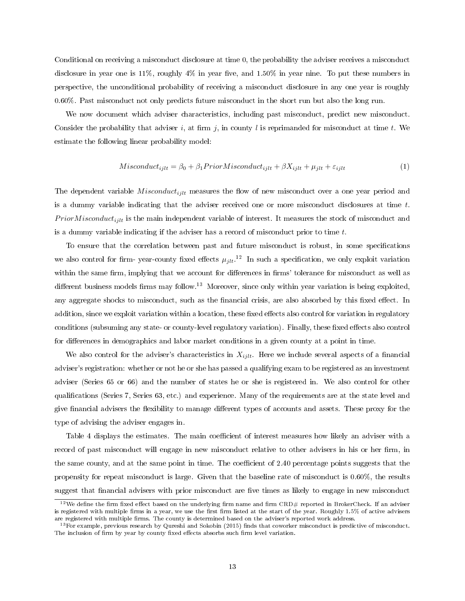Conditional on receiving a misconduct disclosure at time 0, the probability the adviser receives a misconduct disclosure in year one is  $11\%$ , roughly  $4\%$  in year five, and  $1.50\%$  in year nine. To put these numbers in perspective, the unconditional probability of receiving a misconduct disclosure in any one year is roughly 0.60%. Past misconduct not only predicts future misconduct in the short run but also the long run.

We now document which adviser characteristics, including past misconduct, predict new misconduct. Consider the probability that adviser i, at firm j, in county l is reprimanded for misconduct at time t. We estimate the following linear probability model:

$$
Misconduct_{ijlt} = \beta_0 + \beta_1 PriorMisconduct_{ijlt} + \beta X_{ijlt} + \mu_{jlt} + \varepsilon_{ijlt}
$$
\n(1)

The dependent variable  $M is conduct_{iijlt}$  measures the flow of new misconduct over a one year period and is a dummy variable indicating that the adviser received one or more misconduct disclosures at time  $t$ .  $Prior Misconduct<sub>ijlt</sub>$  is the main independent variable of interest. It measures the stock of misconduct and is a dummy variable indicating if the adviser has a record of misconduct prior to time  $t$ .

To ensure that the correlation between past and future misconduct is robust, in some specications we also control for firm- year-county fixed effects  $\mu_{jlt}$ .<sup>12</sup> In such a specification, we only exploit variation within the same firm, implying that we account for differences in firms' tolerance for misconduct as well as different business models firms may follow.<sup>13</sup> Moreover, since only within year variation is being exploited, any aggregate shocks to misconduct, such as the financial crisis, are also absorbed by this fixed effect. In addition, since we exploit variation within a location, these fixed effects also control for variation in regulatory conditions (subsuming any state- or county-level regulatory variation). Finally, these fixed effects also control for differences in demographics and labor market conditions in a given county at a point in time.

We also control for the adviser's characteristics in  $X_{i j l t}$ . Here we include several aspects of a financial adviser's registration: whether or not he or she has passed a qualifying exam to be registered as an investment adviser (Series 65 or 66) and the number of states he or she is registered in. We also control for other qualifications (Series 7, Series 63, etc.) and experience. Many of the requirements are at the state level and give financial advisers the flexibility to manage different types of accounts and assets. These proxy for the type of advising the adviser engages in.

Table 4 displays the estimates. The main coefficient of interest measures how likely an adviser with a record of past misconduct will engage in new misconduct relative to other advisers in his or her firm, in the same county, and at the same point in time. The coefficient of 2.40 percentage points suggests that the propensity for repeat misconduct is large. Given that the baseline rate of misconduct is 0.60%, the results suggest that financial advisers with prior misconduct are five times as likely to engage in new misconduct

 $12$ We define the firm fixed effect based on the underlying firm name and firm CRD# reported in BrokerCheck. If an adviser is registered with multiple firms in a year, we use the first firm listed at the start of the year. Roughly 1.5% of active advisers are registered with multiple firms. The county is determined based on the adviser's reported work address.

 $^{13}$ For example, previous research by Qureshi and Sokobin (2015) finds that coworker misconduct is predictive of misconduct. The inclusion of firm by year by county fixed effects absorbs such firm level variation.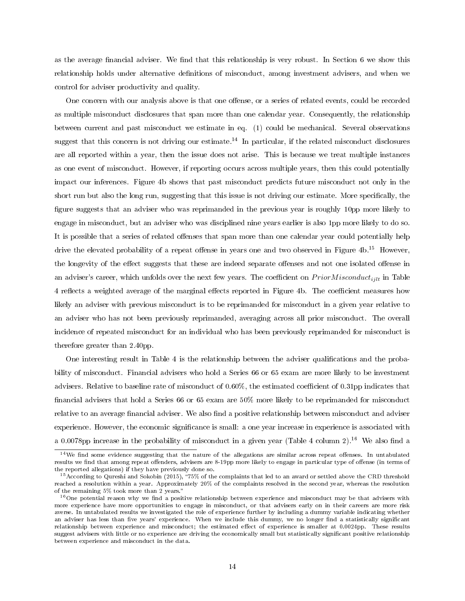as the average financial adviser. We find that this relationship is very robust. In Section 6 we show this relationship holds under alternative denitions of misconduct, among investment advisers, and when we control for adviser productivity and quality.

One concern with our analysis above is that one offense, or a series of related events, could be recorded as multiple misconduct disclosures that span more than one calendar year. Consequently, the relationship between current and past misconduct we estimate in eq. (1) could be mechanical. Several observations suggest that this concern is not driving our estimate.<sup>14</sup> In particular, if the related misconduct disclosures are all reported within a year, then the issue does not arise. This is because we treat multiple instances as one event of misconduct. However, if reporting occurs across multiple years, then this could potentially impact our inferences. Figure 4b shows that past misconduct predicts future misconduct not only in the short run but also the long run, suggesting that this issue is not driving our estimate. More specifically, the figure suggests that an adviser who was reprimanded in the previous year is roughly 10pp more likely to engage in misconduct, but an adviser who was disciplined nine years earlier is also 1pp more likely to do so. It is possible that a series of related offenses that span more than one calendar year could potentially help drive the elevated probability of a repeat offense in years one and two observed in Figure  $4b$ .<sup>15</sup> However, the longevity of the effect suggests that these are indeed separate offenses and not one isolated offense in an adviser's career, which unfolds over the next few years. The coefficient on  $Prior Misconduct_{i}$  in Table 4 reflects a weighted average of the marginal effects reported in Figure 4b. The coefficient measures how likely an adviser with previous misconduct is to be reprimanded for misconduct in a given year relative to an adviser who has not been previously reprimanded, averaging across all prior misconduct. The overall incidence of repeated misconduct for an individual who has been previously reprimanded for misconduct is therefore greater than 2.40pp.

One interesting result in Table 4 is the relationship between the adviser qualications and the probability of misconduct. Financial advisers who hold a Series 66 or 65 exam are more likely to be investment advisers. Relative to baseline rate of misconduct of 0.60%, the estimated coefficient of 0.31pp indicates that financial advisers that hold a Series 66 or 65 exam are 50% more likely to be reprimanded for misconduct relative to an average financial adviser. We also find a positive relationship between misconduct and adviser experience. However, the economic significance is small: a one year increase in experience is associated with a 0.0078pp increase in the probability of misconduct in a given year (Table 4 column 2).<sup>16</sup> We also find a

 $14$ We find some evidence suggesting that the nature of the allegations are similar across repeat offenses. In untabulated results we find that among repeat offenders, advisers are 8-19pp more likely to engage in particular type of offense (in terms of the reported allegations) if they have previously done so.

 $15$  According to Qureshi and Sokobin (2015), "75% of the complaints that led to an award or settled above the CRD threshold reached a resolution within a year. Approximately 20% of the complaints resolved in the second year, whereas the resolution of the remaining 5% took more than 2 years.

 $16$ One potential reason why we find a positive relationship between experience and misconduct may be that advisers with more experience have more opportunities to engage in misconduct, or that advisers early on in their careers are more risk averse. In untabulated results we investigated the role of experience further by including a dummy variable indicating whether an adviser has less than five years' experience. When we include this dummy, we no longer find a statistically significant relationship between experience and misconduct; the estimated effect of experience is smaller at 0.0024pp. These results suggest advisers with little or no experience are driving the economically small but statistically signicant positive relationship between experience and misconduct in the data.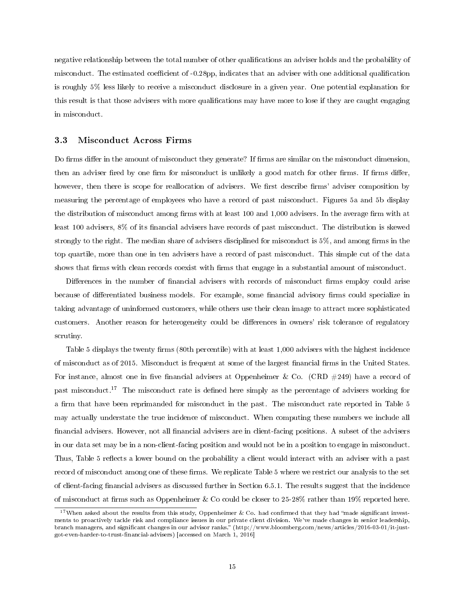negative relationship between the total number of other qualifications an adviser holds and the probability of misconduct. The estimated coefficient of -0.28pp, indicates that an adviser with one additional qualification is roughly 5% less likely to receive a misconduct disclosure in a given year. One potential explanation for this result is that those advisers with more qualifications may have more to lose if they are caught engaging in misconduct.

### 3.3 Misconduct Across Firms

Do firms differ in the amount of misconduct they generate? If firms are similar on the misconduct dimension, then an adviser fired by one firm for misconduct is unlikely a good match for other firms. If firms differ, however, then there is scope for reallocation of advisers. We first describe firms' adviser composition by measuring the percentage of employees who have a record of past misconduct. Figures 5a and 5b display the distribution of misconduct among firms with at least 100 and 1,000 advisers. In the average firm with at least 100 advisers, 8% of its financial advisers have records of past misconduct. The distribution is skewed strongly to the right. The median share of advisers disciplined for misconduct is  $5\%$ , and among firms in the top quartile, more than one in ten advisers have a record of past misconduct. This simple cut of the data shows that firms with clean records coexist with firms that engage in a substantial amount of misconduct.

Differences in the number of financial advisers with records of misconduct firms employ could arise because of differentiated business models. For example, some financial advisory firms could specialize in taking advantage of uninformed customers, while others use their clean image to attract more sophisticated customers. Another reason for heterogeneity could be differences in owners' risk tolerance of regulatory scrutiny.

Table 5 displays the twenty firms (80th percentile) with at least 1,000 advisers with the highest incidence of misconduct as of 2015. Misconduct is frequent at some of the largest financial firms in the United States. For instance, almost one in five financial advisers at Oppenheimer & Co. (CRD  $\#249$ ) have a record of past misconduct.<sup>17</sup> The misconduct rate is defined here simply as the percentage of advisers working for a firm that have been reprimanded for misconduct in the past. The misconduct rate reported in Table 5 may actually understate the true incidence of misconduct. When computing these numbers we include all financial advisers. However, not all financial advisers are in client-facing positions. A subset of the advisers in our data set may be in a non-client-facing position and would not be in a position to engage in misconduct. Thus, Table 5 reflects a lower bound on the probability a client would interact with an adviser with a past record of misconduct among one of these firms. We replicate Table 5 where we restrict our analysis to the set of client-facing financial advisers as discussed further in Section 6.5.1. The results suggest that the incidence of misconduct at firms such as Oppenheimer & Co could be closer to  $25-28\%$  rather than  $19\%$  reported here.

<sup>&</sup>lt;sup>17</sup>When asked about the results from this study, Oppenheimer & Co. had confirmed that they had "made significant investments to proactively tackle risk and compliance issues in our private client division. We've made changes in senior leadership, branch managers, and signicant changes in our advisor ranks. (http://www.bloomberg.com/news/articles/2016-03-01/it-justgot-even-harder-to-trust-financial-advisers) [accessed on March 1, 2016]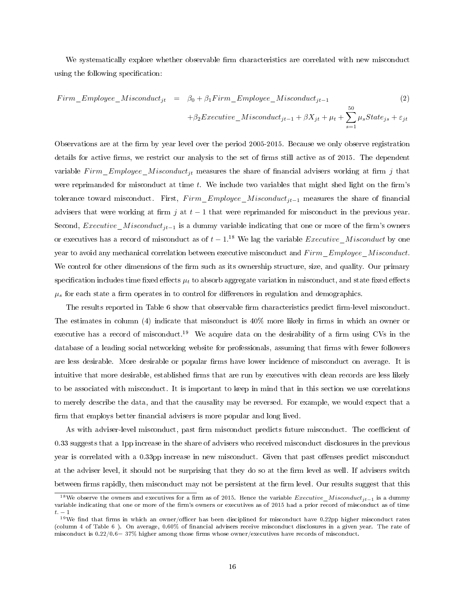We systematically explore whether observable firm characteristics are correlated with new misconduct using the following specification:

$$
Firm\_Employee\_Misconduct_{jt} = \beta_0 + \beta_1 Firm\_Employee\_Misconduct_{jt-1}
$$
\n
$$
+ \beta_2 Executive\_Misconduct_{jt-1} + \beta X_{jt} + \mu_t + \sum_{s=1}^{50} \mu_s State_{js} + \varepsilon_{jt}
$$
\n(2)

Observations are at the firm by year level over the period 2005-2015. Because we only observe registration details for active firms, we restrict our analysis to the set of firms still active as of 2015. The dependent variable Firm Employee–Misconduct<sub>it</sub> measures the share of financial advisers working at firm j that were reprimanded for misconduct at time  $t$ . We include two variables that might shed light on the firm's tolerance toward misconduct. First,  $Firm\_Employee\_M is conduct_{it-1}$  measures the share of financial advisers that were working at firm j at  $t - 1$  that were reprimanded for misconduct in the previous year. Second, Executive\_Misconduct<sub>jt−1</sub> is a dummy variable indicating that one or more of the firm's owners or executives has a record of misconduct as of  $t - 1$ .<sup>18</sup> We lag the variable *Executive\_Misconduct* by one year to avoid any mechanical correlation between executive misconduct and  $Firm$  Employee–Misconduct. We control for other dimensions of the firm such as its ownership structure, size, and quality. Our primary specification includes time fixed effects  $\mu_t$  to absorb aggregate variation in misconduct, and state fixed effects  $\mu_s$  for each state a firm operates in to control for differences in regulation and demographics.

The results reported in Table 6 show that observable firm characteristics predict firm-level misconduct. The estimates in column  $(4)$  indicate that misconduct is  $40\%$  more likely in firms in which an owner or executive has a record of misconduct.<sup>19</sup> We acquire data on the desirability of a firm using CVs in the database of a leading social networking website for professionals, assuming that firms with fewer followers are less desirable. More desirable or popular firms have lower incidence of misconduct on average. It is intuitive that more desirable, established firms that are run by executives with clean records are less likely to be associated with misconduct. It is important to keep in mind that in this section we use correlations to merely describe the data, and that the causality may be reversed. For example, we would expect that a firm that employs better financial advisers is more popular and long lived.

As with adviser-level misconduct, past firm misconduct predicts future misconduct. The coefficient of 0.33 suggests that a 1pp increase in the share of advisers who received misconduct disclosures in the previous year is correlated with a 0.33pp increase in new misconduct. Given that past offenses predict misconduct at the adviser level, it should not be surprising that they do so at the firm level as well. If advisers switch between firms rapidly, then misconduct may not be persistent at the firm level. Our results suggest that this

<sup>&</sup>lt;sup>18</sup>We observe the owners and executives for a firm as of 2015. Hence the variable Executive\_Misconduct<sub>it</sub><sub>-1</sub> is a dummy variable indicating that one or more of the firm's owners or executives as of 2015 had a prior record of misconduct as of time  $t.-1\,$ 

 $19$ We find that firms in which an owner/officer has been disciplined for misconduct have 0.22pp higher misconduct rates (column 4 of Table 6 ). On average, 0.60% of nancial advisers receive misconduct disclosures in a given year. The rate of misconduct is  $0.22/0.6=37\%$  higher among those firms whose owner/executives have records of misconduct.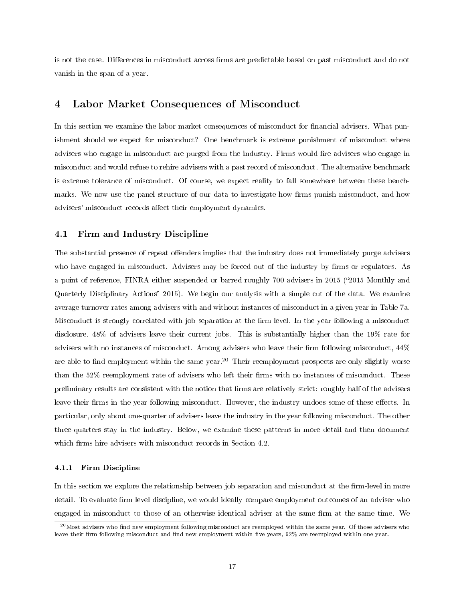is not the case. Differences in misconduct across firms are predictable based on past misconduct and do not vanish in the span of a year.

# 4 Labor Market Consequences of Misconduct

In this section we examine the labor market consequences of misconduct for financial advisers. What punishment should we expect for misconduct? One benchmark is extreme punishment of misconduct where advisers who engage in misconduct are purged from the industry. Firms would fire advisers who engage in misconduct and would refuse to rehire advisers with a past record of misconduct. The alternative benchmark is extreme tolerance of misconduct. Of course, we expect reality to fall somewhere between these benchmarks. We now use the panel structure of our data to investigate how firms punish misconduct, and how advisers' misconduct records affect their employment dynamics.

## 4.1 Firm and Industry Discipline

The substantial presence of repeat offenders implies that the industry does not immediately purge advisers who have engaged in misconduct. Advisers may be forced out of the industry by firms or regulators. As a point of reference, FINRA either suspended or barred roughly 700 advisers in 2015 ("2015 Monthly and Quarterly Disciplinary Actions" 2015). We begin our analysis with a simple cut of the data. We examine average turnover rates among advisers with and without instances of misconduct in a given year in Table 7a. Misconduct is strongly correlated with job separation at the firm level. In the year following a misconduct disclosure, 48% of advisers leave their current jobs. This is substantially higher than the 19% rate for advisers with no instances of misconduct. Among advisers who leave their firm following misconduct,  $44\%$ are able to find employment within the same year.<sup>20</sup> Their reemployment prospects are only slightly worse than the 52% reemployment rate of advisers who left their firms with no instances of misconduct. These preliminary results are consistent with the notion that firms are relatively strict: roughly half of the advisers leave their firms in the year following misconduct. However, the industry undoes some of these effects. In particular, only about one-quarter of advisers leave the industry in the year following misconduct. The other three-quarters stay in the industry. Below, we examine these patterns in more detail and then document which firms hire advisers with misconduct records in Section 4.2.

## 4.1.1 Firm Discipline

In this section we explore the relationship between job separation and misconduct at the firm-level in more detail. To evaluate firm level discipline, we would ideally compare employment outcomes of an adviser who engaged in misconduct to those of an otherwise identical adviser at the same firm at the same time. We

 $20$ Most advisers who find new employment following misconduct are reemployed within the same year. Of those advisers who leave their firm following misconduct and find new employment within five years, 92% are reemployed within one year.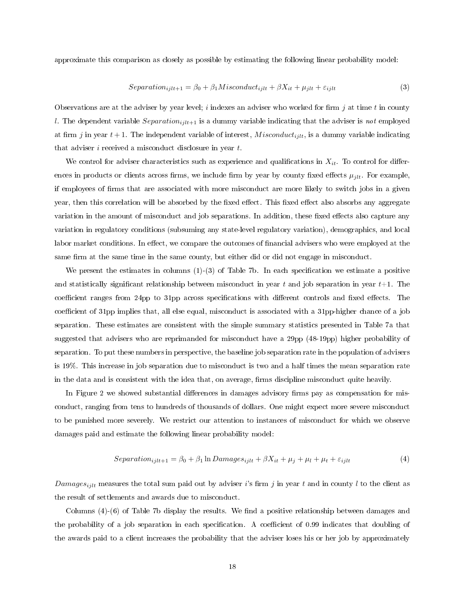approximate this comparison as closely as possible by estimating the following linear probability model:

$$
Separation_{ijlt+1} = \beta_0 + \beta_1 Misconduct_{ijlt} + \beta X_{it} + \mu_{jlt} + \varepsilon_{ijlt}
$$
\n
$$
\tag{3}
$$

Observations are at the adviser by year level; i indexes an adviser who worked for firm j at time t in county l. The dependent variable Separation<sub>ijlt+1</sub> is a dummy variable indicating that the adviser is not employed at firm j in year  $t + 1$ . The independent variable of interest, Misconduct<sub>ijlt</sub>, is a dummy variable indicating that adviser  $i$  received a misconduct disclosure in year  $t$ .

We control for adviser characteristics such as experience and qualifications in  $X_{it}$ . To control for differences in products or clients across firms, we include firm by year by county fixed effects  $\mu_{jlt}$ . For example, if employees of firms that are associated with more misconduct are more likely to switch jobs in a given year, then this correlation will be absorbed by the fixed effect. This fixed effect also absorbs any aggregate variation in the amount of misconduct and job separations. In addition, these fixed effects also capture any variation in regulatory conditions (subsuming any state-level regulatory variation), demographics, and local labor market conditions. In effect, we compare the outcomes of financial advisers who were employed at the same firm at the same time in the same county, but either did or did not engage in misconduct.

We present the estimates in columns  $(1)-(3)$  of Table 7b. In each specification we estimate a positive and statistically significant relationship between misconduct in year t and job separation in year  $t+1$ . The coefficient ranges from 24pp to 31pp across specifications with different controls and fixed effects. The coefficient of 31pp implies that, all else equal, misconduct is associated with a 31pp-higher chance of a job separation. These estimates are consistent with the simple summary statistics presented in Table 7a that suggested that advisers who are reprimanded for misconduct have a 29pp (48-19pp) higher probability of separation. To put these numbers in perspective, the baseline job separation rate in the population of advisers is 19%. This increase in job separation due to misconduct is two and a half times the mean separation rate in the data and is consistent with the idea that, on average, firms discipline misconduct quite heavily.

In Figure 2 we showed substantial differences in damages advisory firms pay as compensation for misconduct, ranging from tens to hundreds of thousands of dollars. One might expect more severe misconduct to be punished more severely. We restrict our attention to instances of misconduct for which we observe damages paid and estimate the following linear probability model:

$$
Separation_{ijlt+1} = \beta_0 + \beta_1 \ln Damages_{ijlt} + \beta X_{it} + \mu_j + \mu_l + \mu_t + \varepsilon_{ijlt}
$$
\n
$$
\tag{4}
$$

Damages<sub>ijlt</sub> measures the total sum paid out by adviser i's firm j in year t and in county l to the client as the result of settlements and awards due to misconduct.

Columns  $(4)-(6)$  of Table 7b display the results. We find a positive relationship between damages and the probability of a job separation in each specification. A coefficient of 0.99 indicates that doubling of the awards paid to a client increases the probability that the adviser loses his or her job by approximately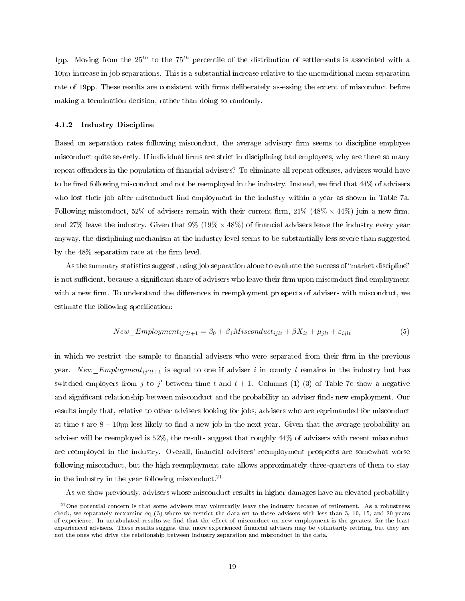1pp. Moving from the  $25^{th}$  to the 75<sup>th</sup> percentile of the distribution of settlements is associated with a 10pp-increase in job separations. This is a substantial increase relative to the unconditional mean separation rate of 19pp. These results are consistent with firms deliberately assessing the extent of misconduct before making a termination decision, rather than doing so randomly.

### 4.1.2 Industry Discipline

Based on separation rates following misconduct, the average advisory firm seems to discipline employee misconduct quite severely. If individual firms are strict in disciplining bad employees, why are there so many repeat offenders in the population of financial advisers? To eliminate all repeat offenses, advisers would have to be fired following misconduct and not be reemployed in the industry. Instead, we find that 44% of advisers who lost their job after misconduct find employment in the industry within a year as shown in Table 7a. Following misconduct, 52% of advisers remain with their current firm,  $21\%$  (48%  $\times$  44%) join a new firm, and 27% leave the industry. Given that  $9\%$  ( $19\% \times 48\%$ ) of financial advisers leave the industry every year anyway, the disciplining mechanism at the industry level seems to be substantially less severe than suggested by the  $48\%$  separation rate at the firm level.

As the summary statistics suggest, using job separation alone to evaluate the success of "market discipline" is not sufficient, because a significant share of advisers who leave their firm upon misconduct find employment with a new firm. To understand the differences in reemployment prospects of advisers with misconduct, we estimate the following specification:

$$
New\_Emplogment_{ij'lt+1} = \beta_0 + \beta_1 Misconduct_{ijlt} + \beta X_{it} + \mu_{jlt} + \varepsilon_{ijlt}
$$
\n
$$
(5)
$$

in which we restrict the sample to financial advisers who were separated from their firm in the previous year. New\_Employment $_{ij'llt+1}$  is equal to one if adviser  $i$  in county  $l$  remains in the industry but has switched employers from j to j' between time t and  $t + 1$ . Columns (1)-(3) of Table 7c show a negative and significant relationship between misconduct and the probability an adviser finds new employment. Our results imply that, relative to other advisers looking for jobs, advisers who are reprimanded for misconduct at time t are  $8 - 10$ pp less likely to find a new job in the next year. Given that the average probability an adviser will be reemployed is 52%, the results suggest that roughly 44% of advisers with recent misconduct are reemployed in the industry. Overall, financial advisers' reemployment prospects are somewhat worse following misconduct, but the high reemployment rate allows approximately three-quarters of them to stay in the industry in the year following misconduct.<sup>21</sup>

As we show previously, advisers whose misconduct results in higher damages have an elevated probability

 $^{21}$ One potential concern is that some advisers may voluntarily leave the industry because of retirement. As a robustness check, we separately reexamine eq (5) where we restrict the data set to those advisers with less than 5, 10, 15, and 20 years of experience. In untabulated results we find that the effect of misconduct on new employment is the greatest for the least experienced advisers. These results suggest that more experienced nancial advisers may be voluntarily retiring, but they are not the ones who drive the relationship between industry separation and misconduct in the data.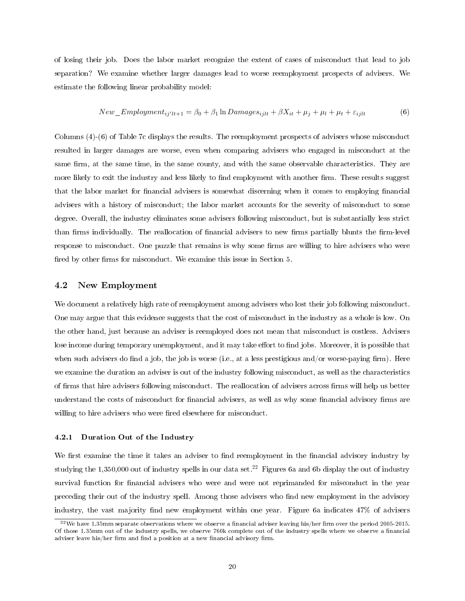of losing their job. Does the labor market recognize the extent of cases of misconduct that lead to job separation? We examine whether larger damages lead to worse reemployment prospects of advisers. We estimate the following linear probability model:

$$
New\_Emplogment_{ij'lt+1} = \beta_0 + \beta_1 \ln Damages_{ijlt} + \beta X_{it} + \mu_j + \mu_t + \varepsilon_{ijlt}
$$
\n(6)

Columns (4)-(6) of Table 7c displays the results. The reemployment prospects of advisers whose misconduct resulted in larger damages are worse, even when comparing advisers who engaged in misconduct at the same firm, at the same time, in the same county, and with the same observable characteristics. They are more likely to exit the industry and less likely to find employment with another firm. These results suggest that the labor market for financial advisers is somewhat discerning when it comes to employing financial advisers with a history of misconduct; the labor market accounts for the severity of misconduct to some degree. Overall, the industry eliminates some advisers following misconduct, but is substantially less strict than firms individually. The reallocation of financial advisers to new firms partially blunts the firm-level response to misconduct. One puzzle that remains is why some firms are willing to hire advisers who were fired by other firms for misconduct. We examine this issue in Section 5.

## 4.2 New Employment

We document a relatively high rate of reemployment among advisers who lost their job following misconduct. One may argue that this evidence suggests that the cost of misconduct in the industry as a whole is low. On the other hand, just because an adviser is reemployed does not mean that misconduct is costless. Advisers lose income during temporary unemployment, and it may take effort to find jobs. Moreover, it is possible that when such advisers do find a job, the job is worse (i.e., at a less prestigious and/or worse-paying firm). Here we examine the duration an adviser is out of the industry following misconduct, as well as the characteristics of firms that hire advisers following misconduct. The reallocation of advisers across firms will help us better understand the costs of misconduct for financial advisers, as well as why some financial advisory firms are willing to hire advisers who were fired elsewhere for misconduct.

### 4.2.1 Duration Out of the Industry

We first examine the time it takes an adviser to find reemployment in the financial advisory industry by studying the 1,350,000 out of industry spells in our data set.<sup>22</sup> Figures 6a and 6b display the out of industry survival function for financial advisers who were and were not reprimanded for misconduct in the year preceding their out of the industry spell. Among those advisers who find new employment in the advisory industry, the vast majority find new employment within one year. Figure 6a indicates  $47\%$  of advisers

 $22$ We have 1.35mm separate observations where we observe a financial adviser leaving his/her firm over the period 2005-2015. Of those 1.35mm out of the industry spells, we observe 760k complete out of the industry spells where we observe a nancial adviser leave his/her firm and find a position at a new financial advisory firm.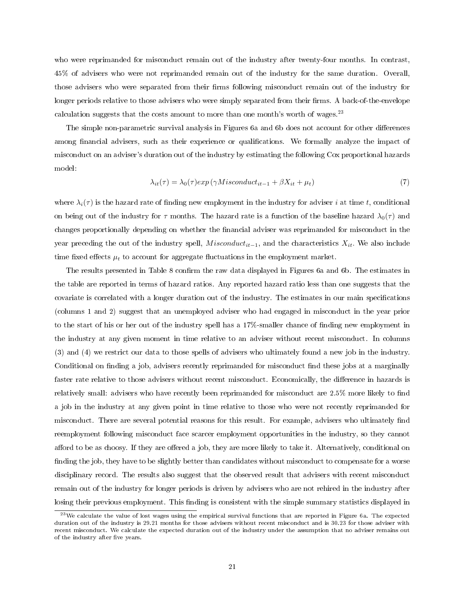who were reprimanded for misconduct remain out of the industry after twenty-four months. In contrast, 45% of advisers who were not reprimanded remain out of the industry for the same duration. Overall, those advisers who were separated from their firms following misconduct remain out of the industry for longer periods relative to those advisers who were simply separated from their firms. A back-of-the-envelope calculation suggests that the costs amount to more than one month's worth of wages.<sup>23</sup>

The simple non-parametric survival analysis in Figures 6a and 6b does not account for other differences among financial advisers, such as their experience or qualifications. We formally analyze the impact of misconduct on an adviser's duration out of the industry by estimating the following Cox proportional hazards model:

$$
\lambda_{it}(\tau) = \lambda_0(\tau) exp\left(\gamma Misconduct_{it-1} + \beta X_{it} + \mu_t\right) \tag{7}
$$

where  $\lambda_i(\tau)$  is the hazard rate of finding new employment in the industry for adviser i at time t, conditional on being out of the industry for  $\tau$  months. The hazard rate is a function of the baseline hazard  $\lambda_0(\tau)$  and changes proportionally depending on whether the financial adviser was reprimanded for misconduct in the year preceding the out of the industry spell,  $M is conduct_{it-1}$ , and the characteristics  $X_{it}$ . We also include time fixed effects  $\mu_t$  to account for aggregate fluctuations in the employment market.

The results presented in Table 8 confirm the raw data displayed in Figures 6a and 6b. The estimates in the table are reported in terms of hazard ratios. Any reported hazard ratio less than one suggests that the covariate is correlated with a longer duration out of the industry. The estimates in our main specifications (columns 1 and 2) suggest that an unemployed adviser who had engaged in misconduct in the year prior to the start of his or her out of the industry spell has a 17%-smaller chance of nding new employment in the industry at any given moment in time relative to an adviser without recent misconduct. In columns (3) and (4) we restrict our data to those spells of advisers who ultimately found a new job in the industry. Conditional on finding a job, advisers recently reprimanded for misconduct find these jobs at a marginally faster rate relative to those advisers without recent misconduct. Economically, the difference in hazards is relatively small: advisers who have recently been reprimanded for misconduct are  $2.5\%$  more likely to find a job in the industry at any given point in time relative to those who were not recently reprimanded for misconduct. There are several potential reasons for this result. For example, advisers who ultimately find reemployment following misconduct face scarcer employment opportunities in the industry, so they cannot afford to be as choosy. If they are offered a job, they are more likely to take it. Alternatively, conditional on finding the job, they have to be slightly better than candidates without misconduct to compensate for a worse disciplinary record. The results also suggest that the observed result that advisers with recent misconduct remain out of the industry for longer periods is driven by advisers who are not rehired in the industry after losing their previous employment. This finding is consistent with the simple summary statistics displayed in

<sup>&</sup>lt;sup>23</sup>We calculate the value of lost wages using the empirical survival functions that are reported in Figure 6a. The expected duration out of the industry is 29.21 months for those advisers without recent misconduct and is 30.23 for those adviser with recent misconduct. We calculate the expected duration out of the industry under the assumption that no adviser remains out of the industry after five years.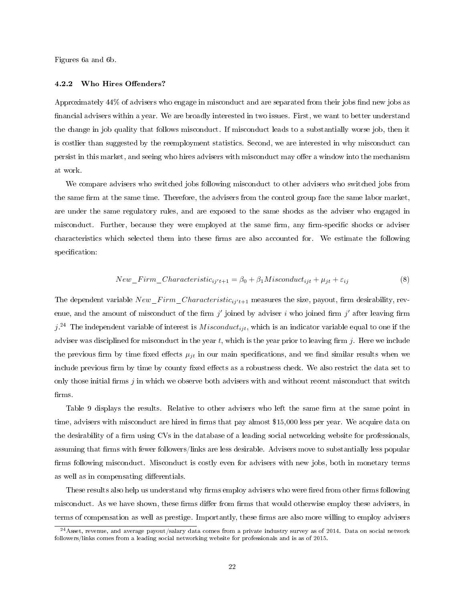Figures 6a and 6b.

#### 4.2.2 Who Hires Offenders?

Approximately  $44\%$  of advisers who engage in misconduct and are separated from their jobs find new jobs as financial advisers within a year. We are broadly interested in two issues. First, we want to better understand the change in job quality that follows misconduct. If misconduct leads to a substantially worse job, then it is costlier than suggested by the reemployment statistics. Second, we are interested in why misconduct can persist in this market, and seeing who hires advisers with misconduct may offer a window into the mechanism at work.

We compare advisers who switched jobs following misconduct to other advisers who switched jobs from the same firm at the same time. Therefore, the advisers from the control group face the same labor market, are under the same regulatory rules, and are exposed to the same shocks as the adviser who engaged in misconduct. Further, because they were employed at the same firm, any firm-specific shocks or adviser characteristics which selected them into these firms are also accounted for. We estimate the following specification:

$$
New\_Firm\_Characteristic_{ij't+1} = \beta_0 + \beta_1 Missouri_{ijt} + \mu_{jt} + \varepsilon_{ij}
$$
\n
$$
(8)
$$

The dependent variable New\_Firm\_Characteristic<sub>ij't+1</sub> measures the size, payout, firm desirability, revenue, and the amount of misconduct of the firm  $j'$  joined by adviser i who joined firm  $j'$  after leaving firm  $j.^{24}$  The independent variable of interest is  $M is conduct_{ijt}$ , which is an indicator variable equal to one if the adviser was disciplined for misconduct in the year  $t$ , which is the year prior to leaving firm j. Here we include the previous firm by time fixed effects  $\mu_{jt}$  in our main specifications, and we find similar results when we include previous firm by time by county fixed effects as a robustness check. We also restrict the data set to only those initial firms  $j$  in which we observe both advisers with and without recent misconduct that switch firms.

Table 9 displays the results. Relative to other advisers who left the same firm at the same point in time, advisers with misconduct are hired in firms that pay almost \$15,000 less per year. We acquire data on the desirability of a firm using CVs in the database of a leading social networking website for professionals, assuming that firms with fewer followers/links are less desirable. Advisers move to substantially less popular firms following misconduct. Misconduct is costly even for advisers with new jobs, both in monetary terms as well as in compensating differentials.

These results also help us understand why firms employ advisers who were fired from other firms following misconduct. As we have shown, these firms differ from firms that would otherwise employ these advisers, in terms of compensation as well as prestige. Importantly, these firms are also more willing to employ advisers

 $^{24}$ Asset, revenue, and average payout/salary data comes from a private industry survey as of 2014. Data on social network followers/links comes from a leading social networking website for professionals and is as of 2015.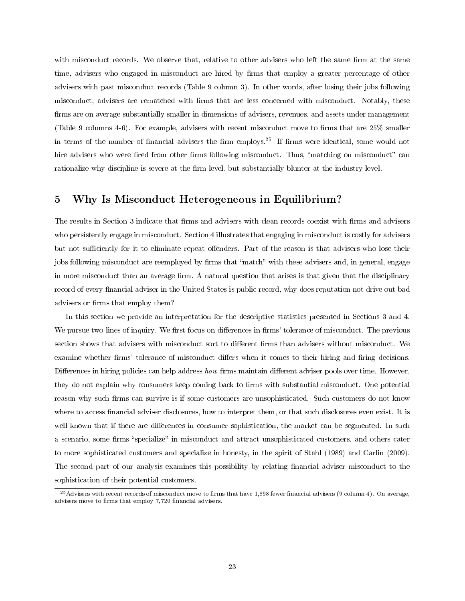with misconduct records. We observe that, relative to other advisers who left the same firm at the same time, advisers who engaged in misconduct are hired by firms that employ a greater percentage of other advisers with past misconduct records (Table 9 column 3). In other words, after losing their jobs following misconduct, advisers are rematched with firms that are less concerned with misconduct. Notably, these firms are on average substantially smaller in dimensions of advisers, revenues, and assets under management (Table 9 columns 4-6). For example, advisers with recent misconduct move to firms that are  $25\%$  smaller in terms of the number of financial advisers the firm employs.<sup>25</sup> If firms were identical, some would not hire advisers who were fired from other firms following misconduct. Thus, "matching on misconduct" can rationalize why discipline is severe at the firm level, but substantially blunter at the industry level.

# 5 Why Is Misconduct Heterogeneous in Equilibrium?

The results in Section 3 indicate that firms and advisers with clean records coexist with firms and advisers who persistently engage in misconduct. Section 4 illustrates that engaging in misconduct is costly for advisers but not sufficiently for it to eliminate repeat offenders. Part of the reason is that advisers who lose their jobs following misconduct are reemployed by firms that "match" with these advisers and, in general, engage in more misconduct than an average firm. A natural question that arises is that given that the disciplinary record of every financial adviser in the United States is public record, why does reputation not drive out bad advisers or firms that employ them?

In this section we provide an interpretation for the descriptive statistics presented in Sections 3 and 4. We pursue two lines of inquiry. We first focus on differences in firms' tolerance of misconduct. The previous section shows that advisers with misconduct sort to different firms than advisers without misconduct. We examine whether firms' tolerance of misconduct differs when it comes to their hiring and firing decisions. Differences in hiring policies can help address how firms maintain different adviser pools over time. However, they do not explain why consumers keep coming back to firms with substantial misconduct. One potential reason why such firms can survive is if some customers are unsophisticated. Such customers do not know where to access financial adviser disclosures, how to interpret them, or that such disclosures even exist. It is well known that if there are differences in consumer sophistication, the market can be segmented. In such a scenario, some firms "specialize" in misconduct and attract unsophisticated customers, and others cater to more sophisticated customers and specialize in honesty, in the spirit of Stahl (1989) and Carlin (2009). The second part of our analysis examines this possibility by relating financial adviser misconduct to the sophistication of their potential customers.

 $^{25}$  Advisers with recent records of misconduct move to firms that have 1,898 fewer financial advisers (9 column 4). On average, advisers move to firms that employ 7,720 financial advisers.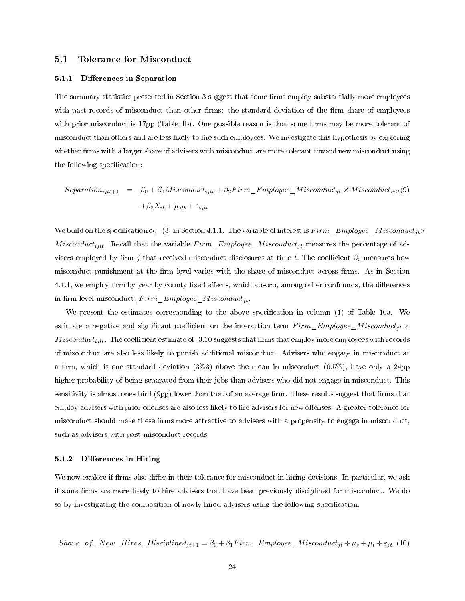#### 5.1 Tolerance for Misconduct

#### 5.1.1 Differences in Separation

The summary statistics presented in Section 3 suggest that some firms employ substantially more employees with past records of misconduct than other firms: the standard deviation of the firm share of employees with prior misconduct is  $17\text{pp}$  (Table 1b). One possible reason is that some firms may be more tolerant of misconduct than others and are less likely to fire such employees. We investigate this hypothesis by exploring whether firms with a larger share of advisers with misconduct are more tolerant toward new misconduct using the following specification:

$$
Separation_{ijlt+1} = \beta_0 + \beta_1 Misconduct_{ijlt} + \beta_2 Firm\_Employee\_Misconduct_{jt} \times Misconduct_{ijlt}(9) + \beta_3 X_{it} + \mu_{jlt} + \varepsilon_{ijlt}
$$

We build on the specification eq. (3) in Section 4.1.1. The variable of interest is Firm Employee—Misconduct<sub>it</sub> $\times$ Misconduct<sub>ijlt</sub>. Recall that the variable  $Firm\_Employee\_M is conduct_{jt}$  measures the percentage of advisers employed by firm j that received misconduct disclosures at time t. The coefficient  $\beta_2$  measures how misconduct punishment at the firm level varies with the share of misconduct across firms. As in Section 4.1.1, we employ firm by year by county fixed effects, which absorb, among other confounds, the differences in firm level misconduct,  $Firm\_Employee\_M is conduct_{jt}.$ 

We present the estimates corresponding to the above specification in column (1) of Table 10a. We estimate a negative and significant coefficient on the interaction term Firm Employee–Misconduct<sub>it</sub>  $\times$  $M is conduct_{ijlt}$ . The coefficient estimate of -3.10 suggests that firms that employ more employees with records of misconduct are also less likely to punish additional misconduct. Advisers who engage in misconduct at a firm, which is one standard deviation  $(3\%)$  above the mean in misconduct  $(0.5\%)$ , have only a 24pp higher probability of being separated from their jobs than advisers who did not engage in misconduct. This sensitivity is almost one-third (9pp) lower than that of an average firm. These results suggest that firms that employ advisers with prior offenses are also less likely to fire advisers for new offenses. A greater tolerance for misconduct should make these firms more attractive to advisers with a propensity to engage in misconduct, such as advisers with past misconduct records.

#### 5.1.2 Differences in Hiring

We now explore if firms also differ in their tolerance for misconduct in hiring decisions. In particular, we ask if some firms are more likely to hire advisers that have been previously disciplined for misconduct. We do so by investigating the composition of newly hired advisers using the following specification:

*Share\_of\_New\_Hires\_Disciplined<sub>jt+1</sub> = 
$$
\beta_0 + \beta_1 Firm\_Employee_Misconduct_{jt} + \mu_s + \mu_t + \varepsilon_{jt}
$$* (10)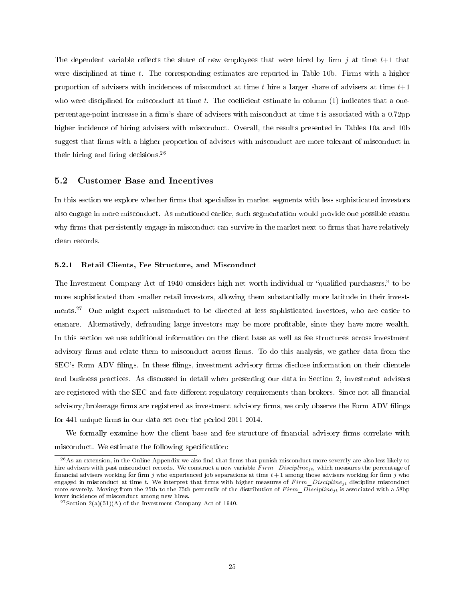The dependent variable reflects the share of new employees that were hired by firm j at time  $t+1$  that were disciplined at time t. The corresponding estimates are reported in Table 10b. Firms with a higher proportion of advisers with incidences of misconduct at time t hire a larger share of advisers at time  $t+1$ who were disciplined for misconduct at time  $t$ . The coefficient estimate in column  $(1)$  indicates that a onepercentage-point increase in a firm's share of advisers with misconduct at time  $t$  is associated with a 0.72pp higher incidence of hiring advisers with misconduct. Overall, the results presented in Tables 10a and 10b suggest that firms with a higher proportion of advisers with misconduct are more tolerant of misconduct in their hiring and firing decisions. $26$ 

## 5.2 Customer Base and Incentives

In this section we explore whether firms that specialize in market segments with less sophisticated investors also engage in more misconduct. As mentioned earlier, such segmentation would provide one possible reason why firms that persistently engage in misconduct can survive in the market next to firms that have relatively clean records.

#### 5.2.1 Retail Clients, Fee Structure, and Misconduct

The Investment Company Act of 1940 considers high net worth individual or "qualified purchasers," to be more sophisticated than smaller retail investors, allowing them substantially more latitude in their investments.<sup>27</sup> One might expect misconduct to be directed at less sophisticated investors, who are easier to ensnare. Alternatively, defrauding large investors may be more profitable, since they have more wealth. In this section we use additional information on the client base as well as fee structures across investment advisory firms and relate them to misconduct across firms. To do this analysis, we gather data from the SEC's Form ADV filings. In these filings, investment advisory firms disclose information on their clientele and business practices. As discussed in detail when presenting our data in Section 2, investment advisers are registered with the SEC and face different regulatory requirements than brokers. Since not all financial advisory/brokerage firms are registered as investment advisory firms, we only observe the Form ADV filings for  $441$  unique firms in our data set over the period  $2011-2014$ .

We formally examine how the client base and fee structure of financial advisory firms correlate with misconduct. We estimate the following specification:

 $26$ As an extension, in the Online Appendix we also find that firms that punish misconduct more severely are also less likely to hire advisers with past misconduct records. We construct a new variable  $Firm$  Discipline<sub>jt</sub>, which measures the percentage of financial advisers working for firm j who experienced job separations at time  $t + 1$  among those advisers working for firm j who engaged in misconduct at time t. We interpret that firms with higher measures of  $Firm$  Discipline<sub>jt</sub> discipline misconduct more severely. Moving from the 25th to the 75th percentile of the distribution of Firm  $Discpline_{it}$  is associated with a 58bp lower incidence of misconduct among new hires.

<sup>&</sup>lt;sup>27</sup>Section 2(a)(51)(A) of the Investment Company Act of 1940.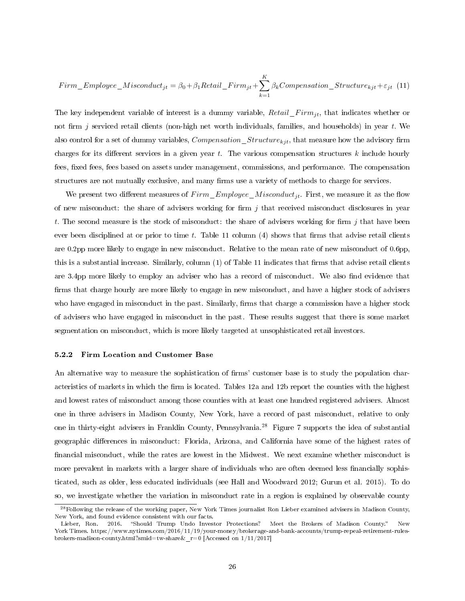$$
Firm\_Employee\_M is conduct_{jt} = \beta_0 + \beta_1 Retail\_Firm_{jt} + \sum_{k=1}^{K} \beta_k Compensation\_Structure_{kjt} + \varepsilon_{jt} (11)
$$

The key independent variable of interest is a dummy variable,  $Retail\_Firm_{jt}$ , that indicates whether or not firm j serviced retail clients (non-high net worth individuals, families, and households) in year t. We also control for a set of dummy variables, Compensation  $Structure_{kit}$ , that measure how the advisory firm charges for its different services in a given year t. The various compensation structures  $k$  include hourly fees, fixed fees, fees based on assets under management, commissions, and performance. The compensation structures are not mutually exclusive, and many firms use a variety of methods to charge for services.

We present two different measures of  $Firm\_Employee\_M isconduct_{jt}$ . First, we measure it as the flow of new misconduct: the share of advisers working for firm  $j$  that received misconduct disclosures in year t. The second measure is the stock of misconduct: the share of advisers working for firm  $j$  that have been ever been disciplined at or prior to time t. Table 11 column  $(4)$  shows that firms that advise retail clients are 0.2pp more likely to engage in new misconduct. Relative to the mean rate of new misconduct of 0.6pp, this is a substantial increase. Similarly, column (1) of Table 11 indicates that firms that advise retail clients are 3.4pp more likely to employ an adviser who has a record of misconduct. We also find evidence that firms that charge hourly are more likely to engage in new misconduct, and have a higher stock of advisers who have engaged in misconduct in the past. Similarly, firms that charge a commission have a higher stock of advisers who have engaged in misconduct in the past. These results suggest that there is some market segmentation on misconduct, which is more likely targeted at unsophisticated retail investors.

#### 5.2.2 Firm Location and Customer Base

An alternative way to measure the sophistication of firms' customer base is to study the population characteristics of markets in which the firm is located. Tables 12a and 12b report the counties with the highest and lowest rates of misconduct among those counties with at least one hundred registered advisers. Almost one in three advisers in Madison County, New York, have a record of past misconduct, relative to only one in thirty-eight advisers in Franklin County, Pennsylvania.<sup>28</sup> Figure 7 supports the idea of substantial geographic differences in misconduct: Florida, Arizona, and California have some of the highest rates of financial misconduct, while the rates are lowest in the Midwest. We next examine whether misconduct is more prevalent in markets with a larger share of individuals who are often deemed less financially sophisticated, such as older, less educated individuals (see Hall and Woodward 2012; Gurun et al. 2015). To do so, we investigate whether the variation in misconduct rate in a region is explained by observable county

<sup>&</sup>lt;sup>28</sup>Following the release of the working paper, New York Times journalist Ron Lieber examined advisers in Madison County, New York, and found evidence consistent with our facts.

Lieber, Ron. 2016. "Should Trump Undo Investor Protections? Meet the Brokers of Madison County." New York Times. https://www.nytimes.com/2016/11/19/your-money/brokerage-and-bank-accounts/trump-repeal-retirement-rulesbrokers-madison-county.html?smid=tw-share&\_r=0 [Accessed on 1/11/2017]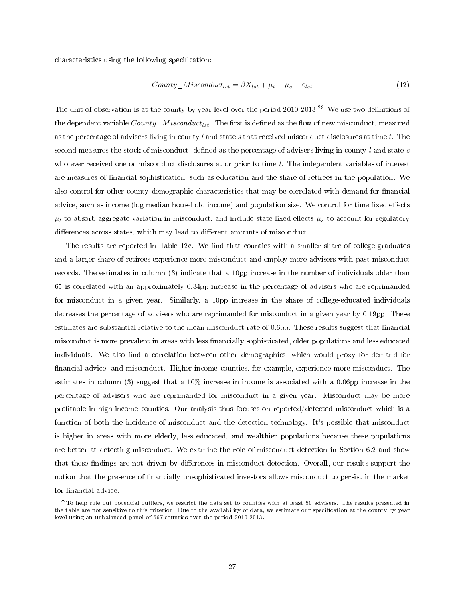characteristics using the following specification:

$$
Country\_Misconduct_{lst} = \beta X_{lst} + \mu_t + \mu_s + \varepsilon_{lst}
$$
\n(12)

The unit of observation is at the county by year level over the period 2010-2013.<sup>29</sup> We use two definitions of the dependent variable County  $M is conduct_{lst}$ . The first is defined as the flow of new misconduct, measured as the percentage of advisers living in county  $l$  and state  $s$  that received misconduct disclosures at time  $t$ . The second measures the stock of misconduct, defined as the percentage of advisers living in county  $l$  and state  $s$ who ever received one or misconduct disclosures at or prior to time t. The independent variables of interest are measures of financial sophistication, such as education and the share of retirees in the population. We also control for other county demographic characteristics that may be correlated with demand for financial advice, such as income (log median household income) and population size. We control for time fixed effects  $\mu_t$  to absorb aggregate variation in misconduct, and include state fixed effects  $\mu_s$  to account for regulatory differences across states, which may lead to different amounts of misconduct.

The results are reported in Table 12c. We find that counties with a smaller share of college graduates and a larger share of retirees experience more misconduct and employ more advisers with past misconduct records. The estimates in column (3) indicate that a 10pp increase in the number of individuals older than 65 is correlated with an approximately 0.34pp increase in the percentage of advisers who are reprimanded for misconduct in a given year. Similarly, a 10pp increase in the share of college-educated individuals decreases the percentage of advisers who are reprimanded for misconduct in a given year by 0.19pp. These estimates are substantial relative to the mean misconduct rate of 0.6pp. These results suggest that financial misconduct is more prevalent in areas with less financially sophisticated, older populations and less educated individuals. We also find a correlation between other demographics, which would proxy for demand for financial advice, and misconduct. Higher-income counties, for example, experience more misconduct. The estimates in column (3) suggest that a 10% increase in income is associated with a 0.06pp increase in the percentage of advisers who are reprimanded for misconduct in a given year. Misconduct may be more profitable in high-income counties. Our analysis thus focuses on reported/detected misconduct which is a function of both the incidence of misconduct and the detection technology. It's possible that misconduct is higher in areas with more elderly, less educated, and wealthier populations because these populations are better at detecting misconduct. We examine the role of misconduct detection in Section 6.2 and show that these findings are not driven by differences in misconduct detection. Overall, our results support the notion that the presence of nancially unsophisticated investors allows misconduct to persist in the market for financial advice.

 $^{29}$ To help rule out potential outliers, we restrict the data set to counties with at least 50 advisers. The results presented in the table are not sensitive to this criterion. Due to the availability of data, we estimate our specification at the county by year level using an unbalanced panel of 667 counties over the period 2010-2013.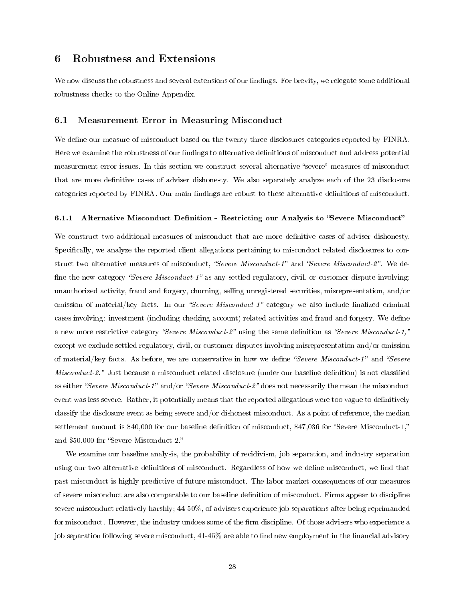# 6 Robustness and Extensions

We now discuss the robustness and several extensions of our findings. For brevity, we relegate some additional robustness checks to the Online Appendix.

## 6.1 Measurement Error in Measuring Misconduct

We define our measure of misconduct based on the twenty-three disclosures categories reported by FINRA. Here we examine the robustness of our findings to alternative definitions of misconduct and address potential measurement error issues. In this section we construct several alternative "severe" measures of misconduct that are more definitive cases of adviser dishonesty. We also separately analyze each of the 23 disclosure categories reported by FINRA. Our main findings are robust to these alternative definitions of misconduct.

#### 6.1.1 Alternative Misconduct Definition - Restricting our Analysis to "Severe Misconduct"

We construct two additional measures of misconduct that are more definitive cases of adviser dishonesty. Specifically, we analyze the reported client allegations pertaining to misconduct related disclosures to construct two alternative measures of misconduct, "Severe Misconduct-1" and "Severe Misconduct-2". We define the new category "Severe Misconduct-1" as any settled regulatory, civil, or customer dispute involving: unauthorized activity, fraud and forgery, churning, selling unregistered securities, misrepresentation, and/or omission of material/key facts. In our "Severe Misconduct-1" category we also include finalized criminal cases involving: investment (including checking account) related activities and fraud and forgery. We define a new more restrictive category "Severe Misconduct-2" using the same definition as "Severe Misconduct-1," except we exclude settled regulatory, civil, or customer disputes involving misrepresentation and/or omission of material/key facts. As before, we are conservative in how we define "Severe Misconduct-1" and "Severe *Misconduct-2.*" Just because a misconduct related disclosure (under our baseline definition) is not classified as either "Severe Misconduct-1" and/or "Severe Misconduct-2" does not necessarily the mean the misconduct event was less severe. Rather, it potentially means that the reported allegations were too vague to definitively classify the disclosure event as being severe and/or dishonest misconduct. As a point of reference, the median settlement amount is \$40,000 for our baseline definition of misconduct, \$47,036 for "Severe Misconduct-1," and \$50,000 for "Severe Misconduct-2."

We examine our baseline analysis, the probability of recidivism, job separation, and industry separation using our two alternative definitions of misconduct. Regardless of how we define misconduct, we find that past misconduct is highly predictive of future misconduct. The labor market consequences of our measures of severe misconduct are also comparable to our baseline denition of misconduct. Firms appear to discipline severe misconduct relatively harshly; 44-50%, of advisers experience job separations after being reprimanded for misconduct. However, the industry undoes some of the firm discipline. Of those advisers who experience a job separation following severe misconduct,  $41-45\%$  are able to find new employment in the financial advisory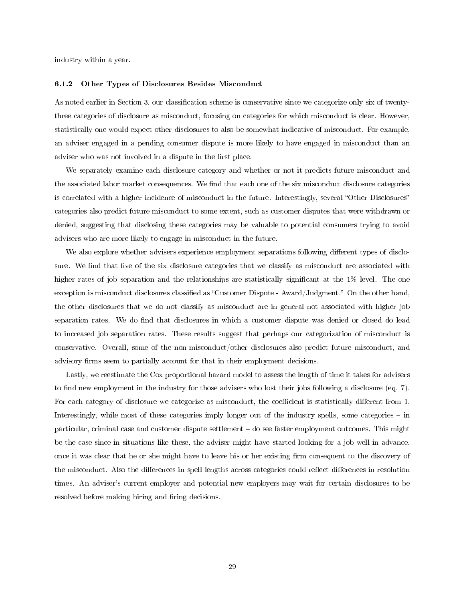industry within a year.

#### 6.1.2 Other Types of Disclosures Besides Misconduct

As noted earlier in Section 3, our classification scheme is conservative since we categorize only six of twentythree categories of disclosure as misconduct, focusing on categories for which misconduct is clear. However, statistically one would expect other disclosures to also be somewhat indicative of misconduct. For example, an adviser engaged in a pending consumer dispute is more likely to have engaged in misconduct than an adviser who was not involved in a dispute in the first place.

We separately examine each disclosure category and whether or not it predicts future misconduct and the associated labor market consequences. We find that each one of the six misconduct disclosure categories is correlated with a higher incidence of misconduct in the future. Interestingly, several "Other Disclosures" categories also predict future misconduct to some extent, such as customer disputes that were withdrawn or denied, suggesting that disclosing these categories may be valuable to potential consumers trying to avoid advisers who are more likely to engage in misconduct in the future.

We also explore whether advisers experience employment separations following different types of disclosure. We find that five of the six disclosure categories that we classify as misconduct are associated with higher rates of job separation and the relationships are statistically significant at the  $1\%$  level. The one exception is misconduct disclosures classified as "Customer Dispute - Award/Judgment." On the other hand, the other disclosures that we do not classify as misconduct are in general not associated with higher job separation rates. We do find that disclosures in which a customer dispute was denied or closed do lead to increased job separation rates. These results suggest that perhaps our categorization of misconduct is conservative. Overall, some of the non-misconduct/other disclosures also predict future misconduct, and advisory firms seem to partially account for that in their employment decisions.

Lastly, we reestimate the Cox proportional hazard model to assess the length of time it takes for advisers to find new employment in the industry for those advisers who lost their jobs following a disclosure (eq. 7). For each category of disclosure we categorize as misconduct, the coefficient is statistically different from 1. Interestingly, while most of these categories imply longer out of the industry spells, some categories – in particular, criminal case and customer dispute settlement do see faster employment outcomes. This might be the case since in situations like these, the adviser might have started looking for a job well in advance, once it was clear that he or she might have to leave his or her existing firm consequent to the discovery of the misconduct. Also the differences in spell lengths across categories could reflect differences in resolution times. An adviser's current employer and potential new employers may wait for certain disclosures to be resolved before making hiring and firing decisions.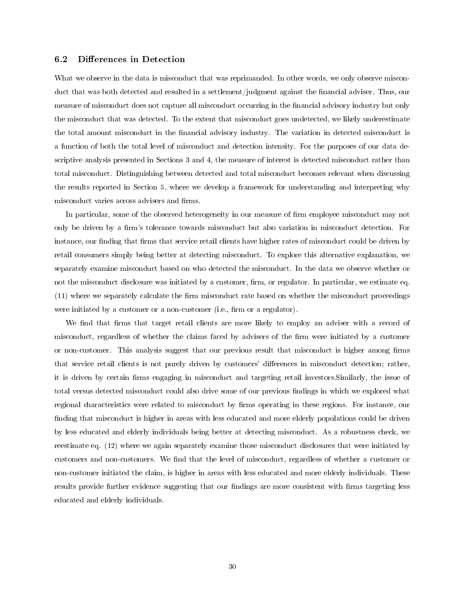## 6.2 Differences in Detection

What we observe in the data is misconduct that was reprimanded. In other words, we only observe misconduct that was both detected and resulted in a settlement/judgment against the financial adviser. Thus, our measure of misconduct does not capture all misconduct occurring in the financial advisory industry but only the misconduct that was detected. To the extent that misconduct goes undetected, we likely underestimate the total amount misconduct in the financial advisory industry. The variation in detected misconduct is a function of both the total level of misconduct and detection intensity. For the purposes of our data descriptive analysis presented in Sections 3 and 4, the measure of interest is detected misconduct rather than total misconduct. Distinguishing between detected and total misconduct becomes relevant when discussing the results reported in Section 5, where we develop a framework for understanding and interpreting why misconduct varies across advisers and firms.

In particular, some of the observed heterogeneity in our measure of firm employee misconduct may not only be driven by a firm's tolerance towards misconduct but also variation in misconduct detection. For instance, our finding that firms that service retail clients have higher rates of misconduct could be driven by retail consumers simply being better at detecting misconduct. To explore this alternative explanation, we separately examine misconduct based on who detected the misconduct. In the data we observe whether or not the misconduct disclosure was initiated by a customer, firm, or regulator. In particular, we estimate eq. (11) where we separately calculate the rm misconduct rate based on whether the misconduct proceedings were initiated by a customer or a non-customer (i.e., firm or a regulator).

We find that firms that target retail clients are more likely to employ an adviser with a record of misconduct, regardless of whether the claims faced by advisers of the firm were initiated by a customer or non-customer. This analysis suggest that our previous result that misconduct is higher among firms that service retail clients is not purely driven by customers' differences in misconduct detection; rather, it is driven by certain firms engaging in misconduct and targeting retail investors. Similarly, the issue of total versus detected misconduct could also drive some of our previous findings in which we explored what regional characteristics were related to misconduct by firms operating in these regions. For instance, our finding that misconduct is higher in areas with less educated and more elderly populations could be driven by less educated and elderly individuals being better at detecting misconduct. As a robustness check, we reestimate eq. (12) where we again separately examine those misconduct disclosures that were initiated by customers and non-customers. We find that the level of misconduct, regardless of whether a customer or non-customer initiated the claim, is higher in areas with less educated and more elderly individuals. These results provide further evidence suggesting that our findings are more consistent with firms targeting less educated and elderly individuals.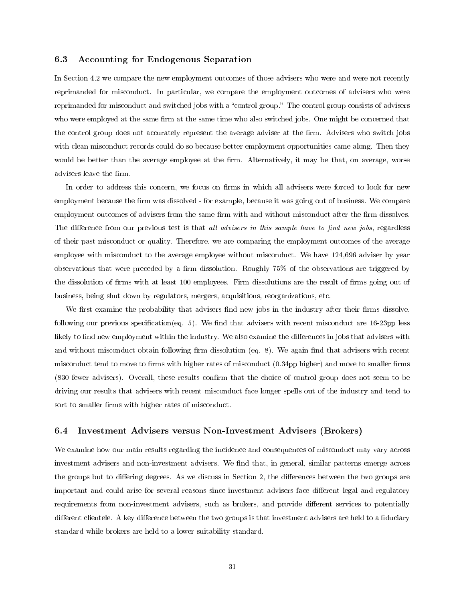### 6.3 Accounting for Endogenous Separation

In Section 4.2 we compare the new employment outcomes of those advisers who were and were not recently reprimanded for misconduct. In particular, we compare the employment outcomes of advisers who were reprimanded for misconduct and switched jobs with a "control group." The control group consists of advisers who were employed at the same firm at the same time who also switched jobs. One might be concerned that the control group does not accurately represent the average adviser at the firm. Advisers who switch jobs with clean misconduct records could do so because better employment opportunities came along. Then they would be better than the average employee at the firm. Alternatively, it may be that, on average, worse advisers leave the firm.

In order to address this concern, we focus on firms in which all advisers were forced to look for new employment because the firm was dissolved - for example, because it was going out of business. We compare employment outcomes of advisers from the same firm with and without misconduct after the firm dissolves. The difference from our previous test is that all advisers in this sample have to find new jobs, regardless of their past misconduct or quality. Therefore, we are comparing the employment outcomes of the average employee with misconduct to the average employee without misconduct. We have 124,696 adviser by year observations that were preceded by a firm dissolution. Roughly  $75\%$  of the observations are triggered by the dissolution of firms with at least 100 employees. Firm dissolutions are the result of firms going out of business, being shut down by regulators, mergers, acquisitions, reorganizations, etc.

We first examine the probability that advisers find new jobs in the industry after their firms dissolve, following our previous specification(eq. 5). We find that advisers with recent misconduct are  $16-23$ pp less likely to find new employment within the industry. We also examine the differences in jobs that advisers with and without misconduct obtain following firm dissolution (eq. 8). We again find that advisers with recent misconduct tend to move to firms with higher rates of misconduct  $(0.34 \text{pp higher})$  and move to smaller firms (830 fewer advisers). Overall, these results confirm that the choice of control group does not seem to be driving our results that advisers with recent misconduct face longer spells out of the industry and tend to sort to smaller firms with higher rates of misconduct.

### 6.4 Investment Advisers versus Non-Investment Advisers (Brokers)

We examine how our main results regarding the incidence and consequences of misconduct may vary across investment advisers and non-investment advisers. We find that, in general, similar patterns emerge across the groups but to differing degrees. As we discuss in Section 2, the differences between the two groups are important and could arise for several reasons since investment advisers face different legal and regulatory requirements from non-investment advisers, such as brokers, and provide different services to potentially different clientele. A key difference between the two groups is that investment advisers are held to a fiduciary standard while brokers are held to a lower suitability standard.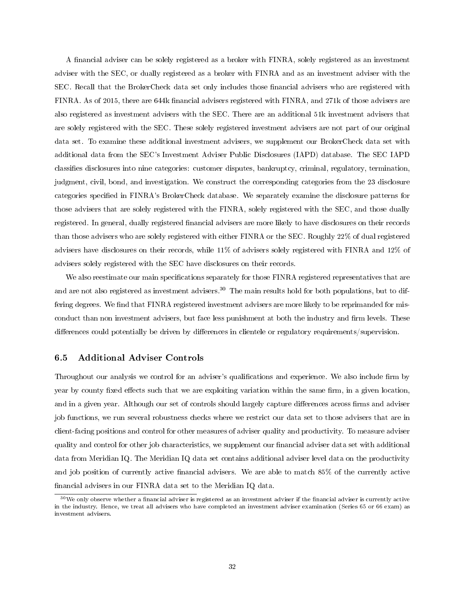A financial adviser can be solely registered as a broker with FINRA, solely registered as an investment adviser with the SEC, or dually registered as a broker with FINRA and as an investment adviser with the SEC. Recall that the BrokerCheck data set only includes those financial advisers who are registered with FINRA. As of 2015, there are 644k financial advisers registered with FINRA, and 271k of those advisers are also registered as investment advisers with the SEC. There are an additional 51k investment advisers that are solely registered with the SEC. These solely registered investment advisers are not part of our original data set. To examine these additional investment advisers, we supplement our BrokerCheck data set with additional data from the SEC's Investment Adviser Public Disclosures (IAPD) database. The SEC IAPD classifies disclosures into nine categories: customer disputes, bankruptcy, criminal, regulatory, termination, judgment, civil, bond, and investigation. We construct the corresponding categories from the 23 disclosure categories specified in FINRA's BrokerCheck database. We separately examine the disclosure patterns for those advisers that are solely registered with the FINRA, solely registered with the SEC, and those dually registered. In general, dually registered nancial advisers are more likely to have disclosures on their records than those advisers who are solely registered with either FINRA or the SEC. Roughly 22% of dual registered advisers have disclosures on their records, while 11% of advisers solely registered with FINRA and 12% of advisers solely registered with the SEC have disclosures on their records.

We also reestimate our main specifications separately for those FINRA registered representatives that are and are not also registered as investment advisers.<sup>30</sup> The main results hold for both populations, but to differing degrees. We find that FINRA registered investment advisers are more likely to be reprimanded for misconduct than non investment advisers, but face less punishment at both the industry and firm levels. These differences could potentially be driven by differences in clientele or regulatory requirements/supervision.

### 6.5 Additional Adviser Controls

Throughout our analysis we control for an adviser's qualifications and experience. We also include firm by year by county fixed effects such that we are exploiting variation within the same firm, in a given location, and in a given year. Although our set of controls should largely capture differences across firms and adviser job functions, we run several robustness checks where we restrict our data set to those advisers that are in client-facing positions and control for other measures of adviser quality and productivity. To measure adviser quality and control for other job characteristics, we supplement our financial adviser data set with additional data from Meridian IQ. The Meridian IQ data set contains additional adviser level data on the productivity and job position of currently active financial advisers. We are able to match 85% of the currently active nancial advisers in our FINRA data set to the Meridian IQ data.

 $30$ We only observe whether a financial adviser is registered as an investment adviser if the financial adviser is currently active in the industry. Hence, we treat all advisers who have completed an investment adviser examination (Series 65 or 66 exam) as investment advisers.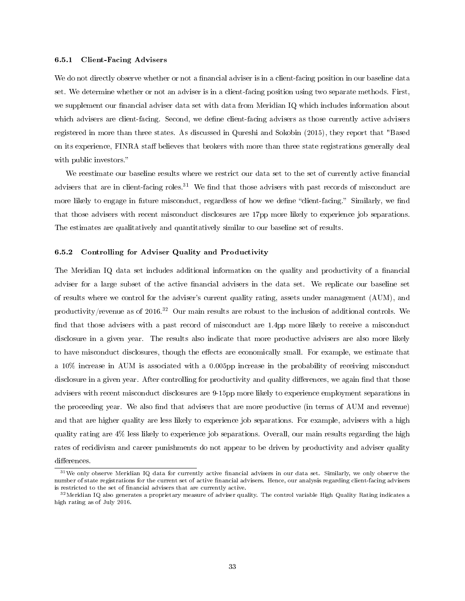#### 6.5.1 Client-Facing Advisers

We do not directly observe whether or not a financial adviser is in a client-facing position in our baseline data set. We determine whether or not an adviser is in a client-facing position using two separate methods. First, we supplement our financial adviser data set with data from Meridian IQ which includes information about which advisers are client-facing. Second, we define client-facing advisers as those currently active advisers registered in more than three states. As discussed in Qureshi and Sokobin (2015), they report that "Based on its experience, FINRA staff believes that brokers with more than three state registrations generally deal with public investors."

We reestimate our baseline results where we restrict our data set to the set of currently active financial advisers that are in client-facing roles.<sup>31</sup> We find that those advisers with past records of misconduct are more likely to engage in future misconduct, regardless of how we define "client-facing." Similarly, we find that those advisers with recent misconduct disclosures are 17pp more likely to experience job separations. The estimates are qualitatively and quantitatively similar to our baseline set of results.

#### 6.5.2 Controlling for Adviser Quality and Productivity

The Meridian IQ data set includes additional information on the quality and productivity of a financial adviser for a large subset of the active financial advisers in the data set. We replicate our baseline set of results where we control for the adviser's current quality rating, assets under management (AUM), and productivity/revenue as of  $2016<sup>32</sup>$  Our main results are robust to the inclusion of additional controls. We find that those advisers with a past record of misconduct are 1.4pp more likely to receive a misconduct disclosure in a given year. The results also indicate that more productive advisers are also more likely to have misconduct disclosures, though the effects are economically small. For example, we estimate that a 10% increase in AUM is associated with a 0.005pp increase in the probability of receiving misconduct disclosure in a given year. After controlling for productivity and quality differences, we again find that those advisers with recent misconduct disclosures are 9-15pp more likely to experience employment separations in the proceeding year. We also find that advisers that are more productive (in terms of AUM and revenue) and that are higher quality are less likely to experience job separations. For example, advisers with a high quality rating are 4% less likely to experience job separations. Overall, our main results regarding the high rates of recidivism and career punishments do not appear to be driven by productivity and adviser quality

differences.

 $31$ We only observe Meridian IQ data for currently active financial advisers in our data set. Similarly, we only observe the number of state registrations for the current set of active financial advisers. Hence, our analysis regarding client-facing advisers is restricted to the set of financial advisers that are currently active.

 $32$ Meridian IQ also generates a proprietary measure of adviser quality. The control variable High Quality Rating indicates a high rating as of July 2016.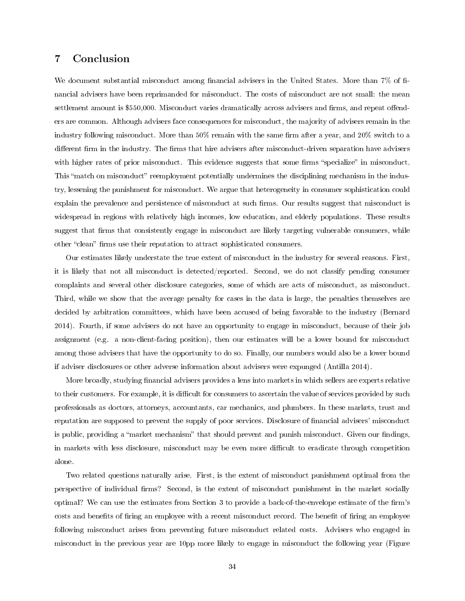# 7 Conclusion

We document substantial misconduct among financial advisers in the United States. More than 7% of financial advisers have been reprimanded for misconduct. The costs of misconduct are not small: the mean settlement amount is \$550,000. Misconduct varies dramatically across advisers and firms, and repeat offenders are common. Although advisers face consequences for misconduct, the majority of advisers remain in the industry following misconduct. More than  $50\%$  remain with the same firm after a year, and  $20\%$  switch to a different firm in the industry. The firms that hire advisers after misconduct-driven separation have advisers with higher rates of prior misconduct. This evidence suggests that some firms "specialize" in misconduct. This "match on misconduct" reemployment potentially undermines the disciplining mechanism in the industry, lessening the punishment for misconduct. We argue that heterogeneity in consumer sophistication could explain the prevalence and persistence of misconduct at such firms. Our results suggest that misconduct is widespread in regions with relatively high incomes, low education, and elderly populations. These results suggest that firms that consistently engage in misconduct are likely targeting vulnerable consumers, while other "clean" firms use their reputation to attract sophisticated consumers.

Our estimates likely understate the true extent of misconduct in the industry for several reasons. First, it is likely that not all misconduct is detected/reported. Second, we do not classify pending consumer complaints and several other disclosure categories, some of which are acts of misconduct, as misconduct. Third, while we show that the average penalty for cases in the data is large, the penalties themselves are decided by arbitration committees, which have been accused of being favorable to the industry (Bernard 2014). Fourth, if some advisers do not have an opportunity to engage in misconduct, because of their job assignment (e.g. a non-client-facing position), then our estimates will be a lower bound for misconduct among those advisers that have the opportunity to do so. Finally, our numbers would also be a lower bound if adviser disclosures or other adverse information about advisers were expunged (Antilla 2014).

More broadly, studying financial advisers provides a lens into markets in which sellers are experts relative to their customers. For example, it is difficult for consumers to ascertain the value of services provided by such professionals as doctors, attorneys, accountants, car mechanics, and plumbers. In these markets, trust and reputation are supposed to prevent the supply of poor services. Disclosure of nancial advisers' misconduct is public, providing a "market mechanism" that should prevent and punish misconduct. Given our findings, in markets with less disclosure, misconduct may be even more difficult to eradicate through competition alone.

Two related questions naturally arise. First, is the extent of misconduct punishment optimal from the perspective of individual firms? Second, is the extent of misconduct punishment in the market socially optimal? We can use the estimates from Section 3 to provide a back-of-the-envelope estimate of the firm's costs and benefits of firing an employee with a recent misconduct record. The benefit of firing an employee following misconduct arises from preventing future misconduct related costs. Advisers who engaged in misconduct in the previous year are 10pp more likely to engage in misconduct the following year (Figure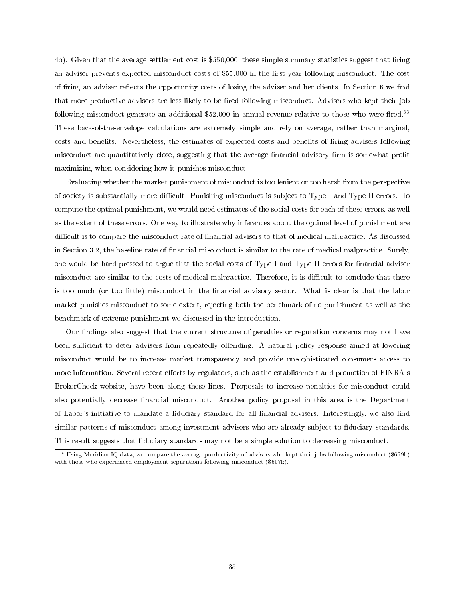4b). Given that the average settlement cost is \$550,000, these simple summary statistics suggest that firing an adviser prevents expected misconduct costs of \$55,000 in the first year following misconduct. The cost of firing an adviser reflects the opportunity costs of losing the adviser and her clients. In Section 6 we find that more productive advisers are less likely to be fired following misconduct. Advisers who kept their job following misconduct generate an additional  $$52,000$  in annual revenue relative to those who were fired.<sup>33</sup> These back-of-the-envelope calculations are extremely simple and rely on average, rather than marginal, costs and benefits. Nevertheless, the estimates of expected costs and benefits of firing advisers following misconduct are quantitatively close, suggesting that the average financial advisory firm is somewhat profit maximizing when considering how it punishes misconduct.

Evaluating whether the market punishment of misconduct is too lenient or too harsh from the perspective of society is substantially more difficult. Punishing misconduct is subject to Type I and Type II errors. To compute the optimal punishment, we would need estimates of the social costs for each of these errors, as well as the extent of these errors. One way to illustrate why inferences about the optimal level of punishment are difficult is to compare the misconduct rate of financial advisers to that of medical malpractice. As discussed in Section 3.2, the baseline rate of nancial misconduct is similar to the rate of medical malpractice. Surely, one would be hard pressed to argue that the social costs of Type I and Type II errors for financial adviser misconduct are similar to the costs of medical malpractice. Therefore, it is difficult to conclude that there is too much (or too little) misconduct in the financial advisory sector. What is clear is that the labor market punishes misconduct to some extent, rejecting both the benchmark of no punishment as well as the benchmark of extreme punishment we discussed in the introduction.

Our findings also suggest that the current structure of penalties or reputation concerns may not have been sufficient to deter advisers from repeatedly offending. A natural policy response aimed at lowering misconduct would be to increase market transparency and provide unsophisticated consumers access to more information. Several recent efforts by regulators, such as the establishment and promotion of FINRA's BrokerCheck website, have been along these lines. Proposals to increase penalties for misconduct could also potentially decrease financial misconduct. Another policy proposal in this area is the Department of Labor's initiative to mandate a fiduciary standard for all financial advisers. Interestingly, we also find similar patterns of misconduct among investment advisers who are already subject to fiduciary standards. This result suggests that fiduciary standards may not be a simple solution to decreasing misconduct.

 $33$ Using Meridian IQ data, we compare the average productivity of advisers who kept their jobs following misconduct (\$659k) with those who experienced employment separations following misconduct (\$607k).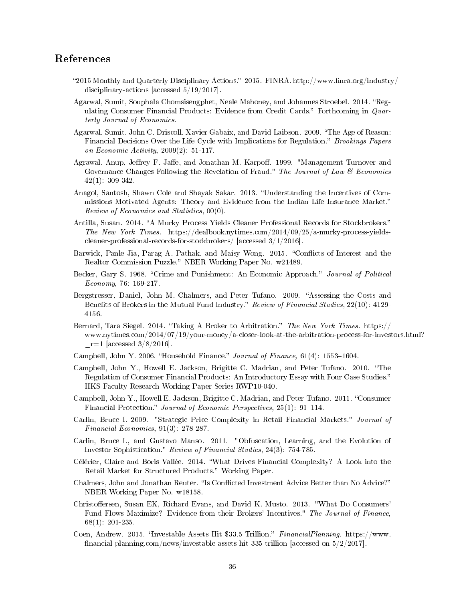## References

- "2015 Monthly and Quarterly Disciplinary Actions." 2015. FINRA. http://www.finra.org/industry/ disciplinary-actions [accessed 5/19/2017].
- Agarwal, Sumit, Souphala Chomsisengphet, Neale Mahoney, and Johannes Stroebel. 2014. "Regulating Consumer Financial Products: Evidence from Credit Cards." Forthcoming in Quarterly Journal of Economics.
- Agarwal, Sumit, John C. Driscoll, Xavier Gabaix, and David Laibson. 2009. The Age of Reason: Financial Decisions Over the Life Cycle with Implications for Regulation." Brookings Papers on Economic Activity, 2009(2): 51-117.
- Agrawal, Anup, Jeffrey F. Jaffe, and Jonathan M. Karpoff. 1999. "Management Turnover and Governance Changes Following the Revelation of Fraud." The Journal of Law  $\mathcal B$  Economics 42(1): 309-342.
- Anagol, Santosh, Shawn Cole and Shayak Sakar. 2013. Understanding the Incentives of Commissions Motivated Agents: Theory and Evidence from the Indian Life Insurance Market. Review of Economics and Statistics, 00(0).
- Antilla, Susan. 2014. "A Murky Process Yields Cleaner Professional Records for Stockbrokers." The New York Times. https://dealbook.nytimes.com/2014/09/25/a-murky-process-yieldscleaner-professional-records-for-stockbrokers/ [accessed 3/1/2016].
- Barwick, Panle Jia, Parag A. Pathak, and Maisy Wong. 2015. "Conflicts of Interest and the Realtor Commission Puzzle." NBER Working Paper No. w21489.
- Becker, Gary S. 1968. "Crime and Punishment: An Economic Approach." Journal of Political Economy, 76: 169-217.
- Bergstresser, Daniel, John M. Chalmers, and Peter Tufano. 2009. "Assessing the Costs and Benefits of Brokers in the Mutual Fund Industry." Review of Financial Studies, 22(10): 4129-4156.
- Bernard, Tara Siegel. 2014. "Taking A Broker to Arbitration." The New York Times. https:// www.nytimes.com/2014/07/19/your-money/a-closer-look-at-the-arbitration-process-for-investors.html?  $r=1$  [accessed 3/8/2016].
- Campbell, John Y. 2006. "Household Finance." Journal of Finance,  $61(4)$ : 1553–1604.
- Campbell, John Y., Howell E. Jackson, Brigitte C. Madrian, and Peter Tufano. 2010. "The Regulation of Consumer Financial Products: An Introductory Essay with Four Case Studies. HKS Faculty Research Working Paper Series RWP10-040.
- Campbell, John Y., Howell E. Jackson, Brigitte C. Madrian, and Peter Tufano. 2011. "Consumer" Financial Protection." Journal of Economic Perspectives, 25(1): 91-114.
- Carlin, Bruce I. 2009. "Strategic Price Complexity in Retail Financial Markets." Journal of Financial Economics, 91(3): 278-287.
- Carlin, Bruce I., and Gustavo Manso. 2011. "Obfuscation, Learning, and the Evolution of Investor Sophistication." Review of Financial Studies, 24(3): 754-785.
- Célérier, Claire and Boris Vallée. 2014. What Drives Financial Complexity? A Look into the Retail Market for Structured Products." Working Paper.
- Chalmers, John and Jonathan Reuter. "Is Conflicted Investment Advice Better than No Advice?" NBER Working Paper No. w18158.
- Christoffersen, Susan EK, Richard Evans, and David K. Musto. 2013. "What Do Consumers' Fund Flows Maximize? Evidence from their Brokers' Incentives." The Journal of Finance, 68(1): 201-235.
- Coen, Andrew. 2015. "Investable Assets Hit \$33.5 Trillion." FinancialPlanning. https://www. financial-planning.com/news/investable-assets-hit-335-trillion [accessed on  $5/2/2017$ ].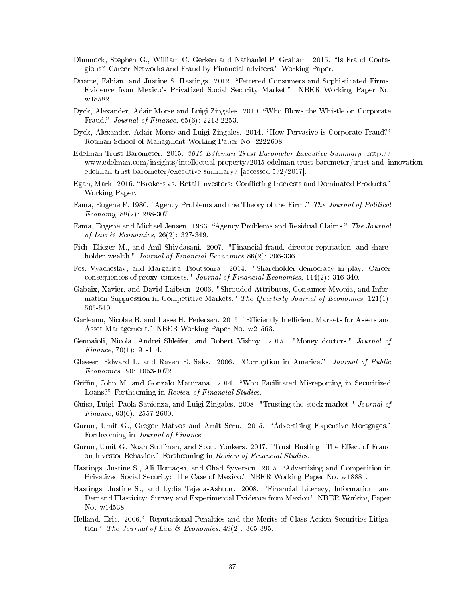- Dimmock, Stephen G., William C. Gerken and Nathaniel P. Graham. 2015. "Is Fraud Contagious? Career Networks and Fraud by Financial advisers. Working Paper.
- Duarte, Fabian, and Justine S. Hastings. 2012. "Fettered Consumers and Sophisticated Firms: Evidence from Mexico's Privatized Social Security Market." NBER Working Paper No. w18582.
- Dyck, Alexander, Adair Morse and Luigi Zingales. 2010. Who Blows the Whistle on Corporate Fraud." *Journal of Finance*, 65(6): 2213-2253.
- Dyck, Alexander, Adair Morse and Luigi Zingales. 2014. "How Pervasive is Corporate Fraud?" Rotman School of Managment Working Paper No. 2222608.
- Edelman Trust Barometer. 2015. 2015 Edleman Trust Barometer Executive Summary. http:// www.edelman.com/insights/intellectual-property/2015-edelman-trust-barometer/trust-and -innovationedelman-trust-barometer/executive-summary/ [accessed 5/2/2017].
- Egan, Mark. 2016. "Brokers vs. Retail Investors: Conflicting Interests and Dominated Products." Working Paper.
- Fama, Eugene F. 1980. "Agency Problems and the Theory of the Firm." The Journal of Political  $E_{\text{conom }y, 88(2): 288-307.}$
- Fama, Eugene and Michael Jensen. 1983. "Agency Problems and Residual Claims." The Journal of Law & Economics, 26(2): 327-349.
- Fich, Eliezer M., and Anil Shivdasani. 2007. "Financial fraud, director reputation, and shareholder wealth." Journal of Financial Economics 86(2): 306-336.
- Fos, Vyacheslav, and Margarita Tsoutsoura. 2014. "Shareholder democracy in play: Career consequences of proxy contests." Journal of Financial Economics, 114(2): 316-340.
- Gabaix, Xavier, and David Laibson. 2006. "Shrouded Attributes, Consumer Myopia, and Information Suppression in Competitive Markets." The Quarterly Journal of Economics, 121(1): 505-540.
- Garleanu, Nicolae B. and Lasse H. Pedersen. 2015. "Efficiently Inefficient Markets for Assets and Asset Management." NBER Working Paper No. w21563.
- Gennaioli, Nicola, Andrei Shleifer, and Robert Vishny. 2015. "Money doctors." Journal of Finance, 70(1): 91-114.
- Glaeser, Edward L. and Raven E. Saks. 2006. "Corruption in America." Journal of Public Economics. 90: 1053-1072.
- Griffin, John M. and Gonzalo Maturana. 2014. "Who Facilitated Misreporting in Securitized Loans?" Forthcoming in Review of Financial Studies.
- Guiso, Luigi, Paola Sapienza, and Luigi Zingales. 2008. "Trusting the stock market." Journal of Finance, 63(6): 2557-2600.
- Gurun, Umit G., Gregor Matvos and Amit Seru. 2015. "Advertising Expensive Mortgages." Forthcoming in Journal of Finance.
- Gurun, Umit G. Noah Stoffman, and Scott Yonkers. 2017. "Trust Busting: The Effect of Fraud on Investor Behavior." Forthcoming in Review of Financial Studies.
- Hastings, Justine S., Ali Hortaçsu, and Chad Syverson. 2015. "Advertising and Competition in Privatized Social Security: The Case of Mexico." NBER Working Paper No. w18881.
- Hastings, Justine S., and Lydia Tejeda-Ashton. 2008. "Financial Literacy, Information, and Demand Elasticity: Survey and Experimental Evidence from Mexico." NBER Working Paper No. w14538.
- Helland, Eric. 2006." Reputational Penalties and the Merits of Class Action Securities Litigation." The Journal of Law & Economics,  $49(2)$ : 365-395.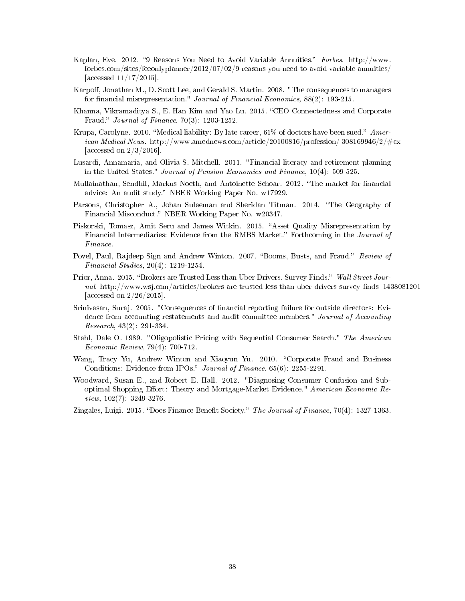- Kaplan, Eve. 2012. "9 Reasons You Need to Avoid Variable Annuities." Forbes. http://www. forbes.com/sites/feeonlyplanner/2012/07/02/9-reasons-you-need-to-avoid-variable-annuities/ [accessed 11/17/2015].
- Karpoff, Jonathan M., D. Scott Lee, and Gerald S. Martin. 2008. "The consequences to managers for financial misrepresentation." Journal of Financial Economics, 88(2): 193-215.
- Khanna, Vikramaditya S., E. Han Kim and Yao Lu. 2015. "CEO Connectedness and Corporate Fraud." *Journal of Finance*, 70(3): 1203-1252.
- Krupa, Carolyne. 2010. "Medical liability: By late career,  $61\%$  of doctors have been sued." Amer*ican Medical News.* http://www.amednews.com/article/20100816/profession/308169946/2/ $\#c\mathbf{x}$ [accessed on  $2/3/2016$ ].
- Lusardi, Annamaria, and Olivia S. Mitchell. 2011. "Financial literacy and retirement planning in the United States." Journal of Pension Economics and Finance, 10(4): 509-525.
- Mullainathan, Sendhil, Markus Noeth, and Antoinette Schoar. 2012. "The market for financial advice: An audit study." NBER Working Paper No. w17929.
- Parsons, Christopher A., Johan Sulaeman and Sheridan Titman. 2014. "The Geography of Financial Misconduct." NBER Working Paper No. w20347.
- Piskorski, Tomasz, Amit Seru and James Witkin. 2015. "Asset Quality Misrepresentation by Financial Intermediaries: Evidence from the RMBS Market." Forthcoming in the *Journal of* Finance.
- Povel, Paul, Rajdeep Sign and Andrew Winton. 2007. "Booms, Busts, and Fraud." Review of Financial Studies, 20(4): 1219-1254.
- Prior, Anna. 2015. "Brokers are Trusted Less than Uber Drivers, Survey Finds." Wall Street Journal. http://www.wsj.com/articles/brokers-are-trusted-less-than-uber-drivers-survey-finds -1438081201 [accessed on 2/26/2015].
- Srinivasan, Suraj. 2005. "Consequences of financial reporting failure for outside directors: Evidence from accounting restatements and audit committee members." Journal of Accounting Research, 43(2): 291-334.
- Stahl, Dale O. 1989. "Oligopolistic Pricing with Sequential Consumer Search." The American Economic Review, 79(4): 700-712.
- Wang, Tracy Yu, Andrew Winton and Xiaoyun Yu. 2010. "Corporate Fraud and Business Conditions: Evidence from IPOs." Journal of Finance,  $65(6)$ : 2255-2291.
- Woodward, Susan E., and Robert E. Hall. 2012. "Diagnosing Consumer Confusion and Suboptimal Shopping Effort: Theory and Mortgage-Market Evidence." American Economic Review, 102(7): 3249-3276.
- Zingales, Luigi. 2015. "Does Finance Benefit Society." The Journal of Finance,  $70(4)$ : 1327-1363.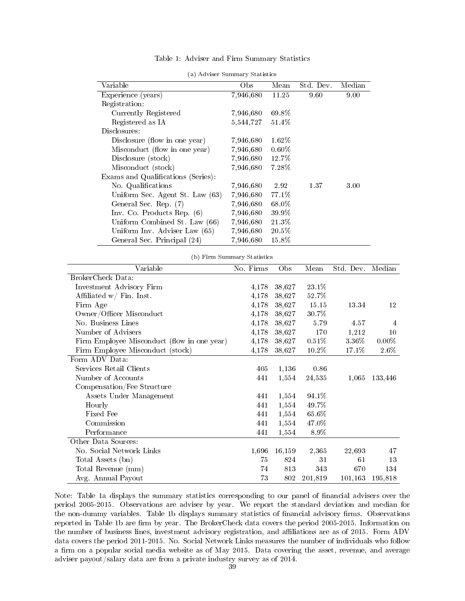| Variable                           | Obs       | Mean     | Std. Dev. | Median |
|------------------------------------|-----------|----------|-----------|--------|
| Experience (years)                 | 7,946,680 | 11.25    | 9.60      | 9.00   |
| Registration:                      |           |          |           |        |
| Currently Registered               | 7.946.680 | 69.8%    |           |        |
| Registered as IA                   | 5,544,727 | 51.4%    |           |        |
| Disclosures:                       |           |          |           |        |
| Disclosure (flow in one year)      | 7,946,680 | $1.62\%$ |           |        |
| Misconduct (flow in one year)      | 7,946,680 | $0.60\%$ |           |        |
| Disclosure (stock)                 | 7,946,680 | 12.7%    |           |        |
| Misconduct (stock)                 | 7,946,680 | 7.28%    |           |        |
| Exams and Qualifications (Series): |           |          |           |        |
| No. Qualifications                 | 7,946,680 | 2.92     | 1.37      | 3.00   |
| Uniform Sec. Agent St. Law (63)    | 7,946,680 | 77.1%    |           |        |
| General Sec. Rep. (7)              | 7,946,680 | 68.0%    |           |        |
| Inv. Co. Products Rep. (6)         | 7,946,680 | 39.9%    |           |        |
| Uniform Combined St. Law (66)      | 7,946,680 | 21.3%    |           |        |
| Uniform Inv. Adviser Law (65)      | 7,946,680 | 20.5%    |           |        |
| General Sec. Principal (24)        | 7.946.680 | 15.8%    |           |        |

Table 1: Adviser and Firm Summary Statistics

| Experience (years)                 | 7,946,680 | 11.25    | 9.60 | 9.00 |
|------------------------------------|-----------|----------|------|------|
| Registration:                      |           |          |      |      |
| Currently Registered               | 7,946,680 | 69.8%    |      |      |
| Registered as IA                   | 5,544,727 | 51.4%    |      |      |
| Disclosures:                       |           |          |      |      |
| Disclosure (flow in one year)      | 7,946,680 | 1.62%    |      |      |
| Misconduct (flow in one year)      | 7,946,680 | $0.60\%$ |      |      |
| Disclosure (stock)                 | 7,946,680 | 12.7%    |      |      |
| Misconduct (stock)                 | 7,946,680 | 7.28%    |      |      |
| Exams and Qualifications (Series): |           |          |      |      |
| No. Qualifications                 | 7.946.680 | 2.92     | 1.37 | 3.00 |
| Uniform Sec. Agent St. Law (63)    | 7.946.680 | 77.1\%   |      |      |
| General Sec. Rep. (7)              | 7,946,680 | 68.0%    |      |      |
| Inv. Co. Products Rep. (6)         | 7,946,680 | 39.9%    |      |      |
| Uniform Combined St. Law (66)      | 7,946,680 | 21.3%    |      |      |
| Uniform Inv. Adviser Law (65)      | 7,946,680 | 20.5%    |      |      |
| General Sec. Principal (24)        | 7,946,680 | 15.8%    |      |      |
|                                    |           |          |      |      |

(a) Adviser Summary Statistics

| (b) Firm Summary Statistics                                     |           |        |         |                  |          |
|-----------------------------------------------------------------|-----------|--------|---------|------------------|----------|
| Variable                                                        | No. Firms | Obs    | Mean    | Std. Dev. Median |          |
| BrokerCheck Data:                                               |           |        |         |                  |          |
| Investment Advisory Firm                                        | 4,178     | 38,627 | 23.1%   |                  |          |
| Affiliated $w/$ Fin. Inst.                                      | 4,178     | 38,627 | 52.7%   |                  |          |
| Firm Age                                                        | 4,178     | 38,627 | 15.15   | 13.34            | 12       |
| Owner/Officer Misconduct                                        | 4,178     | 38,627 | 30.7%   |                  |          |
| No. Business Lines                                              | 4,178     | 38,627 | 5.79    | 4.57             | 4        |
| Number of Advisers                                              | 4,178     | 38,627 | 170     | 1,212            | 10       |
| Firm Employee Misconduct (flow in one year)                     | 4,178     | 38,627 | 0.51%   | 3.36%            | $0.00\%$ |
| Firm Employee Misconduct (stock)                                | 4,178     | 38,627 | 10.2%   | 17.1%            | $2.6\%$  |
| Form ADV Data:                                                  |           |        |         |                  |          |
| Services Retail Clients                                         | 405       | 1,136  | 0.86    |                  |          |
| Number of Accounts                                              | 441       | 1,554  | 24,535  | 1,065            | 133,446  |
| $\label{eq:compensation} {\rm Comparison}/\text{Fee Structure}$ |           |        |         |                  |          |
| Assets Under Management                                         | 441       | 1,554  | 94.1%   |                  |          |
| Hourly                                                          | 441       | 1,554  | 49.7%   |                  |          |
| Fixed Fee                                                       | 441       | 1,554  | 65.6%   |                  |          |
| Commission                                                      | 441       | 1,554  | 47.0%   |                  |          |
| Performance                                                     | 441       | 1,554  | 8.9%    |                  |          |
| Other Data Sources:                                             |           |        |         |                  |          |
| No. Social Network Links                                        | 1,696     | 16,159 | 2,365   | 22,693           | 47       |
| Total Assets (bn)                                               | 75        | 824    | 31      | 61               | 13       |
| Total Revenue (mm)                                              | 74        | 813    | 343     | 670              | 134      |
| Avg. Annual Payout                                              | 73        | 802    | 201,819 | 101,163          | 195,818  |

Note: Table 1a displays the summary statistics corresponding to our panel of nancial advisers over the period 2005-2015. Observations are adviser by year. We report the standard deviation and median for the non-dummy variables. Table 1b displays summary statistics of financial advisory firms. Observations reported in Table 1b are firm by year. The BrokerCheck data covers the period 2005-2015. Information on the number of business lines, investment advisory registration, and affiliations are as of 2015. Form ADV data covers the period 2011-2015. No. Social Network Links measures the number of individuals who follow a firm on a popular social media website as of May 2015. Data covering the asset, revenue, and average adviser payout/salary data are from a private industry survey as of 2014.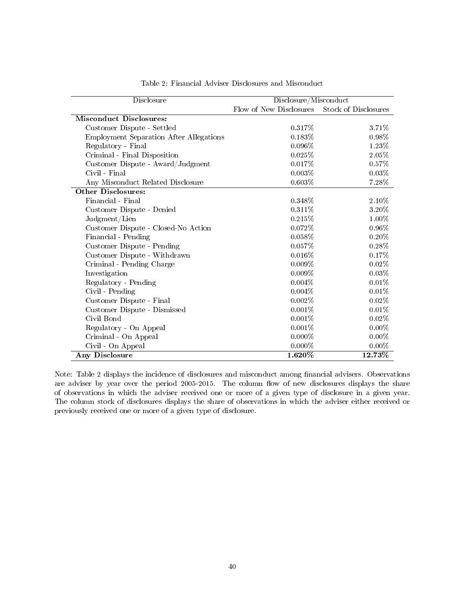| Disclosure                                     | Disclosure/Misconduct   |                      |  |
|------------------------------------------------|-------------------------|----------------------|--|
|                                                | Flow of New Disclosures | Stock of Disclosures |  |
| <b>Misconduct Disclosures:</b>                 |                         |                      |  |
| Customer Dispute - Settled                     | 0.317%                  | 3.71%                |  |
| <b>Employment Separation After Allegations</b> | 0.183\%                 | $0.98\%$             |  |
| Regulatory - Final                             | 0.096%                  | 1.23%                |  |
| Criminal - Final Disposition                   | 0.025%                  | 2.05%                |  |
| Customer Dispute - Award/Judgment              | 0.017%                  | 0.57%                |  |
| Civil Final                                    | 0.003%                  | 0.03%                |  |
| Any Misconduct Related Disclosure              | 0.603%                  | 7.28%                |  |
| <b>Other Disclosures:</b>                      |                         |                      |  |
| Financial - Final                              | 0.348\%                 | 2.10\%               |  |
| Customer Dispute - Denied                      | 0.311\%                 | 3.20%                |  |
| Judgment/Lien                                  | 0.215\%                 | 1.00%                |  |
| Customer Dispute - Closed-No Action            | 0.072%                  | 0.96%                |  |
| Financial - Pending                            | 0.058%                  | 0.20%                |  |
| Customer Dispute - Pending                     | 0.057%                  | $0.28\%$             |  |
| Customer Dispute - Withdrawn                   | 0.016%                  | 0.17%                |  |
| Criminal - Pending Charge                      | 0.009%                  | 0.02%                |  |
| Investigation                                  | $0.009\%$               | 0.03%                |  |
| Regulatory - Pending                           | $0.004\%$               | 0.01%                |  |
| Civil - Pending                                | $0.004\%$               | 0.01%                |  |
| Customer Dispute - Final                       | 0.002%                  | 0.02%                |  |
| Customer Dispute - Dismissed                   | 0.001%                  | 0.01%                |  |
| Civil Bond                                     | $0.001\%$               | 0.02%                |  |
| Regulatory - On Appeal                         | 0.001%                  | $0.00\%$             |  |
| Criminal - On Appeal                           | $0.000\%$               | 0.00%                |  |
| Civil - On Appeal                              | $0.000\%$               | $0.00\%$             |  |
| Any Disclosure                                 | $1.620\%$               | 12.73%               |  |

Table 2: Financial Adviser Disclosures and Misconduct

Note: Table 2 displays the incidence of disclosures and misconduct among financial advisers. Observations are adviser by year over the period 2005-2015. The column flow of new disclosures displays the share of observations in which the adviser received one or more of a given type of disclosure in a given year. The column stock of disclosures displays the share of observations in which the adviser either received or previously received one or more of a given type of disclosure.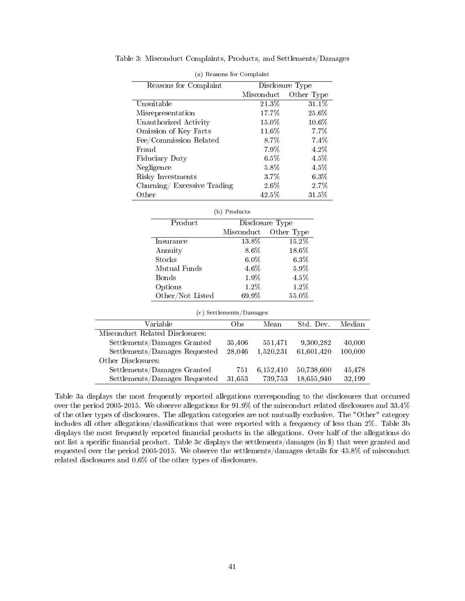| (a) Reasons for Complaint   |                 |            |  |  |  |
|-----------------------------|-----------------|------------|--|--|--|
| Reasons for Complaint       | Disclosure Type |            |  |  |  |
|                             | Misconduct      | Other Type |  |  |  |
| Unsuitable                  | 21.3%           | 31.1\%     |  |  |  |
| Misrepresentation           | 17.7%           | 25.6%      |  |  |  |
| Unauthorized Activity       | 15.0%           | $10.6\%$   |  |  |  |
| Omission of Key Facts       | $11.6\%$        | $7.7\%$    |  |  |  |
| Fee/Commission Related      | 8.7%            | $7.4\%$    |  |  |  |
| Frand                       | 7.9%            | 4.2%       |  |  |  |
| Fiduciary Duty              | $6.5\%$         | 4.5%       |  |  |  |
| Negligence                  | $5.8\%$         | 4.5%       |  |  |  |
| Risky Investments           | $3.7\%$         | 6.3%       |  |  |  |
| Churning/ Excessive Trading | $2.6\%$         | 2.7%       |  |  |  |
| Other                       | 42.5%           | $31.5\%$   |  |  |  |

Table 3: Misconduct Complaints, Products, and Settlements/Damages

| (b) Products     |                 |            |  |  |
|------------------|-----------------|------------|--|--|
| Product          | Disclosure Type |            |  |  |
|                  | Misconduct      | Other Type |  |  |
| <i>Insurance</i> | 13.8%           | 15.2%      |  |  |
| Annuity          | 8.6%            | 18.6%      |  |  |
| Stocks           | $6.0\%$         | 6.3%       |  |  |
| Mutual Funds     | $4.6\%$         | $5.9\%$    |  |  |
| <b>Bonds</b>     | 1.9%            | 4.5%       |  |  |
| Options          | 1.2%            | 1.2%       |  |  |
| Other/Not Listed | 69.9%           | 55.0%      |  |  |

|  | (c) Settlements/Damages |
|--|-------------------------|
|--|-------------------------|

| Variable                        | Obs.   | Mean      | Std. Dev.  | Median  |
|---------------------------------|--------|-----------|------------|---------|
| Misconduct Related Disclosures: |        |           |            |         |
| Settlements/Damages Granted     | 35,406 | 551,471   | 9,300,282  | 40,000  |
| Settlements/Damages Requested   | 28,046 | 1,520,231 | 61,601,420 | 100,000 |
| Other Disclosures:              |        |           |            |         |
| Settlements/Damages Granted     | 751    | 6.152.410 | 50,738,600 | 45,478  |
| Settlements/Damages Requested   | 31,653 | 739,753   | 18,655,940 | 32,199  |

Table 3a displays the most frequently reported allegations corresponding to the disclosures that occurred over the period 2005-2015. We observe allegations for 91.9% of the misconduct related disclosures and 33.4% of the other types of disclosures. The allegation categories are not mutually exclusive. The "Other" category includes all other allegations/classifications that were reported with a frequency of less than 2%. Table 3b displays the most frequently reported nancial products in the allegations. Over half of the allegations do not list a specific financial product. Table 3c displays the settlements/damages (in \$) that were granted and requested over the period 2005-2015. We observe the settlements/damages details for 45.8% of misconduct related disclosures and 0.6% of the other types of disclosures.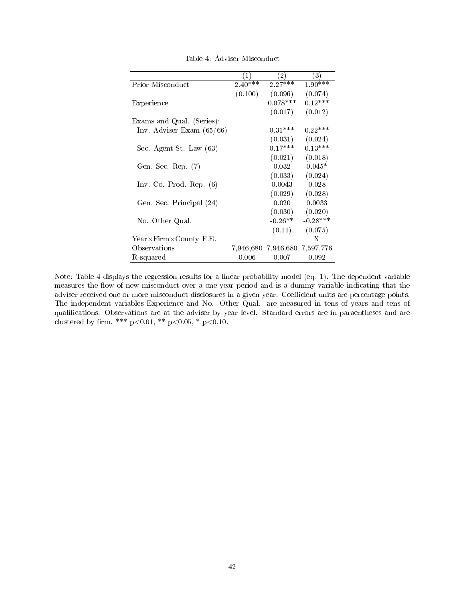|                                       | (1)       | (2)                 | (3)        |
|---------------------------------------|-----------|---------------------|------------|
| Prior Misconduct                      | $2.40***$ | $2.27***$           | $1.90***$  |
|                                       | (0.100)   | (0.096)             | (0.074)    |
| Experience                            |           | $0.078***$          | $0.12***$  |
|                                       |           | (0.017)             | (0.012)    |
| Exams and Qual. (Series):             |           |                     |            |
| Inv. Adviser Exam $(65/66)$           |           | $0.31***$           | $0.22***$  |
|                                       |           | (0.031)             | (0.024)    |
| Sec. Agent St. Law (63)               |           | $0.17***$           | $0.13***$  |
|                                       |           | (0.021)             | (0.018)    |
| Gen. Sec. Rep. (7)                    |           | 0.032               | $0.045*$   |
|                                       |           | (0.033)             | (0.024)    |
| Inv. Co. Prod. Rep. $(6)$             |           | 0.0043              | 0.028      |
|                                       |           | (0.029)             | (0.028)    |
| Gen. Sec. Principal (24)              |           | $0.020\,$           | 0.0033     |
|                                       |           | (0.030)             | (0.020)    |
| No. Other Qual.                       |           | $-0.26**$           | $-0.28***$ |
|                                       |           | (0.11)              | (0.075)    |
| $Year \times Firm \times County$ F.E. |           |                     | X          |
| Observations                          | 7,946,680 | 7,946,680 7,597,776 |            |
| R-squared                             | 0.006     | 0.007               | 0.092      |

Table 4: Adviser Misconduct

Note: Table 4 displays the regression results for a linear probability model (eq. 1). The dependent variable measures the flow of new misconduct over a one year period and is a dummy variable indicating that the adviser received one or more misconduct disclosures in a given year. Coefficient units are percentage points. The independent variables Experience and No. Other Qual. are measured in tens of years and tens of qualifications. Observations are at the adviser by year level. Standard errors are in paraentheses and are clustered by firm. \*\*\*  $p<0.01$ , \*\*  $p<0.05$ , \*  $p<0.10$ .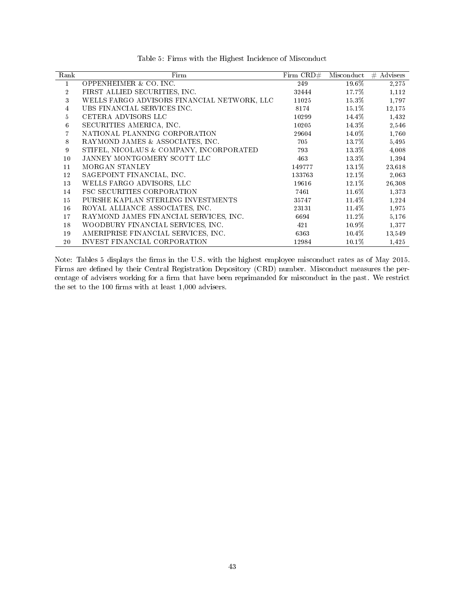| Rank           | Firm                                        | $Firm$ $CRD#$ | Misconduct | $#$ Advisers |
|----------------|---------------------------------------------|---------------|------------|--------------|
|                | OPPENHEIMER & CO. INC.                      | 249           | 19.6%      | 2,275        |
| $\overline{2}$ | FIRST ALLIED SECURITIES, INC.               | 32444         | 17.7%      | 1,112        |
| 3              | WELLS FARGO ADVISORS FINANCIAL NETWORK, LLC | 11025         | $15.3\%$   | 1,797        |
| 4              | UBS FINANCIAL SERVICES INC.                 | 8174          | $15.1\%$   | 12,175       |
| 5.             | CETERA ADVISORS LLC                         | 10299         | 14.4%      | 1,432        |
| 6              | SECURITIES AMERICA, INC.                    | 10205         | $14.3\%$   | 2,546        |
|                | NATIONAL PLANNING CORPORATION               | 29604         | $14.0\%$   | 1,760        |
| 8              | RAYMOND JAMES & ASSOCIATES, INC.            | 705           | $13.7\%$   | 5,495        |
| 9              | STIFEL, NICOLAUS & COMPANY, INCORPORATED    | 793           | $13.3\%$   | 4,008        |
| 10             | JANNEY MONTGOMERY SCOTT LLC                 | 463           | $13.3\%$   | 1,394        |
| 11             | MORGAN STANLEY                              | 149777        | $13.1\%$   | 23,618       |
| 12             | SAGEPOINT FINANCIAL, INC.                   | 133763        | 12.1%      | 2,063        |
| 13             | WELLS FARGO ADVISORS, LLC                   | 19616         | $12.1\%$   | 26,308       |
| 14             | FSC SECURITIES CORPORATION                  | 7461          | 11.6%      | 1,373        |
| 15             | PURSHE KAPLAN STERLING INVESTMENTS          | 35747         | $11.4\%$   | 1,224        |
| 16             | ROYAL ALLIANCE ASSOCIATES, INC.             | 23131         | 11.4%      | 1.975        |
| 17             | RAYMOND JAMES FINANCIAL SERVICES, INC.      | 6694          | $11.2\%$   | 5,176        |
| 18             | WOODBURY FINANCIAL SERVICES, INC.           | 421           | $10.9\%$   | 1,377        |
| 19             | AMERIPRISE FINANCIAL SERVICES, INC.         | 6363          | $10.4\%$   | 13,549       |
| 20             | INVEST FINANCIAL CORPORATION                | 12984         | $10.1\%$   | 1,425        |

Table 5: Firms with the Highest Incidence of Misconduct

Note: Tables 5 displays the firms in the U.S. with the highest employee misconduct rates as of May 2015. Firms are defined by their Central Registration Depository (CRD) number. Misconduct measures the percentage of advisers working for a firm that have been reprimanded for misconduct in the past. We restrict the set to the 100 firms with at least  $1,000$  advisers.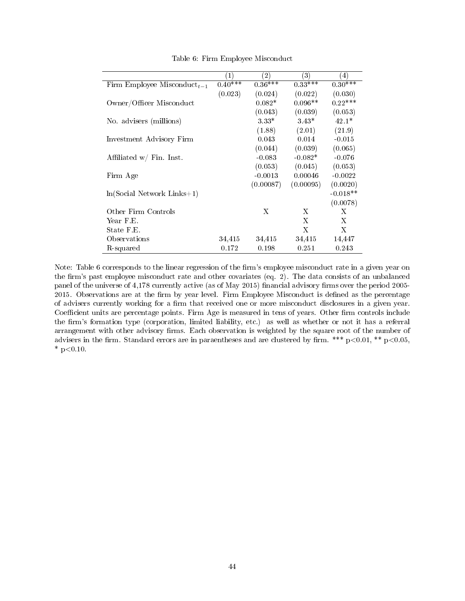|                                         | (1)       | (2)       | (3)       | $\left( 4\right)$ |
|-----------------------------------------|-----------|-----------|-----------|-------------------|
| Firm Employee Misconduct <sub>t-1</sub> | $0.40***$ | $0.36***$ | $0.33***$ | $0.30***$         |
|                                         | (0.023)   | (0.024)   | (0.022)   | (0.030)           |
| Owner/Officer Misconduct                |           | $0.082*$  | $0.096**$ | $0.22***$         |
|                                         |           | (0.043)   | (0.039)   | (0.053)           |
| No. advisers (millions)                 |           | $3.33*$   | $3.43*$   | $42.1*$           |
|                                         |           | (1.88)    | (2.01)    | (21.9)            |
| Investment Advisory Firm                |           | 0.043     | 0.014     | $-0.015$          |
|                                         |           | (0.044)   | (0.039)   | (0.065)           |
| Affiliated $w /$ Fin. Inst.             |           | $-0.083$  | $-0.082*$ | $-0.076$          |
|                                         |           | (0.053)   | (0.045)   | (0.053)           |
| Firm Age                                |           | $-0.0013$ | 0.00046   | $-0.0022$         |
|                                         |           | (0.00087) | (0.00095) | (0.0020)          |
| $ln(Social Network Links+1)$            |           |           |           | $-0.018**$        |
|                                         |           |           |           | (0.0078)          |
| Other Firm Controls                     |           | X         | X         | X                 |
| Year F.E.                               |           |           | X         | X                 |
| State F.E.                              |           |           | X.        | $\mathbf{X}$      |
| Observations                            | 34,415    | 34,415    | 34,415    | 14,447            |
| R-squared                               | 0.172     | 0.198     | 0.251     | 0.243             |

Table 6: Firm Employee Misconduct

Note: Table 6 corresponds to the linear regression of the firm's employee misconduct rate in a given year on the firm's past employee misconduct rate and other covariates (eq. 2). The data consists of an unbalanced panel of the universe of 4,178 currently active (as of May 2015) financial advisory firms over the period 2005-2015. Observations are at the firm by year level. Firm Employee Misconduct is defined as the percentage of advisers currently working for a firm that received one or more misconduct disclosures in a given year. Coefficient units are percentage points. Firm Age is measured in tens of years. Other firm controls include the firm's formation type (corporation, limited liability, etc.) as well as whether or not it has a referral arrangement with other advisory firms. Each observation is weighted by the square root of the number of advisers in the firm. Standard errors are in paraentheses and are clustered by firm. \*\*\*  $p<0.01$ , \*\*  $p<0.05$ ,  $*$  p<0.10.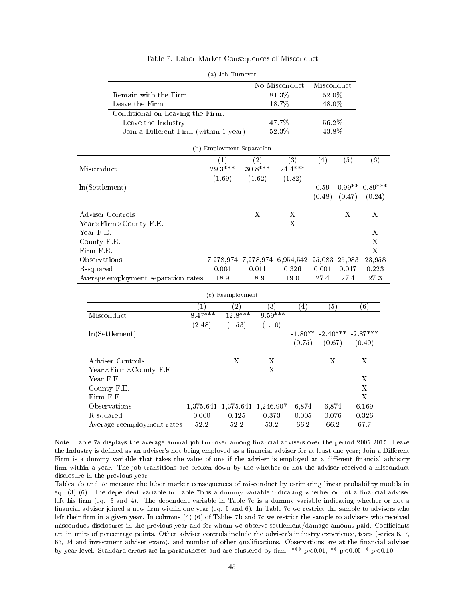#### Table 7: Labor Market Consequences of Misconduct

| 81.3%<br>52.0%<br>Remain with the Firm<br>48.0%<br>18.7%<br>Leave the Firm<br>Conditional on Leaving the Firm:<br>47.7%<br>56.2%<br>Leave the Industry<br>$52.3\%$<br>43.8%<br>Join a Different Firm (within 1 year)<br>(b) Employment Separation<br>(3)<br>(5)<br>(6)<br>(1)<br>(2)<br>(4)<br>$29.3***$<br>$30.8***$<br>$24.4***$<br>Misconduct<br>(1.69)<br>(1.82)<br>(1.62)<br>0.59<br>$0.99**$<br>ln(Settlement)<br>(0.48)<br>(0.47)<br>(0.24)<br>$\mathbf X$<br>Adviser Controls<br>$\mathbf X$<br>X<br>X<br>Year×Firm×County F.E.<br>X<br>Year F.E.<br>$\mathbf X$<br>$\mathbf X$<br>County F.E.<br>$\mathbf X$<br>Firm F.E.<br>Observations<br>7,278,974 7,278,974 6,954,542 25,083 25,083<br>23,958<br>0.223<br>R-squared<br>0.004<br>0.011<br>0.326<br>0.001<br>0.017<br>18.9<br>18.9<br>19.0<br>27.3<br>Average employment separation rates<br>27.4<br>27.4<br>(c) Reemployment<br>$\overline{(2)}$<br>$\overline{(3)}$<br>$\overline{(6)}$<br>(1)<br>(4)<br>(5)<br>$-12.8***$<br>$-9.59***$<br>$-8.47***$<br>Misconduct<br>(2.48)<br>(1.53)<br>(1.10)<br>$-2.87***$<br>$-1.80**$ $-2.40***$<br>ln(Settlement)<br>(0.49)<br>(0.75)<br>(0.67)<br><b>Adviser Controls</b><br>$\mathbf X$<br>$\mathbf X$<br>$\mathbf X$<br>$\mathbf X$<br>X<br>$Year \times Firm \times County$ F.E.<br>Year F.E.<br>$\mathbf X$<br>$\mathbf X$<br>County F.E.<br>$\overline{X}$<br>Firm F.E.<br>6,169<br>Observations<br>1,375,641 1,375,641 1,246,907<br>6,874<br>6,874 |  |  | No Misconduct |  | Misconduct |  |
|------------------------------------------------------------------------------------------------------------------------------------------------------------------------------------------------------------------------------------------------------------------------------------------------------------------------------------------------------------------------------------------------------------------------------------------------------------------------------------------------------------------------------------------------------------------------------------------------------------------------------------------------------------------------------------------------------------------------------------------------------------------------------------------------------------------------------------------------------------------------------------------------------------------------------------------------------------------------------------------------------------------------------------------------------------------------------------------------------------------------------------------------------------------------------------------------------------------------------------------------------------------------------------------------------------------------------------------------------------------------------------------------------------------------------------------------------------------|--|--|---------------|--|------------|--|
| $0.89***$                                                                                                                                                                                                                                                                                                                                                                                                                                                                                                                                                                                                                                                                                                                                                                                                                                                                                                                                                                                                                                                                                                                                                                                                                                                                                                                                                                                                                                                        |  |  |               |  |            |  |
|                                                                                                                                                                                                                                                                                                                                                                                                                                                                                                                                                                                                                                                                                                                                                                                                                                                                                                                                                                                                                                                                                                                                                                                                                                                                                                                                                                                                                                                                  |  |  |               |  |            |  |
|                                                                                                                                                                                                                                                                                                                                                                                                                                                                                                                                                                                                                                                                                                                                                                                                                                                                                                                                                                                                                                                                                                                                                                                                                                                                                                                                                                                                                                                                  |  |  |               |  |            |  |
|                                                                                                                                                                                                                                                                                                                                                                                                                                                                                                                                                                                                                                                                                                                                                                                                                                                                                                                                                                                                                                                                                                                                                                                                                                                                                                                                                                                                                                                                  |  |  |               |  |            |  |
|                                                                                                                                                                                                                                                                                                                                                                                                                                                                                                                                                                                                                                                                                                                                                                                                                                                                                                                                                                                                                                                                                                                                                                                                                                                                                                                                                                                                                                                                  |  |  |               |  |            |  |
|                                                                                                                                                                                                                                                                                                                                                                                                                                                                                                                                                                                                                                                                                                                                                                                                                                                                                                                                                                                                                                                                                                                                                                                                                                                                                                                                                                                                                                                                  |  |  |               |  |            |  |
|                                                                                                                                                                                                                                                                                                                                                                                                                                                                                                                                                                                                                                                                                                                                                                                                                                                                                                                                                                                                                                                                                                                                                                                                                                                                                                                                                                                                                                                                  |  |  |               |  |            |  |
|                                                                                                                                                                                                                                                                                                                                                                                                                                                                                                                                                                                                                                                                                                                                                                                                                                                                                                                                                                                                                                                                                                                                                                                                                                                                                                                                                                                                                                                                  |  |  |               |  |            |  |
|                                                                                                                                                                                                                                                                                                                                                                                                                                                                                                                                                                                                                                                                                                                                                                                                                                                                                                                                                                                                                                                                                                                                                                                                                                                                                                                                                                                                                                                                  |  |  |               |  |            |  |
|                                                                                                                                                                                                                                                                                                                                                                                                                                                                                                                                                                                                                                                                                                                                                                                                                                                                                                                                                                                                                                                                                                                                                                                                                                                                                                                                                                                                                                                                  |  |  |               |  |            |  |
|                                                                                                                                                                                                                                                                                                                                                                                                                                                                                                                                                                                                                                                                                                                                                                                                                                                                                                                                                                                                                                                                                                                                                                                                                                                                                                                                                                                                                                                                  |  |  |               |  |            |  |
|                                                                                                                                                                                                                                                                                                                                                                                                                                                                                                                                                                                                                                                                                                                                                                                                                                                                                                                                                                                                                                                                                                                                                                                                                                                                                                                                                                                                                                                                  |  |  |               |  |            |  |
|                                                                                                                                                                                                                                                                                                                                                                                                                                                                                                                                                                                                                                                                                                                                                                                                                                                                                                                                                                                                                                                                                                                                                                                                                                                                                                                                                                                                                                                                  |  |  |               |  |            |  |
|                                                                                                                                                                                                                                                                                                                                                                                                                                                                                                                                                                                                                                                                                                                                                                                                                                                                                                                                                                                                                                                                                                                                                                                                                                                                                                                                                                                                                                                                  |  |  |               |  |            |  |
|                                                                                                                                                                                                                                                                                                                                                                                                                                                                                                                                                                                                                                                                                                                                                                                                                                                                                                                                                                                                                                                                                                                                                                                                                                                                                                                                                                                                                                                                  |  |  |               |  |            |  |
|                                                                                                                                                                                                                                                                                                                                                                                                                                                                                                                                                                                                                                                                                                                                                                                                                                                                                                                                                                                                                                                                                                                                                                                                                                                                                                                                                                                                                                                                  |  |  |               |  |            |  |
|                                                                                                                                                                                                                                                                                                                                                                                                                                                                                                                                                                                                                                                                                                                                                                                                                                                                                                                                                                                                                                                                                                                                                                                                                                                                                                                                                                                                                                                                  |  |  |               |  |            |  |
|                                                                                                                                                                                                                                                                                                                                                                                                                                                                                                                                                                                                                                                                                                                                                                                                                                                                                                                                                                                                                                                                                                                                                                                                                                                                                                                                                                                                                                                                  |  |  |               |  |            |  |
|                                                                                                                                                                                                                                                                                                                                                                                                                                                                                                                                                                                                                                                                                                                                                                                                                                                                                                                                                                                                                                                                                                                                                                                                                                                                                                                                                                                                                                                                  |  |  |               |  |            |  |
|                                                                                                                                                                                                                                                                                                                                                                                                                                                                                                                                                                                                                                                                                                                                                                                                                                                                                                                                                                                                                                                                                                                                                                                                                                                                                                                                                                                                                                                                  |  |  |               |  |            |  |
|                                                                                                                                                                                                                                                                                                                                                                                                                                                                                                                                                                                                                                                                                                                                                                                                                                                                                                                                                                                                                                                                                                                                                                                                                                                                                                                                                                                                                                                                  |  |  |               |  |            |  |
|                                                                                                                                                                                                                                                                                                                                                                                                                                                                                                                                                                                                                                                                                                                                                                                                                                                                                                                                                                                                                                                                                                                                                                                                                                                                                                                                                                                                                                                                  |  |  |               |  |            |  |
|                                                                                                                                                                                                                                                                                                                                                                                                                                                                                                                                                                                                                                                                                                                                                                                                                                                                                                                                                                                                                                                                                                                                                                                                                                                                                                                                                                                                                                                                  |  |  |               |  |            |  |
|                                                                                                                                                                                                                                                                                                                                                                                                                                                                                                                                                                                                                                                                                                                                                                                                                                                                                                                                                                                                                                                                                                                                                                                                                                                                                                                                                                                                                                                                  |  |  |               |  |            |  |
|                                                                                                                                                                                                                                                                                                                                                                                                                                                                                                                                                                                                                                                                                                                                                                                                                                                                                                                                                                                                                                                                                                                                                                                                                                                                                                                                                                                                                                                                  |  |  |               |  |            |  |
|                                                                                                                                                                                                                                                                                                                                                                                                                                                                                                                                                                                                                                                                                                                                                                                                                                                                                                                                                                                                                                                                                                                                                                                                                                                                                                                                                                                                                                                                  |  |  |               |  |            |  |
|                                                                                                                                                                                                                                                                                                                                                                                                                                                                                                                                                                                                                                                                                                                                                                                                                                                                                                                                                                                                                                                                                                                                                                                                                                                                                                                                                                                                                                                                  |  |  |               |  |            |  |
|                                                                                                                                                                                                                                                                                                                                                                                                                                                                                                                                                                                                                                                                                                                                                                                                                                                                                                                                                                                                                                                                                                                                                                                                                                                                                                                                                                                                                                                                  |  |  |               |  |            |  |
|                                                                                                                                                                                                                                                                                                                                                                                                                                                                                                                                                                                                                                                                                                                                                                                                                                                                                                                                                                                                                                                                                                                                                                                                                                                                                                                                                                                                                                                                  |  |  |               |  |            |  |
|                                                                                                                                                                                                                                                                                                                                                                                                                                                                                                                                                                                                                                                                                                                                                                                                                                                                                                                                                                                                                                                                                                                                                                                                                                                                                                                                                                                                                                                                  |  |  |               |  |            |  |
|                                                                                                                                                                                                                                                                                                                                                                                                                                                                                                                                                                                                                                                                                                                                                                                                                                                                                                                                                                                                                                                                                                                                                                                                                                                                                                                                                                                                                                                                  |  |  |               |  |            |  |
| 0.326<br>0.000<br>0.373<br>0.005<br>0.076<br>R-squared<br>0.125                                                                                                                                                                                                                                                                                                                                                                                                                                                                                                                                                                                                                                                                                                                                                                                                                                                                                                                                                                                                                                                                                                                                                                                                                                                                                                                                                                                                  |  |  |               |  |            |  |
| 52.2<br>52.2<br>53.2<br>66.2<br>66.2<br>67.7<br>Average reemployment rates                                                                                                                                                                                                                                                                                                                                                                                                                                                                                                                                                                                                                                                                                                                                                                                                                                                                                                                                                                                                                                                                                                                                                                                                                                                                                                                                                                                       |  |  |               |  |            |  |

(a) Job Turnover

Note: Table 7a displays the average annual job turnover among financial advisers over the period 2005-2015. Leave the Industry is defined as an adviser's not being employed as a financial adviser for at least one year; Join a Different Firm is a dummy variable that takes the value of one if the adviser is employed at a different financial advisory firm within a year. The job transitions are broken down by the whether or not the adviser received a misconduct disclosure in the previous year.

Tables 7b and 7c measure the labor market consequences of misconduct by estimating linear probability models in eq.  $(3)-(6)$ . The dependent variable in Table 7b is a dummy variable indicating whether or not a financial adviser left his firm (eq. 3 and 4). The dependent variable in Table 7c is a dummy variable indicating whether or not a financial adviser joined a new firm within one year (eq. 5 and 6). In Table 7c we restrict the sample to advisers who left their firm in a given year. In columns  $(4)-(6)$  of Tables 7b and 7c we restrict the sample to advisers who received misconduct disclosures in the previous year and for whom we observe settlement/damage amount paid. Coefficients are in units of percentage points. Other adviser controls include the adviser's industry experience, tests (series 6, 7, 63, 24 and investment adviser exam), and number of other qualifications. Observations are at the financial adviser by year level. Standard errors are in paraentheses and are clustered by firm. \*\*\*  $p<0.01$ , \*\*  $p<0.05$ , \*  $p<0.10$ .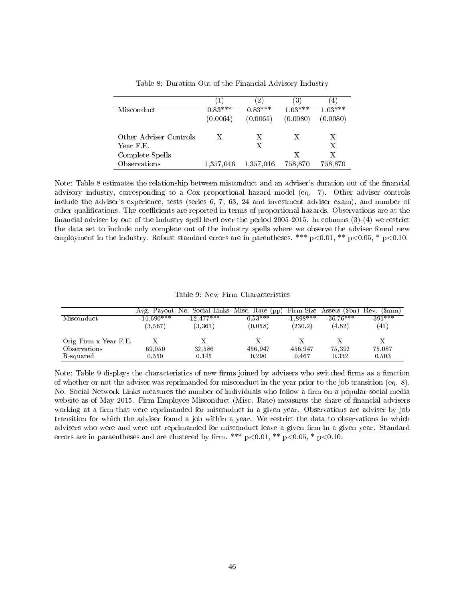|                        | $\perp$   | $^{2}$    | $\left 3\right\rangle$ | 4         |
|------------------------|-----------|-----------|------------------------|-----------|
| Misconduct             | $0.83***$ | $0.83***$ | $1.03***$              | $1.03***$ |
|                        | (0.0064)  | (0.0065)  | (0.0080)               | (0.0080)  |
| Other Adviser Controls | X.        | Х         | X                      | X         |
| Year F.E.              |           | Х         |                        | Х         |
| Complete Spells        |           |           | X                      | X         |
| Observations           | 1,357,046 | 1,357,046 | 758,870                | 758,870   |

Table 8: Duration Out of the Financial Advisory Industry

Note: Table 8 estimates the relationship between misconduct and an adviser's duration out of the financial advisory industry, corresponding to a Cox proportional hazard model (eq. 7). Other adviser controls include the adviser's experience, tests (series 6, 7, 63, 24 and investment adviser exam), and number of other qualifications. The coefficients are reported in terms of proportional hazards. Observations are at the financial adviser by out of the industry spell level over the period  $2005$ - $2015$ . In columns  $(3)-(4)$  we restrict the data set to include only complete out of the industry spells where we observe the adviser found new employment in the industry. Robust standard errors are in parentheses. \*\*\*  $p<0.01$ , \*\*  $p<0.05$ , \*  $p<0.10$ .

Table 9: New Firm Characteristics

|                       |              | Avg. Payout No. Social Links Misc. Rate (pp) Firm Size Assets (\$bn) |           |             |             | Rev. (<br>(\$mm) |
|-----------------------|--------------|----------------------------------------------------------------------|-----------|-------------|-------------|------------------|
| Misconduct            | $-14.690***$ | $-12.477***$                                                         | $0.53***$ | $-1.898***$ | $-36.76***$ | $-391***$        |
|                       | (3.567)      | (3.361)                                                              | (0.058)   | (230.2)     | (4.82)      | (41)             |
| Orig Firm x Year F.E. |              |                                                                      |           |             |             |                  |
| Observations          | 69.050       | 32.586                                                               | 456.947   | 456.947     | 75.392      | 75.087           |
| R-squared             | 0.559        | 0.145                                                                | 0.290     | 0.467       | 0.332       | 0.503            |

Note: Table 9 displays the characteristics of new firms joined by advisers who switched firms as a function of whether or not the adviser was reprimanded for misconduct in the year prior to the job transition (eq. 8). No. Social Network Links measures the number of individuals who follow a firm on a popular social media website as of May 2015. Firm Employee Misconduct (Misc. Rate) measures the share of financial advisers working at a firm that were reprimanded for misconduct in a given year. Observations are adviser by job transition for which the adviser found a job within a year. We restrict the data to observations in which advisers who were and were not reprimanded for misconduct leave a given firm in a given year. Standard errors are in paraentheses and are clustered by firm. \*\*\*  $p<0.01$ , \*\*  $p<0.05$ , \*  $p<0.10$ .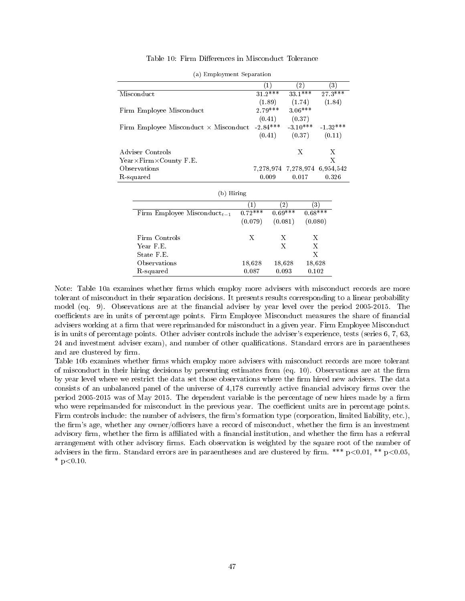|                                              | (1)        | $\left( 2\right)$                | $\left(3\right)$ |  |  |
|----------------------------------------------|------------|----------------------------------|------------------|--|--|
| Misconduct                                   | $31.2***$  | $33.1***$                        | $27.3***$        |  |  |
|                                              |            | $(1.89)$ $(1.74)$                | (1.84)           |  |  |
| Firm Employee Misconduct                     | $2.79***$  | $3.06***$                        |                  |  |  |
|                                              |            | $(0.41)$ $(0.37)$                |                  |  |  |
| Firm Employee Misconduct $\times$ Misconduct |            | $-2.84***$ $-3.10***$ $-1.32***$ |                  |  |  |
|                                              |            | $(0.41)$ $(0.37)$                | (0.11)           |  |  |
| Adviser Controls                             |            | Х                                | X                |  |  |
| $Year \times Firm \times Countv$ F.E.        |            |                                  | X                |  |  |
|                                              |            |                                  |                  |  |  |
| Observations                                 |            | 7,278,974 7,278,974 6,954,542    |                  |  |  |
| R-squared                                    | 0.009      | 0.017                            | 0.326            |  |  |
| (b) Hiring                                   |            |                                  |                  |  |  |
|                                              | (の)<br>(1) | ( و )                            |                  |  |  |

Table 10: Firm Differences in Misconduct Tolerance

| 'irm Employee Misconduct                                       |            | $2.79***$  | $3.06***$                    |                  |
|----------------------------------------------------------------|------------|------------|------------------------------|------------------|
|                                                                |            |            | $(0.41)$ $(0.37)$            |                  |
| $\mathop{\mathrm{im}}$ Employee Misconduct $\times$ Misconduct |            | $-2.84***$ | $-3.10***$ 1.32**            |                  |
|                                                                |            |            | $(0.41)$ $(0.37)$            | (0.11)           |
| dviser Controls                                                |            |            | Х                            | X                |
| ear×Firm×County F.E.                                           |            |            |                              | X                |
| $_{\rm bservations}$                                           |            |            | 7,278,974 7,278,974 6,954,54 |                  |
| ∟squared ا                                                     |            | 0.009      | 0.017                        | 0.326            |
|                                                                | (b) Hiring |            |                              |                  |
|                                                                | (1)        |            | (2)                          | $\left(3\right)$ |
| Firm Employee Misconduct <sub>t-1</sub>                        | $0.72***$  |            | $0.69***$                    | $0.68***$        |
|                                                                |            | (0.079)    | (0.081)                      | (0.080)          |
|                                                                |            |            |                              |                  |

Firm Controls X X X X Year F.E. X X State F.E. X Observations 18,628 18,628 18,628 R-squared 0.087 0.093 0.102

(a) Employment Separation

Note: Table 10a examines whether firms which employ more advisers with misconduct records are more tolerant of misconduct in their separation decisions. It presents results corresponding to a linear probability model (eq. 9). Observations are at the financial adviser by year level over the period 2005-2015. The coefficients are in units of percentage points. Firm Employee Misconduct measures the share of financial advisers working at a firm that were reprimanded for misconduct in a given year. Firm Employee Misconduct is in units of percentage points. Other adviser controls include the adviser's experience, tests (series 6, 7, 63, 24 and investment adviser exam), and number of other qualifications. Standard errors are in paraentheses and are clustered by firm.

Table 10b examines whether firms which employ more advisers with misconduct records are more tolerant of misconduct in their hiring decisions by presenting estimates from (eq. 10). Observations are at the firm by year level where we restrict the data set those observations where the firm hired new advisers. The data consists of an unbalanced panel of the universe of  $4,178$  currently active financial advisory firms over the period 2005-2015 was of May 2015. The dependent variable is the percentage of new hires made by a firm who were reprimanded for misconduct in the previous year. The coefficient units are in percentage points. Firm controls include: the number of advisers, the firm's formation type (corporation, limited liability, etc.), the firm's age, whether any owner/officers have a record of misconduct, whether the firm is an investment advisory firm, whether the firm is affiliated with a financial institution, and whether the firm has a referral arrangement with other advisory firms. Each observation is weighted by the square root of the number of advisers in the firm. Standard errors are in paraentheses and are clustered by firm. \*\*\* p<0.01, \*\* p<0.05,  $*$  p<0.10.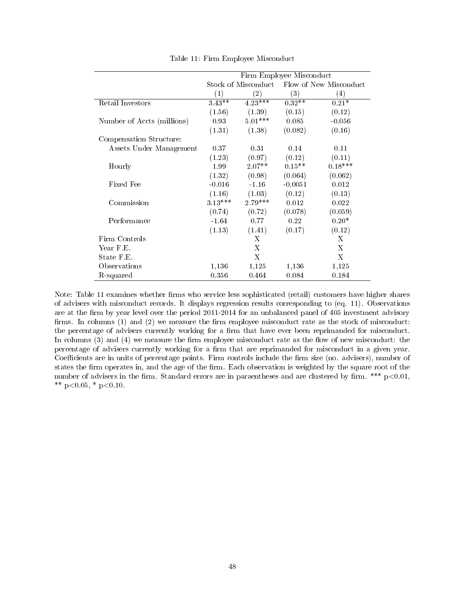|                            | Firm Employee Misconduct |                     |                   |                        |  |  |
|----------------------------|--------------------------|---------------------|-------------------|------------------------|--|--|
|                            |                          | Stock of Misconduct |                   | Flow of New Misconduct |  |  |
|                            | $\left( 1\right)$        | $\left( 2\right)$   | $\left( 3\right)$ | $\left( 4\right)$      |  |  |
| Retail Investors           | $3.43**$                 | $4.23***$           | $0.32**$          | $0.21*$                |  |  |
|                            | (1.56)                   | (1.39)              | (0.15)            | (0.12)                 |  |  |
| Number of Accts (millions) | 0.93                     | $5.01***$           | 0.085             | $-0.056$               |  |  |
|                            | (1.31)                   | (1.38)              | (0.082)           | (0.16)                 |  |  |
| Compensation Structure:    |                          |                     |                   |                        |  |  |
| Assets Under Management    | 0.37                     | 0.31                | 0.14              | 0.11                   |  |  |
|                            | (1.23)                   | (0.97)              | (0.12)            | (0.11)                 |  |  |
| Hourly                     | 1.99                     | $2.07**$            | $0.15**$          | $0.18***$              |  |  |
|                            | (1.32)                   | (0.98)              | (0.064)           | (0.062)                |  |  |
| Fixed Fee                  | $-0.016$                 | $-1.16$             | $-0.0051$         | 0.012                  |  |  |
|                            | (1.16)                   | (1.03)              | (0.12)            | (0.13)                 |  |  |
| Commission                 | $3.13***$                | $2.79***$           | 0.012             | 0.022                  |  |  |
|                            | (0.74)                   | (0.72)              | (0.078)           | (0.059)                |  |  |
| Performance                | $-1.64$                  | 0.77                | 0.22              | $0.20*$                |  |  |
|                            | (1.13)                   | (1.41)              | (0.17)            | (0.12)                 |  |  |
| Firm Controls              |                          | X                   |                   | Х                      |  |  |
| Year F.E.                  |                          | X                   |                   | X                      |  |  |
| State F.E.                 |                          | X                   |                   | X                      |  |  |
| Observations               | 1,136                    | 1,125               | 1,136             | 1,125                  |  |  |
| R-squared                  | 0.356                    | 0.464               | 0.084             | 0.184                  |  |  |

Table 11: Firm Employee Misconduct

Note: Table 11 examines whether firms who service less sophisticated (retail) customers have higher shares of advisers with misconduct records. It displays regression results corresponding to (eq. 11). Observations are at the firm by year level over the period 2011-2014 for an unbalanced panel of 405 investment advisory firms. In columns  $(1)$  and  $(2)$  we measure the firm employee misconduct rate as the stock of misconduct: the percentage of advisers currently working for a firm that have ever been reprimanded for misconduct. In columns  $(3)$  and  $(4)$  we measure the firm employee misconduct rate as the flow of new misconduct: the percentage of advisers currently working for a firm that are reprimanded for misconduct in a given year. Coefficients are in units of percentage points. Firm controls include the firm size (no. advisers), number of states the firm operates in, and the age of the firm. Each observation is weighted by the square root of the number of advisers in the firm. Standard errors are in paraentheses and are clustered by firm. \*\*\*  $p<0.01$ , \*\*  $p < 0.05$ , \*  $p < 0.10$ .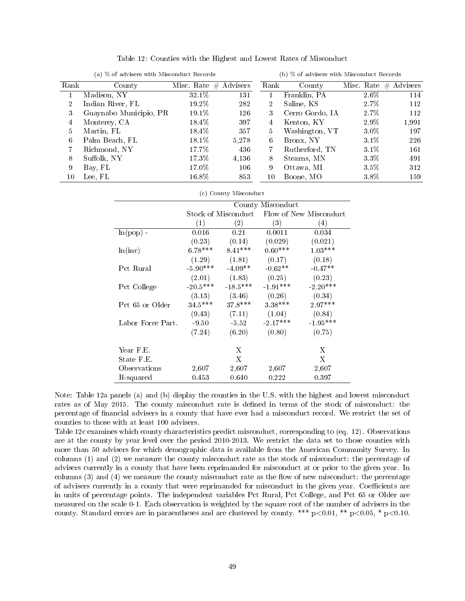| (a) % of advisers with Misconduct Records |                        |                         |       | (b) % of advisers with Misconduct Records |                 |                         |       |
|-------------------------------------------|------------------------|-------------------------|-------|-------------------------------------------|-----------------|-------------------------|-------|
| Rank                                      | County                 | Misc. Rate $#$ Advisers |       | Rank                                      | County          | Misc. Rate $#$ Advisers |       |
|                                           | Madison, NY            | 32.1\%                  | 131   |                                           | Franklin, PA    | $2.6\%$                 | 114   |
| $\overline{2}$                            | Indian River, FL       | $19.2\%$                | 282   | $\overline{2}$                            | Saline, KS      | $2.7\%$                 | 112   |
| 3                                         | Guaynabo Municipio, PR | 19.1\%                  | 126   | 3                                         | Cerro Gordo, IA | $2.7\%$                 | 112   |
| 4                                         | Monterey, CA           | $18.4\%$                | 397   | 4                                         | Kenton, KY      | $2.9\%$                 | 1,991 |
| b.                                        | Martin, FL             | $18.4\%$                | 357   | 5                                         | Washington, VT  | $3.0\%$                 | 197   |
| 6                                         | Palm Beach, FL         | 18.1%                   | 5,278 | 6                                         | Bronx, NY       | $3.1\%$                 | 226   |
|                                           | Richmond, NY           | 17.7%                   | 436   |                                           | Rutherford, TN  | $3.1\%$                 | 161   |
| 8                                         | Suffolk, NY            | $17.3\%$                | 4,136 | 8                                         | Stearns, MN     | 3.3%                    | 491   |
| 9                                         | Bay, FL                | 17.0%                   | 106   | 9                                         | Ottawa, MI      | $3.5\%$                 | 312   |
| 10                                        | Lee, FL                | $16.8\%$                | 853   | 10                                        | Boone, MO       | 3.8%                    | 159   |

Table 12: Counties with the Highest and Lowest Rates of Misconduct

| (c) County Misconduct |                   |                     |            |                        |  |  |  |  |
|-----------------------|-------------------|---------------------|------------|------------------------|--|--|--|--|
|                       | County Misconduct |                     |            |                        |  |  |  |  |
|                       |                   | Stock of Misconduct |            | Flow of New Misconduct |  |  |  |  |
|                       | (1)               | (2)                 | (3)        | $\left( 4\right)$      |  |  |  |  |
| $ln(pop)$ -           | 0.016             | 0.21                | 0.0011     | 0.034                  |  |  |  |  |
|                       | (0.23)            | (0.14)              | (0.029)    | (0.021)                |  |  |  |  |
| ln(inc)               |                   | $6.78***$ $8.41***$ | $0.60***$  | $1.03***$              |  |  |  |  |
|                       |                   | $(1.29)$ $(1.81)$   | (0.17)     | (0.18)                 |  |  |  |  |
| Pct Rural             | $-5.90***$        | $-4.09**$           | $-0.62**$  | $-0.47**$              |  |  |  |  |
|                       |                   | $(2.01)$ $(1.83)$   | (0.25)     | (0.23)                 |  |  |  |  |
| Pct College           | $-20.5***$        | $-18.5***$          | $-1.91***$ | $-2.20***$             |  |  |  |  |
|                       | (3.13)            | (3.46)              | (0.26)     | (0.34)                 |  |  |  |  |
| Pct 65 or Older       | $34.5***$         | $37.8***$           | $3.38***$  | $2.97***$              |  |  |  |  |
|                       |                   | $(9.43)$ $(7.11)$   | (1.04)     | (0.84)                 |  |  |  |  |
| Labor Force Part.     | $-9.50$           | $-5.52$             | $-2.17***$ | $-1.95***$             |  |  |  |  |
|                       | (7.24)            | (6.20)              | (0.80)     | (0.75)                 |  |  |  |  |
| Year F.E.             |                   | X                   |            | X                      |  |  |  |  |
| State F.E.            |                   | X                   |            | X                      |  |  |  |  |
| Observations          | 2,607             | 2,607               | 2,607      | 2,607                  |  |  |  |  |
| R-squared             | 0.453             | 0.640               | 0.222      | 0.397                  |  |  |  |  |

Note: Table 12a panels (a) and (b) display the counties in the U.S. with the highest and lowest misconduct rates as of May 2015. The county misconduct rate is dened in terms of the stock of misconduct: the percentage of nancial advisers in a county that have ever had a misconduct record. We restrict the set of counties to those with at least 100 advisers. Table 12c examines which county characteristics predict misconduct, corresponding to (eq. 12). Observations

are at the county by year level over the period 2010-2013. We restrict the data set to those counties with more than 50 advisers for which demographic data is available from the American Community Survey. In columns (1) and (2) we measure the county misconduct rate as the stock of misconduct: the percentage of advisers currently in a county that have been reprimanded for misconduct at or prior to the given year. In columns  $(3)$  and  $(4)$  we measure the county misconduct rate as the flow of new misconduct: the percentage of advisers currently in a county that were reprimanded for misconduct in the given year. Coefficients are in units of percentage points. The independent variables Pct Rural, Pct College, and Pct 65 or Older are measured on the scale 0-1. Each observation is weighted by the square root of the number of advisers in the county. Standard errors are in paraentheses and are clustered by county. \*\*\* p<0.01, \*\* p<0.05, \* p<0.10.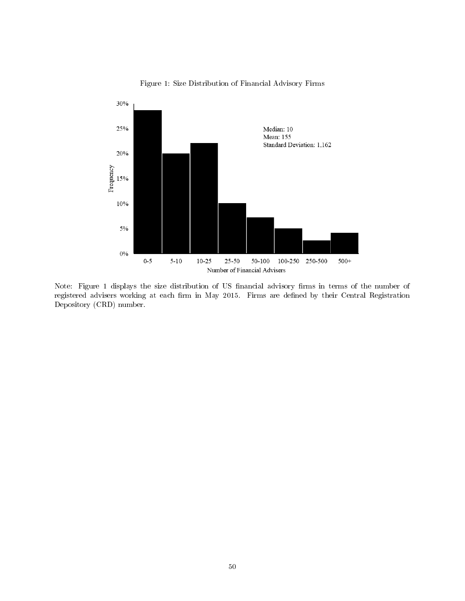

Figure 1: Size Distribution of Financial Advisory Firms

Note: Figure 1 displays the size distribution of US financial advisory firms in terms of the number of registered advisers working at each firm in May 2015. Firms are defined by their Central Registration Depository (CRD) number.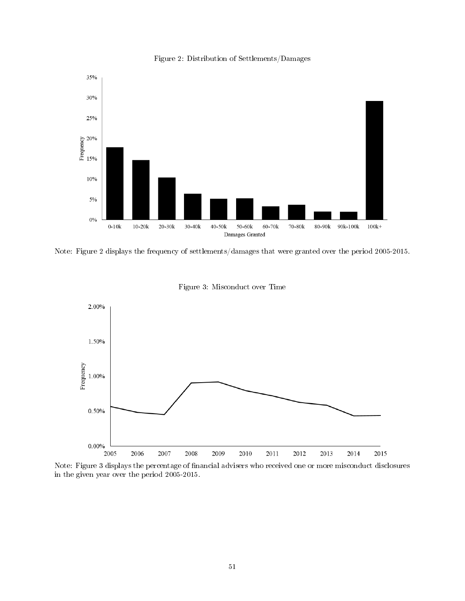

Figure 2: Distribution of Settlements/Damages

Note: Figure 2 displays the frequency of settlements/damages that were granted over the period 2005-2015.





Note: Figure 3 displays the percentage of financial advisers who received one or more misconduct disclosures in the given year over the period 2005-2015.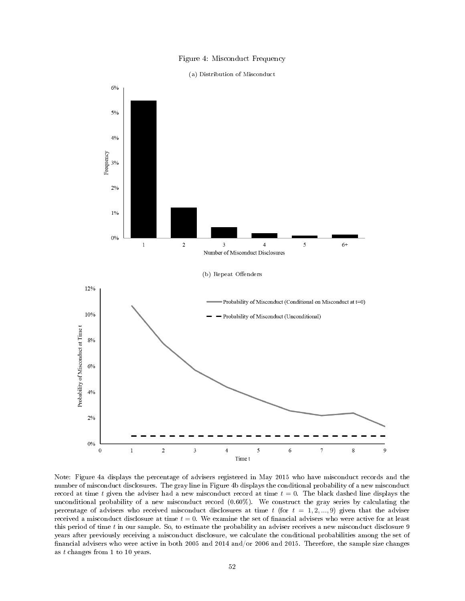#### Figure 4: Misconduct Frequency



(a) Distribution of Misconduct

Note: Figure 4a displays the percentage of advisers registered in May 2015 who have misconduct records and the number of misconduct disclosures. The gray line in Figure 4b displays the conditional probability of a new misconduct record at time t given the adviser had a new misconduct record at time  $t = 0$ . The black dashed line displays the unconditional probability of a new misconduct record (0.60%). We construct the gray series by calculating the percentage of advisers who received misconduct disclosures at time t (for  $t = 1, 2, ..., 9$ ) given that the adviser received a misconduct disclosure at time  $t = 0$ . We examine the set of financial advisers who were active for at least this period of time  $t$  in our sample. So, to estimate the probability an adviser receives a new misconduct disclosure  $9$ years after previously receiving a misconduct disclosure, we calculate the conditional probabilities among the set of financial advisers who were active in both 2005 and 2014 and/or 2006 and 2015. Therefore, the sample size changes as t changes from 1 to 10 years.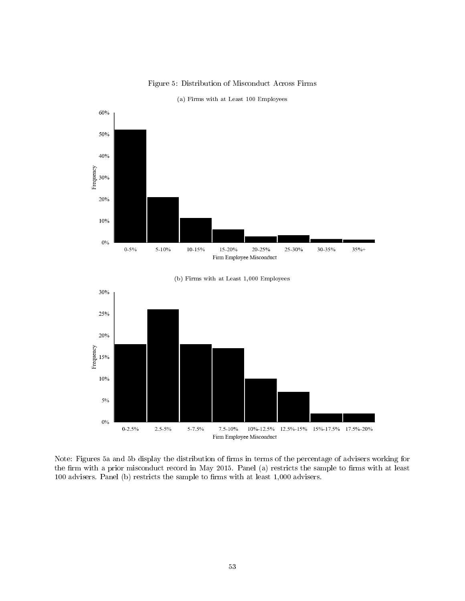### Figure 5: Distribution of Misconduct Across Firms



(a) Firms with at Least 100 Employees





Note: Figures 5a and 5b display the distribution of firms in terms of the percentage of advisers working for the firm with a prior misconduct record in May 2015. Panel (a) restricts the sample to firms with at least 100 advisers. Panel (b) restricts the sample to firms with at least  $1,000$  advisers.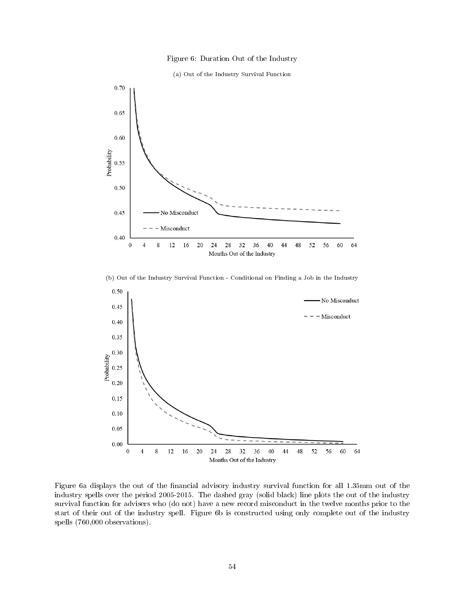### Figure 6: Duration Out of the Industry



Figure 6a displays the out of the nancial advisory industry survival function for all 1.35mm out of the industry spells over the period 2005-2015. The dashed gray (solid black) line plots the out of the industry survival function for advisers who (do not) have a new record misconduct in the twelve months prior to the start of their out of the industry spell. Figure 6b is constructed using only complete out of the industry spells (760,000 observations).

Months Out of the Industry

 $0.05$ 

 $0.00$ 

 $\boldsymbol{0}$  $\overline{4}$   $\,$  8  $\,$ 

 $12\,$ 16  $20\,$ 24  $28\,$  $32\,$ 36 40 44  $48\,$ 52 56 60 64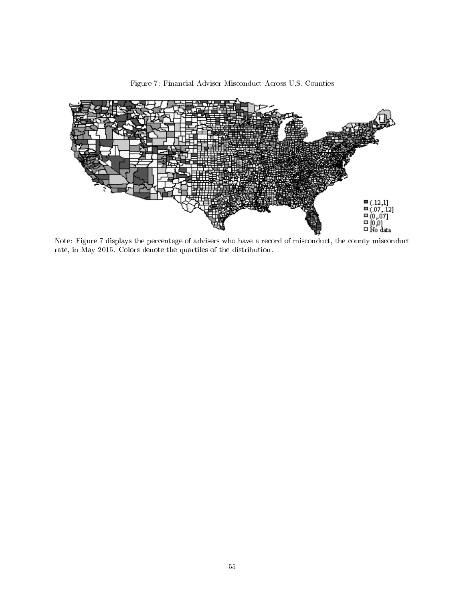

Figure 7: Financial Adviser Misconduct Across U.S. Counties

Note: Figure 7 displays the percentage of advisers who have a record of misconduct, the county misconduct rate, in May 2015. Colors denote the quartiles of the distribution.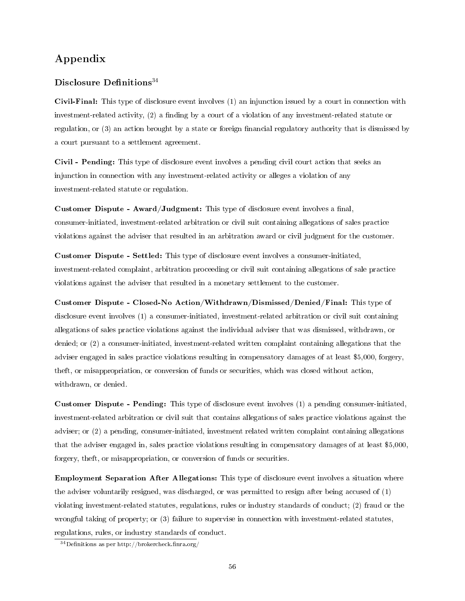# Appendix

## $Disclosure$  Definitions<sup>34</sup>

Civil-Final: This type of disclosure event involves (1) an injunction issued by a court in connection with investment-related activity, (2) a finding by a court of a violation of any investment-related statute or regulation, or (3) an action brought by a state or foreign financial regulatory authority that is dismissed by a court pursuant to a settlement agreement.

Civil - Pending: This type of disclosure event involves a pending civil court action that seeks an injunction in connection with any investment-related activity or alleges a violation of any investment-related statute or regulation.

Customer Dispute - Award/Judgment: This type of disclosure event involves a final, consumer-initiated, investment-related arbitration or civil suit containing allegations of sales practice violations against the adviser that resulted in an arbitration award or civil judgment for the customer.

Customer Dispute - Settled: This type of disclosure event involves a consumer-initiated, investment-related complaint, arbitration proceeding or civil suit containing allegations of sale practice violations against the adviser that resulted in a monetary settlement to the customer.

Customer Dispute - Closed-No Action/Withdrawn/Dismissed/Denied/Final: This type of disclosure event involves (1) a consumer-initiated, investment-related arbitration or civil suit containing allegations of sales practice violations against the individual adviser that was dismissed, withdrawn, or denied; or (2) a consumer-initiated, investment-related written complaint containing allegations that the adviser engaged in sales practice violations resulting in compensatory damages of at least \$5,000, forgery, theft, or misappropriation, or conversion of funds or securities, which was closed without action, withdrawn, or denied.

Customer Dispute - Pending: This type of disclosure event involves (1) a pending consumer-initiated, investment-related arbitration or civil suit that contains allegations of sales practice violations against the adviser; or (2) a pending, consumer-initiated, investment related written complaint containing allegations that the adviser engaged in, sales practice violations resulting in compensatory damages of at least \$5,000, forgery, theft, or misappropriation, or conversion of funds or securities.

Employment Separation After Allegations: This type of disclosure event involves a situation where the adviser voluntarily resigned, was discharged, or was permitted to resign after being accused of (1) violating investment-related statutes, regulations, rules or industry standards of conduct; (2) fraud or the wrongful taking of property; or (3) failure to supervise in connection with investment-related statutes, regulations, rules, or industry standards of conduct.

 $34$ Definitions as per http://brokercheck.finra.org/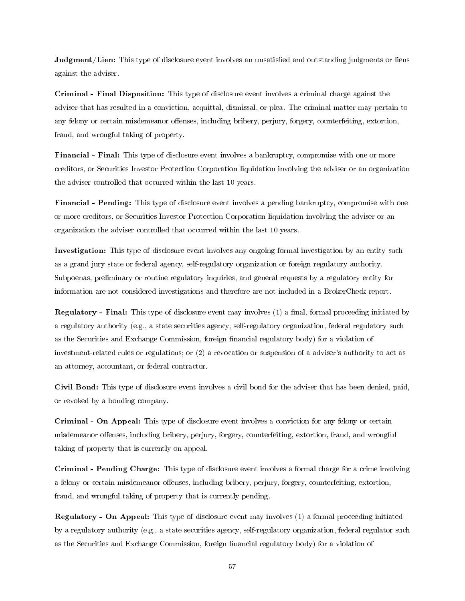**Judgment/Lien:** This type of disclosure event involves an unsatisfied and outstanding judgments or liens against the adviser.

Criminal - Final Disposition: This type of disclosure event involves a criminal charge against the adviser that has resulted in a conviction, acquittal, dismissal, or plea. The criminal matter may pertain to any felony or certain misdemeanor offenses, including bribery, perjury, forgery, counterfeiting, extortion, fraud, and wrongful taking of property.

Financial - Final: This type of disclosure event involves a bankruptcy, compromise with one or more creditors, or Securities Investor Protection Corporation liquidation involving the adviser or an organization the adviser controlled that occurred within the last 10 years.

Financial - Pending: This type of disclosure event involves a pending bankruptcy, compromise with one or more creditors, or Securities Investor Protection Corporation liquidation involving the adviser or an organization the adviser controlled that occurred within the last 10 years.

Investigation: This type of disclosure event involves any ongoing formal investigation by an entity such as a grand jury state or federal agency, self-regulatory organization or foreign regulatory authority. Subpoenas, preliminary or routine regulatory inquiries, and general requests by a regulatory entity for information are not considered investigations and therefore are not included in a BrokerCheck report.

**Regulatory - Final:** This type of disclosure event may involves (1) a final, formal proceeding initiated by a regulatory authority (e.g., a state securities agency, self-regulatory organization, federal regulatory such as the Securities and Exchange Commission, foreign nancial regulatory body) for a violation of investment-related rules or regulations; or (2) a revocation or suspension of a adviser's authority to act as an attorney, accountant, or federal contractor.

Civil Bond: This type of disclosure event involves a civil bond for the adviser that has been denied, paid, or revoked by a bonding company.

Criminal - On Appeal: This type of disclosure event involves a conviction for any felony or certain misdemeanor offenses, including bribery, perjury, forgery, counterfeiting, extortion, fraud, and wrongful taking of property that is currently on appeal.

Criminal - Pending Charge: This type of disclosure event involves a formal charge for a crime involving a felony or certain misdemeanor offenses, including bribery, perjury, forgery, counterfeiting, extortion, fraud, and wrongful taking of property that is currently pending.

Regulatory - On Appeal: This type of disclosure event may involves (1) a formal proceeding initiated by a regulatory authority (e.g., a state securities agency, self-regulatory organization, federal regulator such as the Securities and Exchange Commission, foreign financial regulatory body) for a violation of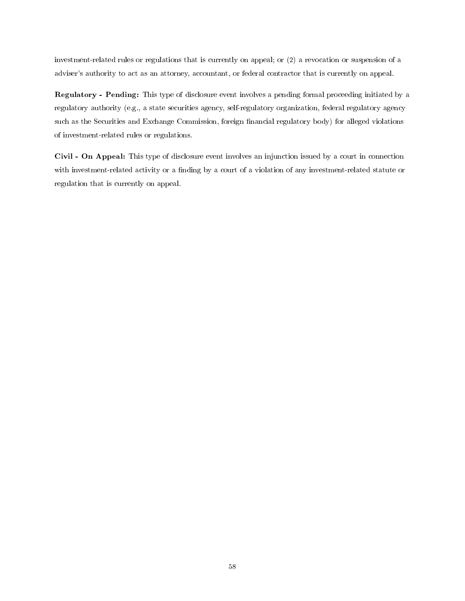investment-related rules or regulations that is currently on appeal; or (2) a revocation or suspension of a adviser's authority to act as an attorney, accountant, or federal contractor that is currently on appeal.

Regulatory - Pending: This type of disclosure event involves a pending formal proceeding initiated by a regulatory authority (e.g., a state securities agency, self-regulatory organization, federal regulatory agency such as the Securities and Exchange Commission, foreign financial regulatory body) for alleged violations of investment-related rules or regulations.

Civil - On Appeal: This type of disclosure event involves an injunction issued by a court in connection with investment-related activity or a finding by a court of a violation of any investment-related statute or regulation that is currently on appeal.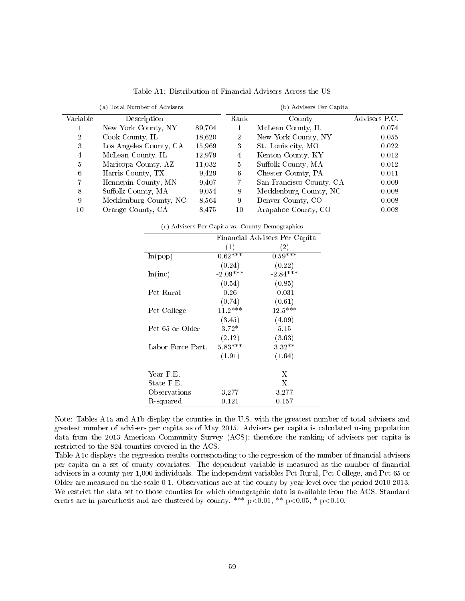|                | (a) Total Number of Advisers |        | (b) Advisers Per Capita |                          |               |
|----------------|------------------------------|--------|-------------------------|--------------------------|---------------|
| Variable       | Description                  |        | Rank                    | County                   | Advisers P.C. |
|                | New York County, NY          | 89,704 |                         | McLean County, IL        | 0.074         |
| $\overline{2}$ | Cook County, IL              | 18,620 | 2                       | New York County, NY      | 0.055         |
| 3              | Los Angeles County, CA       | 15,969 | 3                       | St. Louis city, MO       | 0.022         |
| 4              | McLean County, IL            | 12,979 | 4                       | Kenton County, KY        | 0.012         |
| 5              | Maricopa County, AZ          | 11,032 | 5                       | Suffolk County, MA       | 0.012         |
| 6              | Harris County, TX            | 9,429  | 6                       | Chester County, PA       | 0.011         |
| 7              | Hennepin County, MN          | 9.407  |                         | San Francisco County, CA | 0.009         |
| 8              | Suffolk County, MA           | 9.054  | 8                       | Mecklenburg County, NC   | 0.008         |
| 9              | Mecklenburg County, NC       | 8,564  | 9                       | Denver County, CO        | 0.008         |
| 10             | Orange County, CA            | 8,475  | 10                      | Arapahoe County, CO      | 0.008         |

Table A1: Distribution of Financial Advisers Across the US

| (с) датьсгэдсг сарва тэ. соансу Бенюдгаршсэ |             |                               |  |  |  |
|---------------------------------------------|-------------|-------------------------------|--|--|--|
|                                             |             | Financial Advisers Per Capita |  |  |  |
|                                             | (1)         | (2)                           |  |  |  |
| ln(pop)                                     | $0.62***$   | $0.59***$                     |  |  |  |
|                                             | (0.24)      | (0.22)                        |  |  |  |
| ln(inc)                                     | $-2.09***$  | $-2.84***$                    |  |  |  |
|                                             | (0.54)      | (0.85)                        |  |  |  |
| Pct Rural                                   | 0.26        | $-0.031$                      |  |  |  |
|                                             | (0.74)      | (0.61)                        |  |  |  |
| Pct College                                 | $11.2***$   | $12.5***$                     |  |  |  |
|                                             | (3.45)      | (4.09)                        |  |  |  |
| Pct 65 or Older                             | $3.72*$     | 5.15                          |  |  |  |
|                                             | (2.12)      | (3.63)                        |  |  |  |
| Labor Force Part.                           | $5.83***$   | $3.32**$                      |  |  |  |
|                                             | (1.91)      | (1.64)                        |  |  |  |
| Year F.E.                                   |             | X                             |  |  |  |
| State F.E.                                  |             | X                             |  |  |  |
| Observations                                | 3,277       | 3,277                         |  |  |  |
| R-squared                                   | $\rm 0.121$ | 0.157                         |  |  |  |

(c) Advisers Per Capita vs. County Demographics

Note: Tables A1a and A1b display the counties in the U.S. with the greatest number of total advisers and greatest number of advisers per capita as of May 2015. Advisers per capita is calculated using population data from the 2013 American Community Survey (ACS); therefore the ranking of advisers per capita is restricted to the 824 counties covered in the ACS.

Table A1c displays the regression results corresponding to the regression of the number of financial advisers per capita on a set of county covariates. The dependent variable is measured as the number of nancial advisers in a county per 1,000 individuals. The independent variables Pct Rural, Pct College, and Pct 65 or Older are measured on the scale 0-1. Observations are at the county by year level over the period 2010-2013. We restrict the data set to those counties for which demographic data is available from the ACS. Standard errors are in parenthesis and are clustered by county. \*\*\*  $p<0.01$ , \*\*  $p<0.05$ , \*  $p<0.10$ .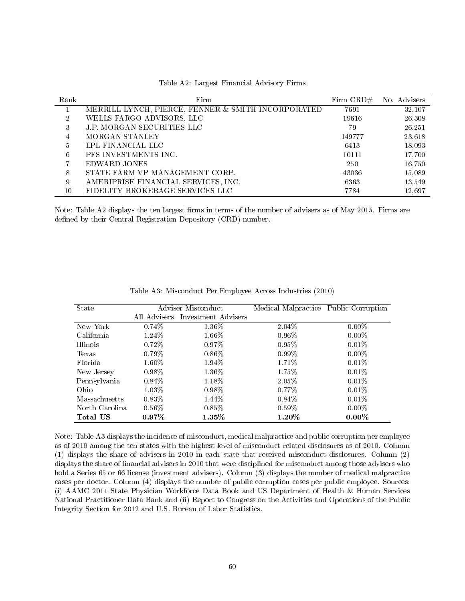| Table A2: Largest Financial Advisory Firms |  |  |  |  |
|--------------------------------------------|--|--|--|--|
|--------------------------------------------|--|--|--|--|

| Rank           | Firm                                               | Firm $CRD#$ | No. Advisers |
|----------------|----------------------------------------------------|-------------|--------------|
|                | MERRILL LYNCH, PIERCE, FENNER & SMITH INCORPORATED | 7691        | 32,107       |
| $\overline{2}$ | WELLS FARGO ADVISORS, LLC                          | 19616       | 26,308       |
| 3              | J.P. MORGAN SECURITIES LLC                         | 79          | 26,251       |
| 4              | MORGAN STANLEY                                     | 149777      | 23,618       |
| $\frac{5}{2}$  | LPL FINANCIAL LLC                                  | 6413        | 18,093       |
| 6              | PFS INVESTMENTS INC.                               | 10111       | 17,700       |
|                | EDWARD JONES                                       | 250         | 16,750       |
| 8              | STATE FARM VP MANAGEMENT CORP.                     | 43036       | 15,089       |
| 9              | AMERIPRISE FINANCIAL SERVICES, INC.                | 6363        | 13,549       |
| 10             | FIDELITY BROKERAGE SERVICES LLC                    | 7784        | 12.697       |

Note: Table A2 displays the ten largest firms in terms of the number of advisers as of May 2015. Firms are defined by their Central Registration Depository (CRD) number.

| <b>State</b>    |              | Adviser Misconduct  | Medical Malpractice Public Corruption |          |
|-----------------|--------------|---------------------|---------------------------------------|----------|
|                 | All Advisers | Investment Advisers |                                       |          |
| New York        | $0.74\%$     | $1.36\%$            | $2.04\%$                              | $0.00\%$ |
| California      | $1.24\%$     | $1.66\%$            | $0.96\%$                              | $0.00\%$ |
| Illinois        | $0.72\%$     | $0.97\%$            | 0.95%                                 | $0.01\%$ |
| Texas           | $0.79\%$     | $0.86\%$            | 0.99%                                 | $0.00\%$ |
| Florida.        | $1.60\%$     | 1.94%               | 1.71%                                 | $0.01\%$ |
| New Jersey      | 0.98%        | $1.36\%$            | 1.75%                                 | 0.01%    |
| Pennsylvania    | $0.84\%$     | 1.18%               | 2.05%                                 | $0.01\%$ |
| Ohio            | $1.03\%$     | $0.98\%$            | $0.77\%$                              | $0.01\%$ |
| Massachusetts   | $0.83\%$     | $1.44\%$            | 0.84%                                 | 0.01%    |
| North Carolina  | $0.56\%$     | $0.85\%$            | 0.59%                                 | $0.00\%$ |
| <b>Total US</b> | $0.97\%$     | $1.35\%$            | $1.20\%$                              | $0.00\%$ |

Table A3: Misconduct Per Employee Across Industries (2010)

Note: Table A3 displays the incidence of misconduct, medical malpractice and public corruption per employee as of 2010 among the ten states with the highest level of misconduct related disclosures as of 2010. Column (1) displays the share of advisers in 2010 in each state that received misconduct disclosures. Column (2) displays the share of nancial advisers in 2010 that were disciplined for misconduct among those advisers who hold a Series 65 or 66 license (investment advisers). Column (3) displays the number of medical malpractice cases per doctor. Column (4) displays the number of public corruption cases per public employee. Sources: (i) AAMC 2011 State Physician Workforce Data Book and US Department of Health & Human Services National Practitioner Data Bank and (ii) Report to Congress on the Activities and Operations of the Public Integrity Section for 2012 and U.S. Bureau of Labor Statistics.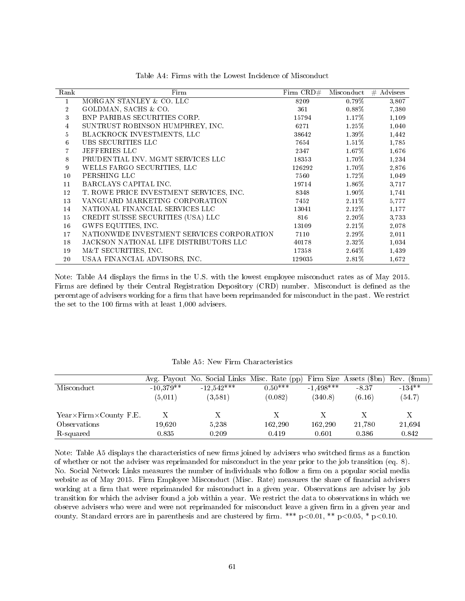| Rank           | Firm                                       | $\operatorname{Firm}~\text{CRD}\#$ | Misconduct | Advisers<br># |
|----------------|--------------------------------------------|------------------------------------|------------|---------------|
|                | MORGAN STANLEY & CO. LLC                   | 8209                               | $0.79\%$   | 3,807         |
| $\overline{2}$ | GOLDMAN, SACHS & CO.                       | 361                                | $0.88\%$   | 7,380         |
| 3              | BNP PARIBAS SECURITIES CORP.               | 15794                              | $1.17\%$   | 1,109         |
| 4              | SUNTRUST ROBINSON HUMPHREY, INC.           | 6271                               | $1.25\%$   | 1,040         |
| $5^{\circ}$    | BLACKROCK INVESTMENTS, LLC                 | 38642                              | $1.39\%$   | 1,442         |
| 6              | UBS SECURITIES LLC                         | 7654                               | $1.51\%$   | 1,785         |
| $\overline{7}$ | <b>JEFFERIES LLC</b>                       | 2347                               | $1.67\%$   | 1,676         |
| 8              | PRUDENTIAL INV. MGMT SERVICES LLC          | 18353                              | $1.70\%$   | 1,234         |
| 9              | WELLS FARGO SECURITIES, LLC                | 126292                             | $1.70\%$   | 2,876         |
| 10             | PERSHING LLC                               | 7560                               | $1.72\%$   | 1,049         |
| 11             | BARCLAYS CAPITAL INC.                      | 19714                              | $1.86\%$   | 3,717         |
| 12             | T. ROWE PRICE INVESTMENT SERVICES, INC.    | 8348                               | $1.90\%$   | 1,741         |
| 13             | VANGUARD MARKETING CORPORATION             | 7452                               | $2.11\%$   | 5,777         |
| 14             | NATIONAL FINANCIAL SERVICES LLC            | 13041                              | $2.12\%$   | 1,177         |
| 15             | CREDIT SUISSE SECURITIES (USA) LLC         | 816                                | $2.20\%$   | 3,733         |
| 16             | GWFS EQUITIES, INC.                        | 13109                              | $2.21\%$   | 2,078         |
| 17             | NATIONWIDE INVESTMENT SERVICES CORPORATION | 7110                               | $2.29\%$   | 2,011         |
| 18             | JACKSON NATIONAL LIFE DISTRIBUTORS LLC     | 40178                              | $2.32\%$   | 1,034         |
| 19             | M&T SECURITIES, INC.                       | 17358                              | $2.64\%$   | 1,439         |
| 20             | USAA FINANCIAL ADVISORS, INC.              | 129035                             | 2.81\%     | 1,672         |

Table A4: Firms with the Lowest Incidence of Misconduct

Note: Table A4 displays the firms in the U.S. with the lowest employee misconduct rates as of May 2015. Firms are defined by their Central Registration Depository (CRD) number. Misconduct is defined as the percentage of advisers working for a firm that have been reprimanded for misconduct in the past. We restrict the set to the 100 firms with at least  $1,000$  advisers.

|                                       |             | Avg. Payout No. Social Links Misc. Rate (pp) Firm Size Assets (\$bn) |           |             |         | Rev. (5mm) |
|---------------------------------------|-------------|----------------------------------------------------------------------|-----------|-------------|---------|------------|
| Misconduct                            | $-10,379**$ | $-12.542***$                                                         | $0.50***$ | $-1.498***$ | $-8.37$ | $-1.34**$  |
|                                       | (5,011)     | (3.581)                                                              | (0.082)   | (340.8)     | (6.16)  | (54.7)     |
| $Year \times Firm \times County$ F.E. |             | Х                                                                    | X.        |             |         |            |
| Observations                          | 19.620      | 5.238                                                                | 162,290   | 162.290     | 21.780  | 21,694     |
| R-squared                             | $0.835\,$   | 0.209                                                                | 0.419     | 0.601       | 0.386   | 0.842      |

Table A5: New Firm Characteristics

Note: Table A5 displays the characteristics of new firms joined by advisers who switched firms as a function of whether or not the adviser was reprimanded for misconduct in the year prior to the job transition (eq. 8). No. Social Network Links measures the number of individuals who follow a firm on a popular social media website as of May 2015. Firm Employee Misconduct (Misc. Rate) measures the share of financial advisers working at a firm that were reprimanded for misconduct in a given year. Observations are adviser by job transition for which the adviser found a job within a year. We restrict the data to observations in which we observe advisers who were and were not reprimanded for misconduct leave a given firm in a given year and county. Standard errors are in parenthesis and are clustered by firm. \*\*\*  $p<0.01$ , \*\*  $p<0.05$ , \*  $p<0.10$ .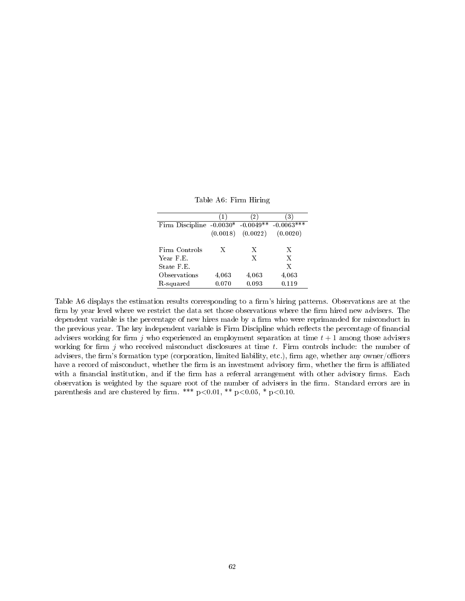Table A6: Firm Hiring

|                                      | (1)          | $\left( 2\right)$     | 3)           |
|--------------------------------------|--------------|-----------------------|--------------|
| Firm Discipline $-0.0030* -0.0049**$ |              |                       | $-0.0063***$ |
|                                      |              | $(0.0018)$ $(0.0022)$ | (0.0020)     |
| Firm Controls                        | $\mathbf{X}$ | X                     | Х            |
| Year F.E.                            |              | Х                     | Х            |
| State F.E.                           |              |                       | X            |
| <b>Observations</b>                  | 4,063        | 4,063                 | 4,063        |
| R-squared                            | 0.070        | 0.093                 | 0.119        |

Table A6 displays the estimation results corresponding to a firm's hiring patterns. Observations are at the firm by year level where we restrict the data set those observations where the firm hired new advisers. The dependent variable is the percentage of new hires made by a firm who were reprimanded for misconduct in the previous year. The key independent variable is Firm Discipline which reflects the percentage of financial advisers working for firm j who experienced an employment separation at time  $t + 1$  among those advisers working for firm j who received misconduct disclosures at time  $t$ . Firm controls include: the number of advisers, the firm's formation type (corporation, limited liability, etc.), firm age, whether any owner/officers have a record of misconduct, whether the firm is an investment advisory firm, whether the firm is affiliated with a financial institution, and if the firm has a referral arrangement with other advisory firms. Each observation is weighted by the square root of the number of advisers in the firm. Standard errors are in parenthesis and are clustered by firm. \*\*\*  $p<0.01$ , \*\*  $p<0.05$ , \*  $p<0.10$ .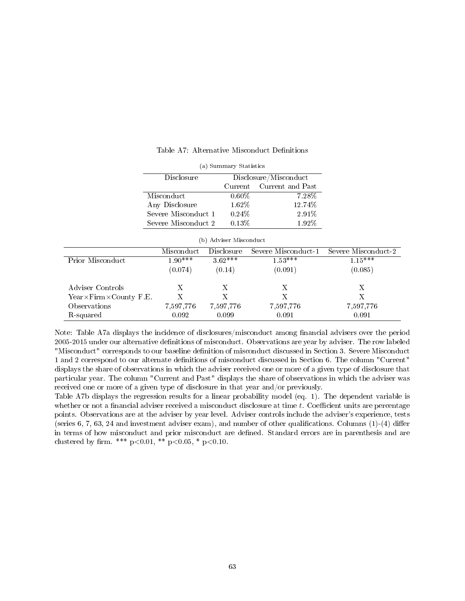| (a) Summary Statistics |                       |                          |  |  |  |  |
|------------------------|-----------------------|--------------------------|--|--|--|--|
| Disclosure             | Disclosure/Misconduct |                          |  |  |  |  |
|                        |                       | Current Current and Past |  |  |  |  |
| Misconduct             | $0.60\%$              | 7.28%                    |  |  |  |  |
| Any Disclosure         | 1.62%                 | 12.74%                   |  |  |  |  |
| Severe Misconduct 1    | $0.24\%$              | 2.91%                    |  |  |  |  |
| Severe Misconduct 2    | 0.13%                 | 1.92%                    |  |  |  |  |

| Table A7: Alternative Misconduct Definitions |  |
|----------------------------------------------|--|
|----------------------------------------------|--|

| (b) Adviser Misconduct                |            |            |                     |                     |  |  |
|---------------------------------------|------------|------------|---------------------|---------------------|--|--|
|                                       | Misconduct | Disclosure | Severe Misconduct-1 | Severe Misconduct-2 |  |  |
| Prior Misconduct                      | $1.90***$  | $3.62***$  | $1.53***$           | $1.15***$           |  |  |
|                                       | (0.074)    | (0.14)     | (0.091)             | (0.085)             |  |  |
| Adviser Controls                      | X          | Х          | X                   | X                   |  |  |
| $Year \times Firm \times County$ F.E. | Х          | X          | Х                   | Х                   |  |  |
| Observations                          | 7,597,776  | 7,597,776  | 7,597,776           | 7,597,776           |  |  |
| R-squared                             | 0.092      | 0.099      | 0.091               | 0.091               |  |  |

Note: Table A7a displays the incidence of disclosures/misconduct among financial advisers over the period 2005-2015 under our alternative definitions of misconduct. Observations are year by adviser. The row labeled "Misconduct" corresponds to our baseline definition of misconduct discussed in Section 3. Severe Misconduct 1 and 2 correspond to our alternate denitions of misconduct discussed in Section 6. The column "Current" displays the share of observations in which the adviser received one or more of a given type of disclosure that particular year. The column "Current and Past" displays the share of observations in which the adviser was received one or more of a given type of disclosure in that year and/or previously.

Table A7b displays the regression results for a linear probability model (eq. 1). The dependent variable is whether or not a financial adviser received a misconduct disclosure at time  $t$ . Coefficient units are percentage points. Observations are at the adviser by year level. Adviser controls include the adviser's experience, tests (series 6, 7, 63, 24 and investment adviser exam), and number of other qualifications. Columns (1)-(4) differ in terms of how misconduct and prior misconduct are defined. Standard errors are in parenthesis and are clustered by firm. \*\*\*  $p<0.01$ , \*\*  $p<0.05$ , \*  $p<0.10$ .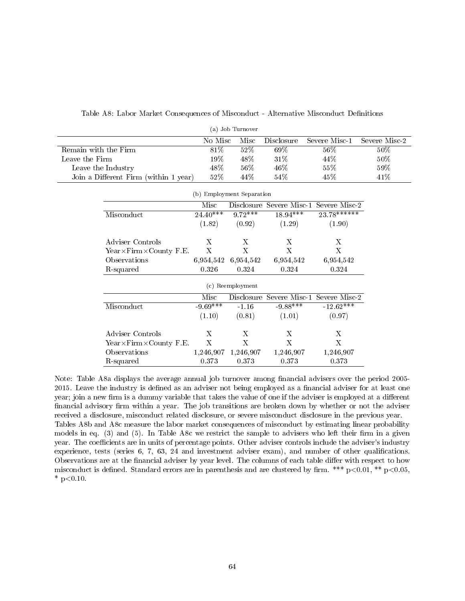| Table A8: Labor Market Consequences of Misconduct - Alternative Misconduct Definitions |  |
|----------------------------------------------------------------------------------------|--|
|----------------------------------------------------------------------------------------|--|

| (a) Job Turnover                      |         |      |            |               |               |  |  |
|---------------------------------------|---------|------|------------|---------------|---------------|--|--|
|                                       | No Misc | Misc | Disclosure | Severe Misc-1 | Severe Misc-2 |  |  |
| Remain with the Firm                  | 81\%    | 52%  | 69%        | $56\%$        | 50%           |  |  |
| Leave the Firm                        | 19%     | 48\% | $31\%$     | 44%           | 50%           |  |  |
| Leave the Industry                    | 48%     | 56%  | $46\%$     | 55%           | 59%           |  |  |
| Join a Different Firm (within 1 year) | 52%     | 44\% | 54%        | 45%           | 41\%          |  |  |

|                                       | (b) Employment Separation |                     |                                        |              |  |  |
|---------------------------------------|---------------------------|---------------------|----------------------------------------|--------------|--|--|
|                                       | Misc                      |                     | Disclosure Severe Misc-1 Severe Misc-2 |              |  |  |
| Misconduct                            | $24.40***$                | $9.72***$           | $18.94***$                             | $23.78*****$ |  |  |
|                                       | (1.82)                    | (0.92)              | (1.29)                                 | (1.90)       |  |  |
| Adviser Controls                      | X                         | X                   | X                                      | X            |  |  |
| Year×Firm×County F.E.                 | X                         | $\mathbf{X}$        | X                                      | X            |  |  |
| Observations                          |                           | 6,954,542 6,954,542 | 6,954,542                              | 6,954,542    |  |  |
| R-squared                             | 0.326                     | 0.324               | 0.324                                  | 0.324        |  |  |
|                                       |                           | (c) Reemployment    |                                        |              |  |  |
|                                       | Misc                      |                     | Disclosure Severe Misc-1 Severe Misc-2 |              |  |  |
| Misconduct                            | $-9.69***$                | $-1.16$             | $-9.88***$                             | $-12.62***$  |  |  |
|                                       | (1.10)                    | (0.81)              | (1.01)                                 | (0.97)       |  |  |
|                                       |                           |                     | X                                      | X            |  |  |
| Adviser Controls                      | X                         | X                   |                                        |              |  |  |
| $Year \times Firm \times County$ F.E. | Х                         | X                   | $\mathbf{X}$                           | X            |  |  |
| Observations                          | 1,246,907                 | 1,246,907           | 1,246,907                              | 1,246,907    |  |  |

Note: Table A8a displays the average annual job turnover among financial advisers over the period 2005-2015. Leave the industry is defined as an adviser not being employed as a financial adviser for at least one year; join a new firm is a dummy variable that takes the value of one if the adviser is employed at a different financial advisory firm within a year. The job transitions are broken down by whether or not the adviser received a disclosure, misconduct related disclosure, or severe misconduct disclosure in the previous year. Tables A8b and A8c measure the labor market consequences of misconduct by estimating linear probability models in eq.  $(3)$  and  $(5)$ . In Table A8c we restrict the sample to advisers who left their firm in a given year. The coefficients are in units of percentage points. Other adviser controls include the adviser's industry experience, tests (series 6, 7, 63, 24 and investment adviser exam), and number of other qualifications. Observations are at the financial adviser by year level. The columns of each table differ with respect to how misconduct is defined. Standard errors are in parenthesis and are clustered by firm. \*\*\*  $p<0.01$ , \*\*  $p<0.05$ ,  $*$  p $< 0.10$ .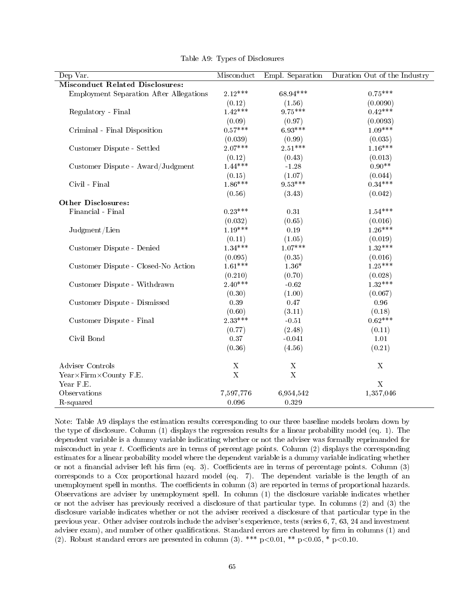| Dep Var.                                       | Misconduct  | Empl. Separation | Duration Out of the Industry |
|------------------------------------------------|-------------|------------------|------------------------------|
| <b>Misconduct Related Disclosures:</b>         |             |                  |                              |
| <b>Employment Separation After Allegations</b> | $2.12***$   | 68.94***         | $0.75***$                    |
|                                                | (0.12)      | (1.56)           | (0.0090)                     |
| Regulatory - Final                             | $1.42***$   | $9.75***$        | $0.42***$                    |
|                                                | (0.09)      | (0.97)           | (0.0093)                     |
| Criminal - Final Disposition                   | $0.57***$   | $6.93***$        | $1.09***$                    |
|                                                | (0.039)     | (0.99)           | (0.035)                      |
| Customer Dispute - Settled                     | $2.07***$   | $2.51***$        | $1.16***$                    |
|                                                | (0.12)      | (0.43)           | (0.013)                      |
| Customer Dispute - Award/Judgment              | $1.44***$   | $-1.28$          | $0.90**$                     |
|                                                | (0.15)      | (1.07)           | (0.044)                      |
| Civil - Final                                  | $1.86***$   | 9.53***          | $0.34***$                    |
|                                                | (0.56)      | (3.43)           | (0.042)                      |
| <b>Other Disclosures:</b>                      |             |                  |                              |
| Financial - Final                              | $0.23***$   | 0.31             | $1.54***$                    |
|                                                | (0.032)     | (0.65)           | (0.016)                      |
| Judgment/Lien                                  | $1.19***$   | 0.19             | $1.26***$                    |
|                                                | (0.11)      | (1.05)           | (0.019)                      |
| Customer Dispute - Denied                      | $1.34***$   | $1.07***$        | $1.32***$                    |
|                                                | (0.095)     | (0.35)           | (0.016)                      |
| Customer Dispute - Closed-No Action            | $1.61***$   | $1.36*$          | $1.25***$                    |
|                                                | (0.210)     | (0.70)           | (0.028)                      |
| Customer Dispute - Withdrawn                   | $2.40***$   | $-0.62$          | $1.32***$                    |
|                                                | (0.30)      | (1.00)           | (0.067)                      |
| Customer Dispute - Dismissed                   | 0.39        | 0.47             | 0.96                         |
|                                                | (0.60)      | (3.11)           | (0.18)                       |
| Customer Dispute - Final                       | $2.33***$   | $-0.51$          | $0.62***$                    |
|                                                | (0.77)      | (2.48)           | (0.11)                       |
| Civil Bond                                     | 0.37        | $-0.041$         | 1.01                         |
|                                                | (0.36)      | (4.56)           | (0.21)                       |
| Adviser Controls                               | $\mathbf X$ | X                | $\mathbf X$                  |
| $Year \times Firm \times County$ F.E.          | $\bar{X}$   | $\mathbf X$      |                              |
| Year F.E.                                      |             |                  | $\mathbf X$                  |
| Observations                                   | 7,597,776   | 6,954,542        | 1,357,046                    |
| R-squared                                      | 0.096       | 0.329            |                              |

Table A9: Types of Disclosures

Note: Table A9 displays the estimation results corresponding to our three baseline models broken down by the type of disclosure. Column (1) displays the regression results for a linear probability model (eq. 1). The dependent variable is a dummy variable indicating whether or not the adviser was formally reprimanded for misconduct in year t. Coefficients are in terms of percentage points. Column  $(2)$  displays the corresponding estimates for a linear probability model where the dependent variable is a dummy variable indicating whether or not a financial adviser left his firm (eq. 3). Coefficients are in terms of percentage points. Column (3) corresponds to a Cox proportional hazard model (eq. 7). The dependent variable is the length of an unemployment spell in months. The coefficients in column (3) are reported in terms of proportional hazards. Observations are adviser by unemployment spell. In column (1) the disclosure variable indicates whether or not the adviser has previously received a disclosure of that particular type. In columns (2) and (3) the disclosure variable indicates whether or not the adviser received a disclosure of that particular type in the previous year. Other adviser controls include the adviser's experience, tests (series 6, 7, 63, 24 and investment adviser exam), and number of other qualifications. Standard errors are clustered by firm in columns (1) and (2). Robust standard errors are presented in column (3). \*\*\*  $p<0.01$ , \*\*  $p<0.05$ , \*  $p<0.10$ .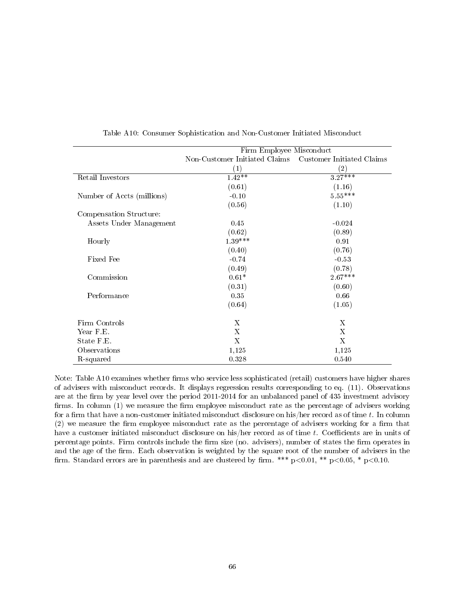|                            | Firm Employee Misconduct                                |           |  |  |
|----------------------------|---------------------------------------------------------|-----------|--|--|
|                            | Non-Customer Initiated Claims Customer Initiated Claims |           |  |  |
|                            | $\left( 1\right)$                                       | (2)       |  |  |
| Retail Investors           | $1.42**$                                                | $3.27***$ |  |  |
|                            | (0.61)                                                  | (1.16)    |  |  |
| Number of Accts (millions) | $-0.10$                                                 | $5.55***$ |  |  |
|                            | (0.56)                                                  | (1.10)    |  |  |
| Compensation Structure:    |                                                         |           |  |  |
| Assets Under Management    | 0.45                                                    | $-0.024$  |  |  |
|                            | (0.62)                                                  | (0.89)    |  |  |
| Hourly                     | $1.39***$                                               | 0.91      |  |  |
|                            | (0.40)                                                  | (0.76)    |  |  |
| Fixed Fee                  | $-0.74$                                                 | $-0.53$   |  |  |
|                            | (0.49)                                                  | (0.78)    |  |  |
| Commission                 | $0.61*$                                                 | $2.67***$ |  |  |
|                            | (0.31)                                                  | (0.60)    |  |  |
| Performance                | 0.35                                                    | 0.66      |  |  |
|                            | (0.64)                                                  | (1.05)    |  |  |
| Firm Controls              | $\mathbf{X}$                                            | X         |  |  |
| Year F.E.                  | X                                                       | X         |  |  |
| State F.E.                 | $\mathbf{X}$                                            | X         |  |  |
| Observations               | 1,125                                                   | 1,125     |  |  |
| R-squared                  | 0.328                                                   | 0.540     |  |  |

Table A10: Consumer Sophistication and Non-Customer Initiated Misconduct

Note: Table A10 examines whether firms who service less sophisticated (retail) customers have higher shares of advisers with misconduct records. It displays regression results corresponding to eq. (11). Observations are at the firm by year level over the period 2011-2014 for an unbalanced panel of 435 investment advisory firms. In column  $(1)$  we measure the firm employee misconduct rate as the percentage of advisers working for a firm that have a non-customer initiated misconduct disclosure on his/her record as of time t. In column  $(2)$  we measure the firm employee misconduct rate as the percentage of advisers working for a firm that have a customer initiated misconduct disclosure on his/her record as of time t. Coefficients are in units of percentage points. Firm controls include the firm size (no. advisers), number of states the firm operates in and the age of the firm. Each observation is weighted by the square root of the number of advisers in the firm. Standard errors are in parenthesis and are clustered by firm. \*\*\*  $p<0.01$ , \*\*  $p<0.05$ , \*  $p<0.10$ .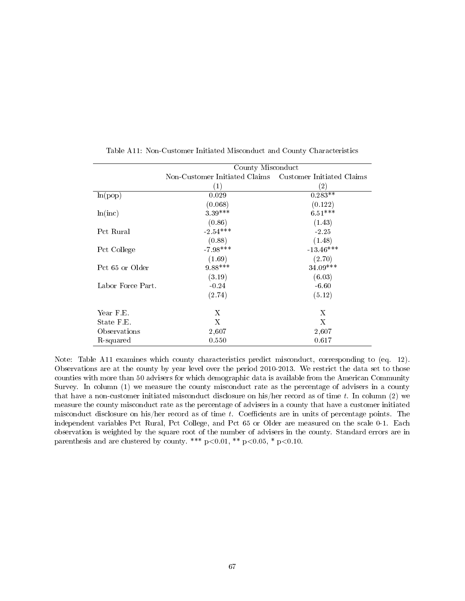|                   | County Misconduct                                       |                   |  |
|-------------------|---------------------------------------------------------|-------------------|--|
|                   | Non-Customer Initiated Claims Customer Initiated Claims |                   |  |
|                   | $\left( 1\right)$                                       | $\left( 2\right)$ |  |
| ln(pop)           | 0.029                                                   | $0.283**$         |  |
|                   | (0.068)                                                 | (0.122)           |  |
| ln(inc)           | $3.39***$                                               | 6.51***           |  |
|                   | (0.86)                                                  | (1.43)            |  |
| Pct Rural         | $-2.54***$                                              | $-2.25$           |  |
|                   | (0.88)                                                  | (1.48)            |  |
| Pct College       | $-7.98***$                                              | $-13.46***$       |  |
|                   | (1.69)                                                  | (2.70)            |  |
| Pct 65 or Older   | $9.88***$                                               | 34.09***          |  |
|                   | (3.19)                                                  | (6.03)            |  |
| Labor Force Part. | $-0.24$                                                 | $-6.60$           |  |
|                   | (2.74)                                                  | (5.12)            |  |
| Year F.E.         | X                                                       | X                 |  |
| State F.E.        | X                                                       | X                 |  |
| Observations      | 2,607                                                   | 2,607             |  |
| R-squared         | 0.550                                                   | 0.617             |  |

Table A11: Non-Customer Initiated Misconduct and County Characteristics

Note: Table A11 examines which county characteristics predict misconduct, corresponding to (eq. 12). Observations are at the county by year level over the period 2010-2013. We restrict the data set to those counties with more than 50 advisers for which demographic data is available from the American Community Survey. In column (1) we measure the county misconduct rate as the percentage of advisers in a county that have a non-customer initiated misconduct disclosure on his/her record as of time t. In column (2) we measure the county misconduct rate as the percentage of advisers in a county that have a customer initiated misconduct disclosure on his/her record as of time  $t$ . Coefficients are in units of percentage points. The independent variables Pct Rural, Pct College, and Pct 65 or Older are measured on the scale 0-1. Each observation is weighted by the square root of the number of advisers in the county. Standard errors are in parenthesis and are clustered by county. \*\*\*  $p<0.01$ , \*\*  $p<0.05$ , \*  $p<0.10$ .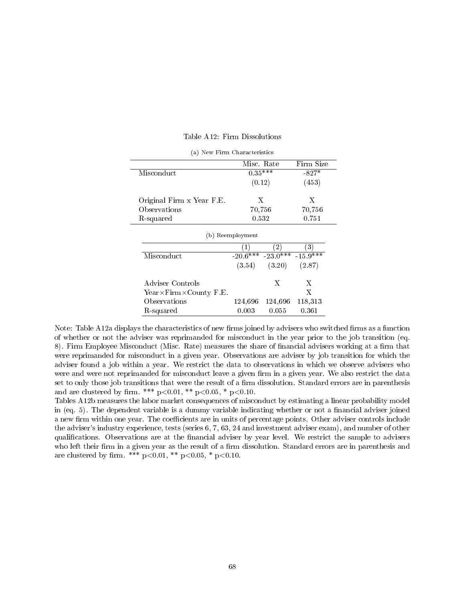| (a) New Firm Characteristics          |            |                                  |                   |  |  |
|---------------------------------------|------------|----------------------------------|-------------------|--|--|
|                                       | Misc. Rate |                                  | Firm Size         |  |  |
| Misconduct                            | $0.35***$  |                                  | $-827*$           |  |  |
|                                       | (0.12)     |                                  | (453)             |  |  |
| Original Firm x Year F.E.             | Х          |                                  | Х                 |  |  |
| Observations                          | 70,756     |                                  | 70,756            |  |  |
| R-squared                             | 0.532      |                                  | 0.751             |  |  |
| (b) Reemployment                      |            |                                  |                   |  |  |
|                                       | (1)        | (2)                              | $\left( 3\right)$ |  |  |
| Misconduct                            |            | $-20.6***$ $-23.0***$ $-15.9***$ |                   |  |  |
|                                       |            | $(3.54)$ $(3.20)$                | (2.87)            |  |  |
| Adviser Controls                      |            | Х                                | Х                 |  |  |
| $Year \times Firm \times County$ F.E. |            |                                  | X                 |  |  |
| Observations                          | 124,696    | 124,696                          | 118,313           |  |  |
| R-squared                             | 0.003      | 0.055                            | 0.361             |  |  |

Table A12: Firm Dissolutions

Note: Table A12a displays the characteristics of new firms joined by advisers who switched firms as a function of whether or not the adviser was reprimanded for misconduct in the year prior to the job transition (eq. 8). Firm Employee Misconduct (Misc. Rate) measures the share of financial advisers working at a firm that were reprimanded for misconduct in a given year. Observations are adviser by job transition for which the adviser found a job within a year. We restrict the data to observations in which we observe advisers who were and were not reprimanded for misconduct leave a given firm in a given year. We also restrict the data set to only those job transitions that were the result of a firm dissolution. Standard errors are in parenthesis and are clustered by firm. \*\*\*  $p<0.01$ , \*\*  $p<0.05$ , \*  $p<0.10$ .

Tables A12b measures the labor market consequences of misconduct by estimating a linear probability model in (eq. 5). The dependent variable is a dummy variable indicating whether or not a financial adviser joined a new firm within one year. The coefficients are in units of percentage points. Other adviser controls include the adviser's industry experience, tests (series 6, 7, 63, 24 and investment adviser exam), and number of other qualifications. Observations are at the financial adviser by year level. We restrict the sample to advisers who left their firm in a given year as the result of a firm dissolution. Standard errors are in parenthesis and are clustered by firm. \*\*\*  $p<0.01$ , \*\*  $p<0.05$ , \*  $p<0.10$ .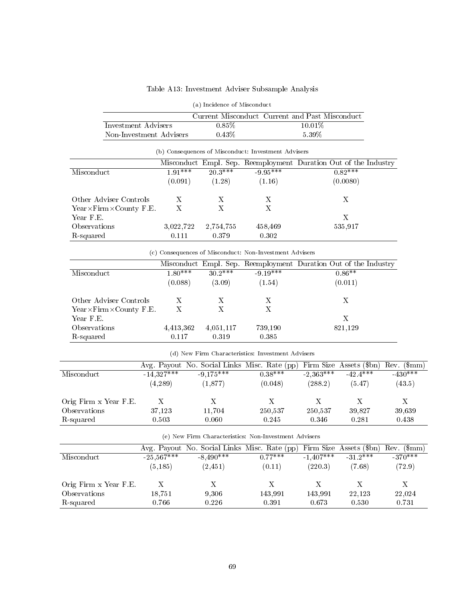| (a) Incidence of Misconduct                           |                           |                           |                                                                 |             |                                                       |           |
|-------------------------------------------------------|---------------------------|---------------------------|-----------------------------------------------------------------|-------------|-------------------------------------------------------|-----------|
|                                                       |                           |                           | Current Misconduct Current and Past Misconduct                  |             |                                                       |           |
| Investment Advisers                                   |                           | 0.85%                     | 10.01%                                                          |             |                                                       |           |
| Non-Investment Advisers                               |                           | 0.43%                     |                                                                 | $5.39\%$    |                                                       |           |
| (b) Consequences of Misconduct: Investment Advisers   |                           |                           |                                                                 |             |                                                       |           |
|                                                       |                           |                           | Misconduct Empl. Sep. Reemployment Duration Out of the Industry |             |                                                       |           |
| Misconduct                                            | $1.91***$                 | $20.3***$                 | $-9.95***$                                                      |             | $0.82***$                                             |           |
|                                                       | (0.091)                   | (1.28)                    | (1.16)                                                          |             | (0.0080)                                              |           |
|                                                       |                           |                           |                                                                 |             |                                                       |           |
| Other Adviser Controls                                | X                         | X                         | X                                                               |             | $\mathbf X$                                           |           |
| $Year \times Firm \times County$ F.E.                 | $\boldsymbol{\mathrm{X}}$ | $\mathbf X$               | $\mathbf X$                                                     |             |                                                       |           |
| Year F.E.                                             |                           |                           |                                                                 |             | X                                                     |           |
| Observations                                          | 3,022,722                 | 2,754,755                 | 458,469                                                         |             | 535,917                                               |           |
| R-squared                                             | 0.111                     | 0.379                     | 0.302                                                           |             |                                                       |           |
|                                                       |                           |                           | (c) Consequences of Misconduct: Non-Investment Advisers         |             |                                                       |           |
|                                                       |                           |                           | Misconduct Empl. Sep. Reemployment Duration Out of the Industry |             |                                                       |           |
| Misconduct                                            | $1.80***$                 | $30.2***$                 | $-9.19***$                                                      |             | $0.86**$                                              |           |
|                                                       | (0.088)                   | (3.09)                    | (1.54)                                                          |             | (0.011)                                               |           |
|                                                       |                           |                           |                                                                 |             |                                                       |           |
| Other Adviser Controls                                | X                         | Χ                         | X                                                               |             | X                                                     |           |
| $Year \times Firm \times County$ F.E.                 | $\boldsymbol{\mathrm{X}}$ | $\boldsymbol{\mathrm{X}}$ | X                                                               |             |                                                       |           |
| Year F.E.                                             |                           |                           |                                                                 |             | X                                                     |           |
| Observations                                          | 4,413,362                 | 4,051,117                 | 739,190                                                         |             | 821,129                                               |           |
| R-squared                                             | 0.117                     | 0.319                     | 0.385                                                           |             |                                                       |           |
|                                                       |                           |                           | (d) New Firm Characteristics: Investment Advisers               |             |                                                       |           |
|                                                       |                           |                           |                                                                 |             | Firm Size Assets (\$bn) Rev. (\$mm)                   |           |
| Misconduct                                            | $-14,327***$              | $-9,175***$               | Avg. Payout No. Social Links Misc. Rate (pp)<br>$0.38***$       | $-2,363***$ | $-42.4***$                                            | $-430***$ |
|                                                       | (4,289)                   | (1,877)                   | (0.048)                                                         | (288.2)     | (5.47)                                                | (43.5)    |
|                                                       |                           |                           |                                                                 |             |                                                       |           |
| Orig Firm x Year F.E.                                 | X                         | Χ                         | X                                                               | X           | X                                                     | X         |
| Observations                                          | 37,123                    | 11,704                    | 250,537                                                         | 250,537     | 39,827                                                | 39,639    |
| R-squared                                             | 0.503                     | 0.060                     | 0.245                                                           | 0.346       | 0.281                                                 | 0.438     |
|                                                       |                           |                           |                                                                 |             |                                                       |           |
| (e) New Firm Characteristics: Non-Investment Advisers |                           |                           |                                                                 |             |                                                       |           |
|                                                       |                           |                           | Avg. Payout No. Social Links Misc. Rate (pp)                    |             | Firm Size Assets $(\$\text{bn})$ Rev. $(\$\text{mm})$ |           |
| Misconduct                                            | $-25,567***$              | $-8,490***$               | $0.77***$                                                       | $-1,407***$ | $-31.2***$                                            | $-370***$ |
|                                                       | (5, 185)                  | (2, 451)                  | (0.11)                                                          | (220.3)     | (7.68)                                                | (72.9)    |
|                                                       |                           |                           |                                                                 |             |                                                       |           |
| Orig Firm x Year F.E.                                 | $\mathbf X$               | X                         | $\mathbf X$                                                     | $\mathbf X$ | $\mathbf X$                                           | X         |
| Observations                                          | 18,751                    | 9,306                     | 143,991                                                         | 143,991     | 22,123                                                | 22,024    |
| R-squared                                             | 0.766                     | 0.226                     | 0.391                                                           | 0.673       | 0.530                                                 | 0.731     |

Table A13: Investment Adviser Subsample Analysis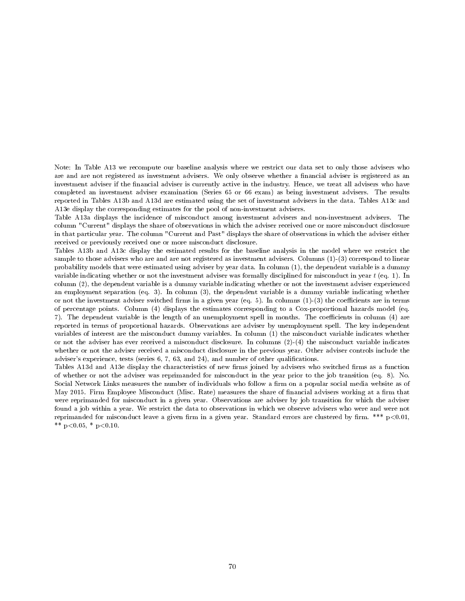Note: In Table A13 we recompute our baseline analysis where we restrict our data set to only those advisers who are and are not registered as investment advisers. We only observe whether a financial adviser is registered as an investment adviser if the financial adviser is currently active in the industry. Hence, we treat all advisers who have completed an investment adviser examination (Series 65 or 66 exam) as being investment advisers. The results reported in Tables A13b and A13d are estimated using the set of investment advisers in the data. Tables A13c and A13e display the corresponding estimates for the pool of non-investment advisers.

Table A13a displays the incidence of misconduct among investment advisers and non-investment advisers. The column "Current" displays the share of observations in which the adviser received one or more misconduct disclosure in that particular year. The column "Current and Past" displays the share of observations in which the adviser either received or previously received one or more misconduct disclosure.

Tables A13b and A13c display the estimated results for the baseline analysis in the model where we restrict the sample to those advisers who are and are not registered as investment advisers. Columns (1)-(3) correspond to linear probability models that were estimated using adviser by year data. In column (1), the dependent variable is a dummy variable indicating whether or not the investment adviser was formally disciplined for misconduct in year  $t$  (eq. 1). In column (2), the dependent variable is a dummy variable indicating whether or not the investment adviser experienced an employment separation (eq. 3). In column (3), the dependent variable is a dummy variable indicating whether or not the investment adviser switched firms in a given year (eq. 5). In columns  $(1)-(3)$  the coefficients are in terms of percentage points. Column (4) displays the estimates corresponding to a Cox-proportional hazards model (eq. 7). The dependent variable is the length of an unemployment spell in months. The coefficients in column (4) are reported in terms of proportional hazards. Observations are adviser by unemployment spell. The key independent variables of interest are the misconduct dummy variables. In column (1) the misconduct variable indicates whether or not the adviser has ever received a misconduct disclosure. In columns (2)-(4) the misconduct variable indicates whether or not the adviser received a misconduct disclosure in the previous year. Other adviser controls include the adviser's experience, tests (series 6, 7, 63, and 24), and number of other qualications.

Tables A13d and A13e display the characteristics of new firms joined by advisers who switched firms as a function of whether or not the adviser was reprimanded for misconduct in the year prior to the job transition (eq. 8). No. Social Network Links measures the number of individuals who follow a firm on a popular social media website as of May 2015. Firm Employee Misconduct (Misc. Rate) measures the share of financial advisers working at a firm that were reprimanded for misconduct in a given year. Observations are adviser by job transition for which the adviser found a job within a year. We restrict the data to observations in which we observe advisers who were and were not reprimanded for misconduct leave a given firm in a given year. Standard errors are clustered by firm. \*\*\*  $p<0.01$ , \*\*  $p<0.05$ , \*  $p<0.10$ .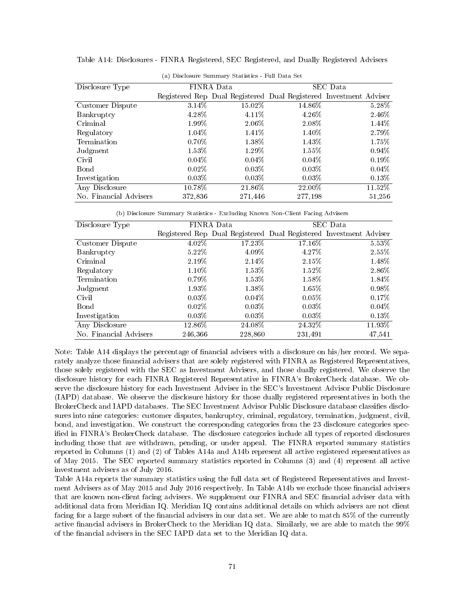| (a) Disclosure Summary Statistics - Full Data Set |          |            |          |                                                                   |
|---------------------------------------------------|----------|------------|----------|-------------------------------------------------------------------|
| Disclosure Type                                   |          | FINRA Data | SEC Data |                                                                   |
|                                                   |          |            |          | Registered Rep Dual Registered Dual Registered Investment Adviser |
| Customer Dispute                                  | 3.14%    | 15.02%     | 14.86%   | 5.28%                                                             |
| Bankruptcy                                        | 4.28%    | 4.11%      | 4.26\%   | 2.46%                                                             |
| Criminal                                          | $1.99\%$ | $2.06\%$   | 2.08\%   | $1.44\%$                                                          |
| Regulatory                                        | 1.04%    | 1.41%      | 1.40%    | 2.79%                                                             |
| Termination                                       | $0.70\%$ | 1.38%      | 1.43%    | $1.75\%$                                                          |
| Judgment                                          | $1.53\%$ | $1.29\%$   | $1.55\%$ | $0.94\%$                                                          |
| Civil                                             | $0.04\%$ | $0.04\%$   | $0.04\%$ | $0.19\%$                                                          |
| Bond                                              | $0.02\%$ | 0.03%      | $0.03\%$ | $0.04\%$                                                          |
| Investigation                                     | $0.03\%$ | 0.03%      | 0.03%    | 0.13%                                                             |
| Any Disclosure                                    | 10.78%   | 21.86\%    | 22.00%   | 11.52%                                                            |
| No. Financial Advisers                            | 372,836  | 271,446    | 277,198  | 51,256                                                            |

Table A14: Disclosures - FINRA Registered, SEC Registered, and Dually Registered Advisers

| (b) Disclosure Summary Statistics - Excluding Known Non-Client Facing Advisers |  |  |
|--------------------------------------------------------------------------------|--|--|
|--------------------------------------------------------------------------------|--|--|

| Disclosure Type        |          | FINRA Data | SEC Data |                                                                   |
|------------------------|----------|------------|----------|-------------------------------------------------------------------|
|                        |          |            |          | Registered Rep Dual Registered Dual Registered Investment Adviser |
| Customer Dispute       | $4.02\%$ | 17.23%     | 17.16%   | $5.53\%$                                                          |
| Bankruptcy             | $5.22\%$ | 4.09%      | 4.27%    | 2.55%                                                             |
| Criminal               | 2.19%    | 2.14%      | 2.15%    | 1.48%                                                             |
| Regulatory             | $1.10\%$ | $1.53\%$   | 1.52%    | 2.86%                                                             |
| Termination            | $0.79\%$ | 1.53%      | 1.58%    | 1.84%                                                             |
| Judgment               | $1.93\%$ | 1.38%      | $1.65\%$ | 0.98%                                                             |
| Civil                  | $0.03\%$ | $0.04\%$   | $0.05\%$ | 0.17%                                                             |
| Bond                   | $0.02\%$ | 0.03%      | 0.03%    | $0.04\%$                                                          |
| Investigation          | $0.03\%$ | 0.03%      | $0.03\%$ | 0.13%                                                             |
| Any Disclosure         | 12.86%   | $24.08\%$  | 24.32\%  | $11.93\%$                                                         |
| No. Financial Advisers | 246,366  | 228,860    | 231,491  | 47,541                                                            |

Note: Table A14 displays the percentage of nancial advisers with a disclosure on his/her record. We separately analyze those financial advisers that are solely registered with FINRA as Registered Representatives, those solely registered with the SEC as Investment Advisers, and those dually registered. We observe the disclosure history for each FINRA Registered Representative in FINRA's BrokerCheck database. We observe the disclosure history for each Investment Adviser in the SEC's Investment Advisor Public Disclosure (IAPD) database. We observe the disclosure history for those dually registered representatives in both the BrokerCheck and IAPD databases. The SEC Investment Advisor Public Disclosure database classifies disclosures into nine categories: customer disputes, bankruptcy, criminal, regulatory, termination, judgment, civil, bond, and investigation. We construct the corresponding categories from the 23 disclosure categories specified in FINRA's BrokerCheck database. The disclosure categories include all types of reported disclosures including those that are withdrawn, pending, or under appeal. The FINRA reported summary statistics reported in Columns (1) and (2) of Tables A14a and A14b represent all active registered representatives as of May 2015. The SEC reported summary statistics reported in Columns (3) and (4) represent all active investment advisers as of July 2016.

Table A14a reports the summary statistics using the full data set of Registered Representatives and Investment Advisers as of May 2015 and July 2016 respectively. In Table A14b we exclude those financial advisers that are known non-client facing advisers. We supplement our FINRA and SEC financial adviser data with additional data from Meridian IQ. Meridian IQ contains additional details on which advisers are not client facing for a large subset of the financial advisers in our data set. We are able to match 85% of the currently active financial advisers in BrokerCheck to the Meridian IQ data. Similarly, we are able to match the 99% of the nancial advisers in the SEC IAPD data set to the Meridian IQ data.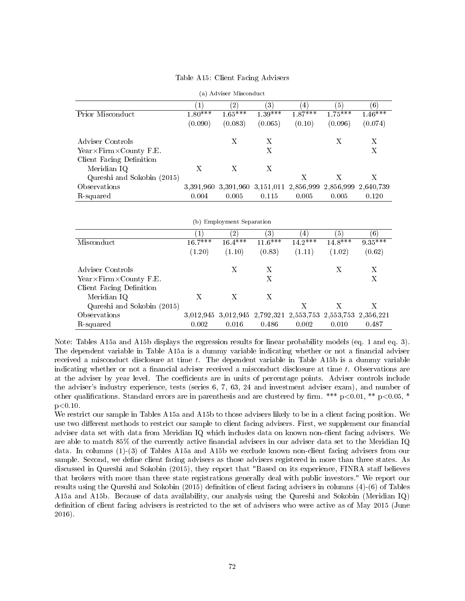| Table A15: Client Facing Advisers |  |  |  |
|-----------------------------------|--|--|--|
|-----------------------------------|--|--|--|

|                                       |              | (a) Adviser Misconduct    |                   |                                                   |                   |                   |
|---------------------------------------|--------------|---------------------------|-------------------|---------------------------------------------------|-------------------|-------------------|
|                                       | (1)          | $\left( 2\right)$         | (3)               | $\left( 4\right)$                                 | $\left( 5\right)$ | $\left( 6\right)$ |
| Prior Misconduct                      | $1.80***$    | $1.65***$                 | $1.39***$         | $1.87***$                                         | $1.75***$         | $1.46***$         |
|                                       | (0.090)      | (0.083)                   | (0.065)           | (0.10)                                            | (0.096)           | (0.074)           |
| Adviser Controls                      |              | X                         | X                 |                                                   | X                 | X                 |
| $Year \times Firm \times County$ F.E. |              |                           | $\mathbf{X}$      |                                                   |                   | X                 |
| Client Facing Definition              |              |                           |                   |                                                   |                   |                   |
| Meridian IQ                           | X            | $\boldsymbol{\mathrm{X}}$ | X                 |                                                   |                   |                   |
| Qureshi and Sokobin (2015)            |              |                           |                   | X                                                 | X                 | Х                 |
| Observations                          |              |                           |                   | 3,391,960 3,391,960 3,151,011 2,856,999 2,856,999 |                   | 2,640,739         |
| R-squared                             | 0.004        | 0.005                     | 0.115             | 0.005                                             | 0.005             | 0.120             |
|                                       |              | (b) Employment Separation |                   |                                                   |                   |                   |
|                                       | (1)          | $\left( 2\right)$         | $\left( 3\right)$ | (4)                                               | $\left(5\right)$  | $\left( 6\right)$ |
| Misconduct                            | $16.7***$    | $16.4***$                 | $11.6***$         | $14.2***$                                         | $14.8***$         | $9.35***$         |
|                                       | (1.20)       | (1.10)                    | (0.83)            | (1.11)                                            | (1.02)            | (0.62)            |
| Adviser Controls                      |              | $\mathbf{X}$              | X                 |                                                   | X                 | X                 |
| $Year \times Firm \times County$ F.E. |              |                           | $\mathbf{X}$      |                                                   |                   | X                 |
| Client Facing Definition              |              |                           |                   |                                                   |                   |                   |
| Meridian IQ                           | $\mathbf{X}$ | X                         | $\mathbf{X}$      |                                                   |                   |                   |
| Qureshi and Sokobin (2015)            |              |                           |                   | X                                                 | X                 | X                 |
| Observations                          | 3.012.945    |                           |                   | 3,012,945 2,792,321 2,553,753 2,553,753           |                   | 2,356,221         |
| R-squared                             | 0.002        | 0.016                     | 0.486             | 0.002                                             | 0.010             | 0.487             |

Note: Tables A15a and A15b displays the regression results for linear probability models (eq. 1 and eq. 3). The dependent variable in Table A15a is a dummy variable indicating whether or not a financial adviser received a misconduct disclosure at time t. The dependent variable in Table A15b is a dummy variable indicating whether or not a financial adviser received a misconduct disclosure at time t. Observations are at the adviser by year level. The coefficients are in units of percentage points. Adviser controls include the adviser's industry experience, tests (series 6, 7, 63, 24 and investment adviser exam), and number of other qualifications. Standard errors are in parenthesis and are clustered by firm. \*\*\*  $p<0.01$ , \*\*  $p<0.05$ , \* p<0.10.

We restrict our sample in Tables A15a and A15b to those advisers likely to be in a client facing position. We use two different methods to restrict our sample to client facing advisers. First, we supplement our financial adviser data set with data from Meridian IQ which includes data on known non-client facing advisers. We are able to match 85% of the currently active financial advisers in our adviser data set to the Meridian IQ data. In columns (1)-(3) of Tables A15a and A15b we exclude known non-client facing advisers from our sample. Second, we define client facing advisers as those advisers registered in more than three states. As discussed in Qureshi and Sokobin (2015), they report that "Based on its experience, FINRA staff believes that brokers with more than three state registrations generally deal with public investors." We report our results using the Qureshi and Sokobin (2015) definition of client facing advisers in columns (4)-(6) of Tables A15a and A15b. Because of data availability, our analysis using the Qureshi and Sokobin (Meridian IQ) definition of client facing advisers is restricted to the set of advisers who were active as of May 2015 (June 2016).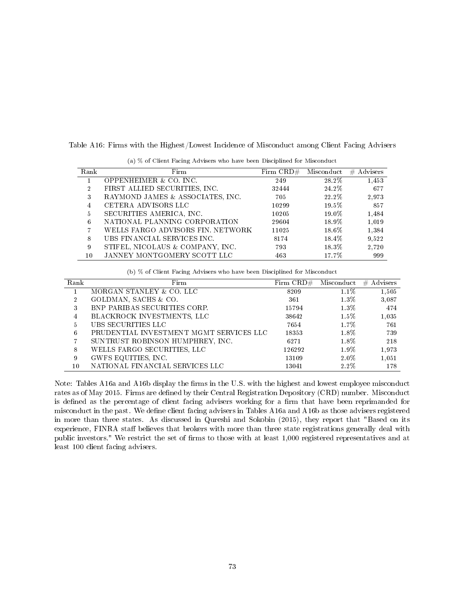| (a) % of Client Facing Advisers who have been Disciplined for Misconduct |                                   |             |            |               |
|--------------------------------------------------------------------------|-----------------------------------|-------------|------------|---------------|
| Rank                                                                     | Firm                              | Firm $CRD#$ | Misconduct | Advisers<br># |
|                                                                          | OPPENHEIMER & CO. INC.            | 249         | 28.2%      | 1,453         |
| $\mathfrak{D}$                                                           | FIRST ALLIED SECURITIES, INC.     | 32444       | 24.2%      | 677           |
| 3                                                                        | RAYMOND JAMES & ASSOCIATES, INC.  | 705         | 22.2%      | 2.973         |
| 4                                                                        | CETERA ADVISORS LLC               | 10299       | $19.5\%$   | 857           |
| 5                                                                        | SECURITIES AMERICA, INC.          | 10205       | 19.0%      | 1,484         |
| 6                                                                        | NATIONAL PLANNING CORPORATION     | 29604       | 18.9%      | 1,019         |
| $\overline{7}$                                                           | WELLS FARGO ADVISORS FIN. NETWORK | 11025       | 18.6%      | 1,384         |
| 8                                                                        | UBS FINANCIAL SERVICES INC.       | 8174        | 18.4%      | 9.522         |
| 9                                                                        | STIFEL, NICOLAUS & COMPANY, INC.  | 793         | 18.3%      | 2,720         |
| 10                                                                       | JANNEY MONTGOMERY SCOTT LLC       | 463         | 17.7%      | 999           |

Table A16: Firms with the Highest/Lowest Incidence of Misconduct among Client Facing Advisers

(b) % of Client Facing Advisers who have been Disciplined for Misconduct

| Rank           | Firm                                    | $Firm$ $CRD#$ | Misconduct | $#$ Advisers |
|----------------|-----------------------------------------|---------------|------------|--------------|
|                | MORGAN STANLEY & CO. LLC                | 8209          | 1.1%       | 1,505        |
| $\overline{2}$ | GOLDMAN, SACHS & CO.                    | 361           | 1.3%       | 3,087        |
| 3              | BNP PARIBAS SECURITIES CORP.            | 15794         | $1.3\%$    | 474          |
| 4              | BLACKROCK INVESTMENTS, LLC              | 38642         | $1.5\%$    | 1,035        |
| 5              | UBS SECURITIES LLC                      | 7654          | 1.7%       | 761          |
| 6              | PRUDENTIAL INVESTMENT MGMT SERVICES LLC | 18353         | $1.8\%$    | 739          |
|                | SUNTRUST ROBINSON HUMPHREY, INC.        | 6271          | 1.8%       | 218          |
| 8              | WELLS FARGO SECURITIES, LLC             | 126292        | $1.9\%$    | 1,973        |
| 9              | GWFS EQUITIES, INC.                     | 13109         | $2.0\%$    | 1,051        |
| 10             | NATIONAL FINANCIAL SERVICES LLC         | 13041         | $2.2\%$    | 178          |

Note: Tables A16a and A16b display the firms in the U.S. with the highest and lowest employee misconduct rates as of May 2015. Firms are defined by their Central Registration Depository (CRD) number. Misconduct is defined as the percentage of client facing advisers working for a firm that have been reprimanded for misconduct in the past. We define client facing advisers in Tables A16a and A16b as those advisers registered in more than three states. As discussed in Qureshi and Sokobin (2015), they report that "Based on its experience, FINRA staff believes that brokers with more than three state registrations generally deal with public investors." We restrict the set of firms to those with at least 1,000 registered representatives and at least 100 client facing advisers.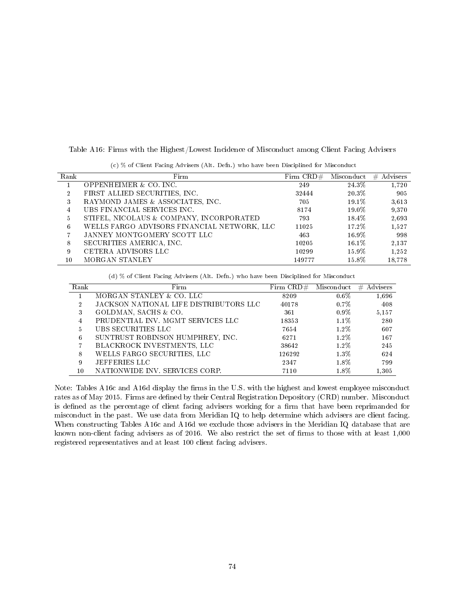Table A16: Firms with the Highest/Lowest Incidence of Misconduct among Client Facing Advisers

| Rank           | Firm                                        | Firm $CRD#$ | Misconduct | $#$ Advisers |
|----------------|---------------------------------------------|-------------|------------|--------------|
|                | OPPENHEIMER & CO. INC.                      | 249         | 24.3%      | 1,720        |
| $2^{\circ}$    | FIRST ALLIED SECURITIES, INC.               | 32444       | 20.3%      | 905          |
| 3              | RAYMOND JAMES & ASSOCIATES, INC.            | 705         | 19.1%      | 3.613        |
| 4              | UBS FINANCIAL SERVICES INC.                 | 8174        | 19.0%      | 9,370        |
| 5.             | STIFEL, NICOLAUS & COMPANY, INCORPORATED    | 793         | 18.4%      | 2,693        |
| 6.             | WELLS FARGO ADVISORS FINANCIAL NETWORK, LLC | 11025       | 17.2%      | 1,527        |
| $\overline{7}$ | JANNEY MONTGOMERY SCOTT LLC                 | 463         | 16.9%      | 998          |
| 8              | SECURITIES AMERICA, INC.                    | 10205       | 16.1%      | 2,137        |
| 9              | CETERA ADVISORS LLC                         | 10299       | 15.9%      | 1.252        |
| 10             | MORGAN STANLEY                              | 149777      | 15.8%      | 18.778       |

(c) % of Client Facing Advisers (Alt. Defn.) who have been Disciplined for Misconduct

(d) % of Client Facing Advisers (Alt. Defn.) who have been Disciplined for Misconduct

| Rank | Firm                                   | Firm $CRD#$ | Misconduct | Advisers<br># |
|------|----------------------------------------|-------------|------------|---------------|
|      | MORGAN STANLEY & CO. LLC               | 8209        | $0.6\%$    | 1.696         |
| 2    | JACKSON NATIONAL LIFE DISTRIBUTORS LLC | 40178       | $0.7\%$    | 408           |
| 3    | GOLDMAN, SACHS & CO.                   | 361         | $0.9\%$    | 5.157         |
| 4    | PRUDENTIAL INV. MGMT SERVICES LLC      | 18353       | $1.1\%$    | 280           |
| 5    | UBS SECURITIES LLC                     | 7654        | 1.2%       | 607           |
| 6    | SUNTRUST ROBINSON HUMPHREY, INC.       | 6271        | 1.2%       | 167           |
|      | BLACKROCK INVESTMENTS, LLC             | 38642       | $1.2\%$    | 245           |
| 8    | WELLS FARGO SECURITIES, LLC            | 126292      | 1.3%       | 624           |
| 9    | <b>JEFFERIES LLC</b>                   | 2347        | 1.8%       | 799           |
| 10   | NATIONWIDE INV. SERVICES CORP.         | 7110        | 1.8%       | 1.305         |

Note: Tables A16c and A16d display the firms in the U.S. with the highest and lowest employee misconduct rates as of May 2015. Firms are defined by their Central Registration Depository (CRD) number. Misconduct is defined as the percentage of client facing advisers working for a firm that have been reprimanded for misconduct in the past. We use data from Meridian IQ to help determine which advisers are client facing. When constructing Tables A16c and A16d we exclude those advisers in the Meridian IQ database that are known non-client facing advisers as of 2016. We also restrict the set of firms to those with at least 1,000 registered representatives and at least 100 client facing advisers.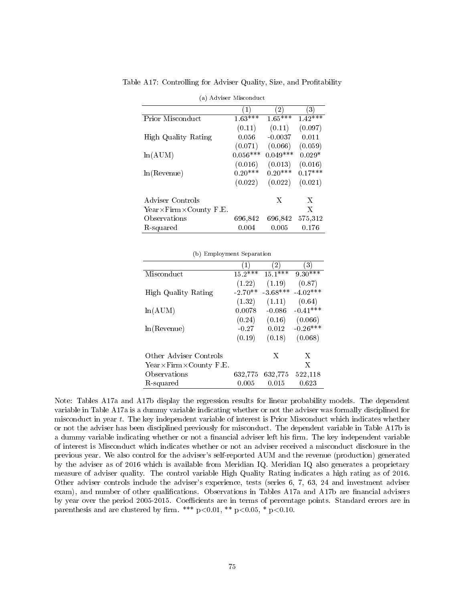| (a) Adviser Misconduct                |            |            |                   |
|---------------------------------------|------------|------------|-------------------|
|                                       | (1)        | (2)        | $\left( 3\right)$ |
| Prior Misconduct                      | $1.63***$  | $1.65***$  | $1.42***$         |
|                                       | (0.11)     | (0.11)     | (0.097)           |
| High Quality Rating                   | 0.056      | $-0.0037$  | 0.011             |
|                                       | (0.071)    | (0.066)    | (0.059)           |
| ln(AUM)                               | $0.056***$ | $0.049***$ | $0.029*$          |
|                                       | (0.016)    | (0.013)    | (0.016)           |
| $ln($ Revenue $)$                     | $0.20***$  | $0.20***$  | $0.17***$         |
|                                       | (0.022)    | (0.022)    | (0.021)           |
| Adviser Controls                      |            | X          | X                 |
| $Year \times Firm \times County$ F.E. |            |            | X                 |
| Observations                          | 696,842    | 696,842    | 575,312           |
| R-squared                             | 0.004      | 0.005      | 0.176             |

Table A17: Controlling for Adviser Quality, Size, and Profitability

| (b) Employment Separation |           |            |            |
|---------------------------|-----------|------------|------------|
|                           | (1)       | (2)        | (3)        |
| Misconduct                | $15.2***$ | $15.1***$  | $9.30***$  |
|                           | (1.22)    | (1.19)     | (0.87)     |
| High Quality Rating       | $-2.70**$ | $-3.68***$ | $-4.02***$ |
|                           | (1.32)    | (1.11)     | (0.64)     |
| ln(AUM)                   | 0.0078    | $-0.086$   | $-0.41***$ |
|                           | (0.24)    | (0.16)     | (0.066)    |
| $ln($ Revenue $)$         | $-0.27$   | 0.012      | $-0.26***$ |
|                           | (0.19)    | (0.18)     | (0.068)    |
| Other Adviser Controls    |           | Х          | X          |
| Year×Firm×County F.E.     |           |            | X          |
| Observations              | 632,775   | 632,775    | 522,118    |
| R-squared                 | 0.005     | 0.015      | 0.623      |

Note: Tables A17a and A17b display the regression results for linear probability models. The dependent variable in Table A17a is a dummy variable indicating whether or not the adviser was formally disciplined for misconduct in year t. The key independent variable of interest is Prior Misconduct which indicates whether or not the adviser has been disciplined previously for misconduct. The dependent variable in Table A17b is a dummy variable indicating whether or not a financial adviser left his firm. The key independent variable of interest is Misconduct which indicates whether or not an adviser received a misconduct disclosure in the previous year. We also control for the adviser's self-reported AUM and the revenue (production) generated by the adviser as of 2016 which is available from Meridian IQ. Meridian IQ also generates a proprietary measure of adviser quality. The control variable High Quality Rating indicates a high rating as of 2016. Other adviser controls include the adviser's experience, tests (series 6, 7, 63, 24 and investment adviser exam), and number of other qualifications. Observations in Tables A17a and A17b are financial advisers by year over the period 2005-2015. Coefficients are in terms of percentage points. Standard errors are in parenthesis and are clustered by firm. \*\*\*  $p<0.01$ , \*\*  $p<0.05$ , \*  $p<0.10$ .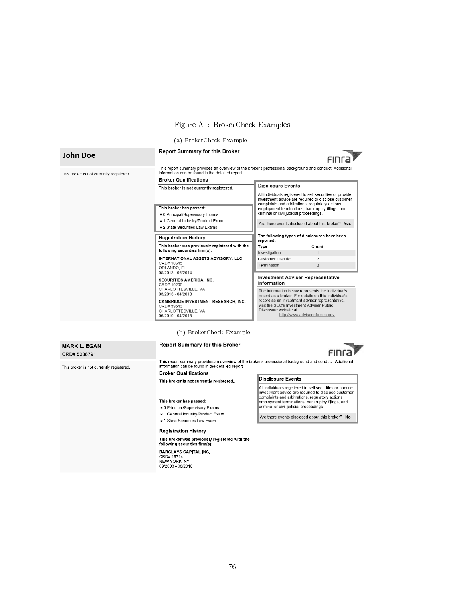## Figure A1: BrokerCheck Examples

## (a) BrokerCheck Example

| John Doe                                 | Report Summary for this Broker                                                                                                    |                                                                                                                                                                                                                                                         |  |
|------------------------------------------|-----------------------------------------------------------------------------------------------------------------------------------|---------------------------------------------------------------------------------------------------------------------------------------------------------------------------------------------------------------------------------------------------------|--|
| This broker is not currently registered. | information can be found in the detailed report.<br><b>Broker Qualifications</b><br>This broker is not currently registered.      | This report summary provides an overview of the broker's professional background and conduct. Additional<br><b>Disclosure Events</b><br>All individuals registered to sell securities or provide<br>investment advice are required to disclose customer |  |
|                                          | This broker has passed:<br>• 0 Principal/Supervisory Exams<br>• 1 General Industry/Product Exam<br>• 2 State Securities Law Exams | complaints and arbitrations, regulatory actions,<br>employment terminations, bankruptcy filings, and<br>criminal or civil judicial proceedings.<br>Are there events disclosed about this broker? Yes                                                    |  |
|                                          | <b>Registration History</b>                                                                                                       | The following types of disclosures have been<br>reported:                                                                                                                                                                                               |  |
|                                          | This broker was previously registered with the<br>following securities firm(s):                                                   | Type<br>Count<br>Investigation<br>$\mathbf{1}$                                                                                                                                                                                                          |  |
|                                          | INTERNATIONAL ASSETS ADVISORY, LLC<br>CRD#10645<br>ORLANDO, FL<br>05/2013 - 06/2014                                               | $\overline{2}$<br><b>Customer Dispute</b><br>$\overline{2}$<br>Termination                                                                                                                                                                              |  |
|                                          | <b>SECURITIES AMERICA, INC.</b><br>CRD#10205<br>CHARLOTTESVILLE, VA<br>03/2013 - 04/2013                                          | <b>Investment Adviser Representative</b><br>Information<br>The information below represents the individual's<br>record as a broker. For details on this individual's                                                                                    |  |
|                                          | <b>CAMBRIDGE INVESTMENT RESEARCH. INC.</b><br>CRD#39543<br>CHARLOTTESVILLE, VA<br>06/2010 - 04/2013                               | record as an investment adviser representative.<br>visit the SEC's Investment Adviser Public<br>Disclosure website at<br>http://www.adviserinfo.sec.gov                                                                                                 |  |

(b) BrokerCheck Example

| <b>MARK L. EGAN</b><br>CRD# 5086791      | <b>Report Summary for this Broker</b>                                                                                                                                                                                                                                                                                                                                                                              |                                                                                                                                                                                                                                                                                                                                                                                                                                                         |
|------------------------------------------|--------------------------------------------------------------------------------------------------------------------------------------------------------------------------------------------------------------------------------------------------------------------------------------------------------------------------------------------------------------------------------------------------------------------|---------------------------------------------------------------------------------------------------------------------------------------------------------------------------------------------------------------------------------------------------------------------------------------------------------------------------------------------------------------------------------------------------------------------------------------------------------|
| This broker is not currently registered, | information can be found in the detailed report.<br><b>Broker Qualifications</b><br>This broker is not currently registered.<br>This broker has passed:<br>• 0 Principal/Supervisory Exams<br>• 1 General Industry/Product Exam<br>• 1 State Securities Law Exam<br><b>Registration History</b><br>This broker was previously registered with the<br>following securities firm(s):<br><b>BARCLAYS CAPITAL INC.</b> | This report summary provides an overview of the broker's professional background and conduct. Additional<br>Disclosure Events<br>All individuals registered to sell securities or provide<br>investment advice are required to disclose customer<br>complaints and arbitrations, regulatory actions,<br>employment terminations, bankruptcy filings, and<br>criminal or civil judicial proceedings.<br>Are there events disclosed about this broker? No |
|                                          | CRD#19714<br>NEW YORK, NY<br>09/2008 - 08/2010                                                                                                                                                                                                                                                                                                                                                                     |                                                                                                                                                                                                                                                                                                                                                                                                                                                         |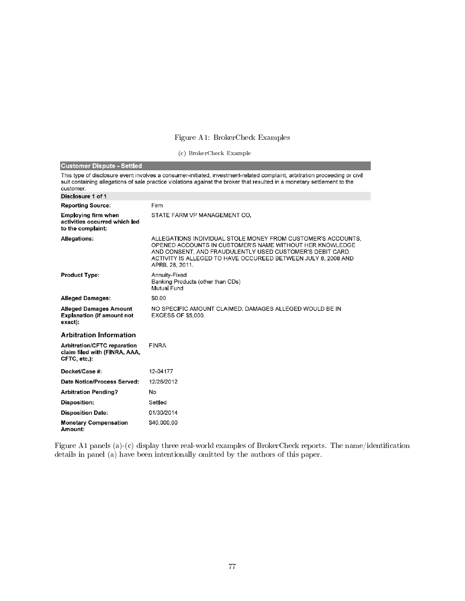## Figure A1: BrokerCheck Examples

(c) BrokerCheck Example

| <b>Customer Dispute - Settled</b>                                                   |                                                                                                                                                                                                                                                                           |  |  |  |
|-------------------------------------------------------------------------------------|---------------------------------------------------------------------------------------------------------------------------------------------------------------------------------------------------------------------------------------------------------------------------|--|--|--|
| customer.                                                                           | This type of disclosure event involves a consumer-initiated, investment-related complaint, arbitration proceeding or civil<br>suit containing allegations of sale practice violations against the broker that resulted in a monetary settlement to the                    |  |  |  |
| Disclosure 1 of 1                                                                   |                                                                                                                                                                                                                                                                           |  |  |  |
| <b>Reporting Source:</b>                                                            | Firm                                                                                                                                                                                                                                                                      |  |  |  |
| Employing firm when<br>activities occurred which led<br>to the complaint:           | STATE FARM VP MANAGEMENT CO.                                                                                                                                                                                                                                              |  |  |  |
| <b>Allegations:</b>                                                                 | ALLEGATIONS INDIVIDUAL STOLE MONEY FROM CUSTOMER'S ACCOUNTS.<br>OPENED ACCOUNTS IN CUSTOMER'S NAME WITHOUT HER KNOWLEDGE<br>AND CONSENT, AND FRAUDULENTLY USED CUSTOMER'S DEBIT CARD.<br>ACTIVITY IS ALLEGED TO HAVE OCCUREED BETWEEN JULY 8, 2008 AND<br>APRIL 28, 2011. |  |  |  |
| <b>Product Type:</b>                                                                | Annuity-Fixed<br>Banking Products (other than CDs)<br>Mutual Fund                                                                                                                                                                                                         |  |  |  |
| <b>Alleged Damages:</b>                                                             | \$0.00                                                                                                                                                                                                                                                                    |  |  |  |
| <b>Alleged Damages Amount</b><br><b>Explanation (if amount not</b><br>exact):       | NO SPECIFIC AMOUNT CLAIMED, DAMAGES ALLEGED WOULD BE IN<br><b>EXCESS OF \$5,000.</b>                                                                                                                                                                                      |  |  |  |
| <b>Arbitration Information</b>                                                      |                                                                                                                                                                                                                                                                           |  |  |  |
| <b>Arbitration/CFTC reparation</b><br>claim filed with (FINRA, AAA,<br>CFTC, etc.): | <b>FINRA</b>                                                                                                                                                                                                                                                              |  |  |  |
| Docket/Case #:                                                                      | 12-04177                                                                                                                                                                                                                                                                  |  |  |  |
| Date Notice/Process Served:                                                         | 12/26/2012                                                                                                                                                                                                                                                                |  |  |  |
| <b>Arbitration Pending?</b>                                                         | No                                                                                                                                                                                                                                                                        |  |  |  |
| <b>Disposition:</b>                                                                 | Settled                                                                                                                                                                                                                                                                   |  |  |  |
| <b>Disposition Date:</b>                                                            | 01/30/2014                                                                                                                                                                                                                                                                |  |  |  |
| <b>Monetary Compensation</b><br>Amount:                                             | \$40,000,00                                                                                                                                                                                                                                                               |  |  |  |

Figure A1 panels (a)-(c) display three real-world examples of BrokerCheck reports. The name/identification details in panel (a) have been intentionally omitted by the authors of this paper.